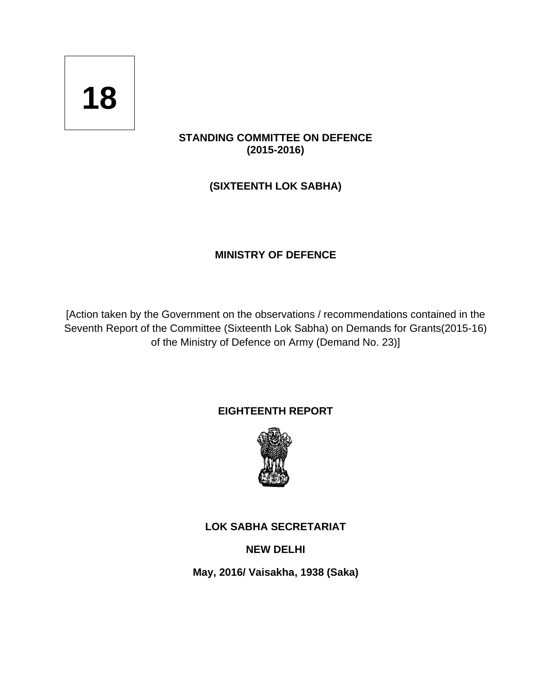# **18**

# **STANDING COMMITTEE ON DEFENCE (2015-2016)**

**(SIXTEENTH LOK SABHA)**

# **MINISTRY OF DEFENCE**

[Action taken by the Government on the observations / recommendations contained in the Seventh Report of the Committee (Sixteenth Lok Sabha) [on Demands for Grants\(2015-16\)](http://164.100.47.134/lsscommittee/Defence/16_Defence_2.pdf)  [of the Ministry of Defence on Army \(Demand No. 23\)\]](http://164.100.47.134/lsscommittee/Defence/16_Defence_2.pdf)

# **EIGHTEENTH REPORT**



# **LOK SABHA SECRETARIAT**

**NEW DELHI**

**May, 2016/ Vaisakha, 1938 (Saka)**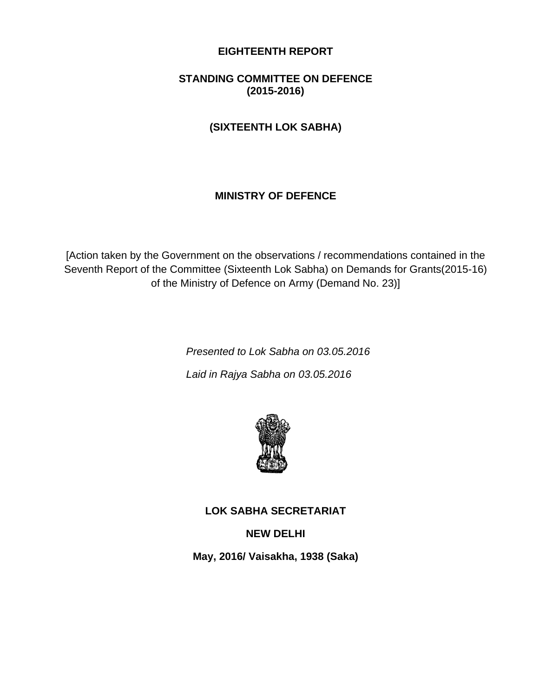## **EIGHTEENTH REPORT**

# **STANDING COMMITTEE ON DEFENCE (2015-2016)**

# **(SIXTEENTH LOK SABHA)**

# **MINISTRY OF DEFENCE**

[Action taken by the Government on the observations / recommendations contained in the Seventh Report of the Committee (Sixteenth Lok Sabha) [on Demands for Grants\(2015-16\)](http://164.100.47.134/lsscommittee/Defence/16_Defence_2.pdf)  [of the Ministry of Defence on Army \(Demand No. 23\)\]](http://164.100.47.134/lsscommittee/Defence/16_Defence_2.pdf)

> *Presented to Lok Sabha on 03.05.2016 Laid in Rajya Sabha on 03.05.2016*



# **LOK SABHA SECRETARIAT**

## **NEW DELHI**

**May, 2016/ Vaisakha, 1938 (Saka)**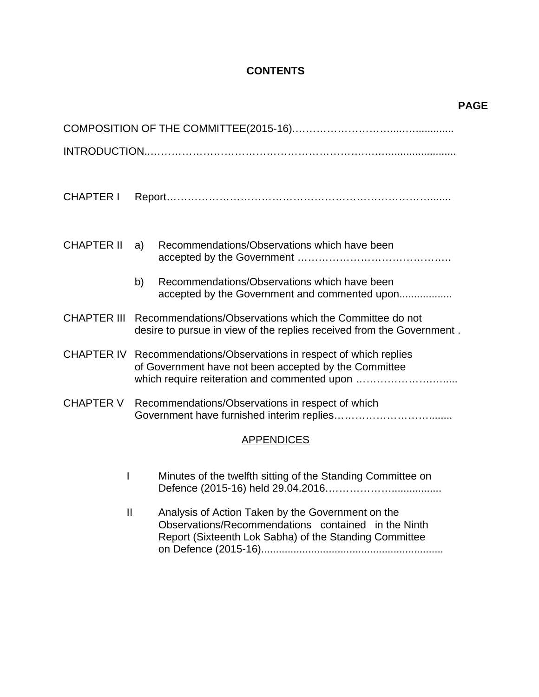# **CONTENTS**

| <b>CHAPTER I</b>                                                     |                                                                                                                                              |  |
|----------------------------------------------------------------------|----------------------------------------------------------------------------------------------------------------------------------------------|--|
|                                                                      |                                                                                                                                              |  |
| <b>CHAPTER II</b>                                                    | Recommendations/Observations which have been<br>a)                                                                                           |  |
|                                                                      |                                                                                                                                              |  |
|                                                                      | Recommendations/Observations which have been<br>b)                                                                                           |  |
|                                                                      | accepted by the Government and commented upon                                                                                                |  |
|                                                                      | CHAPTER III Recommendations/Observations which the Committee do not<br>desire to pursue in view of the replies received from the Government. |  |
|                                                                      | CHAPTER IV Recommendations/Observations in respect of which replies                                                                          |  |
|                                                                      | of Government have not been accepted by the Committee<br>which require reiteration and commented upon                                        |  |
| <b>CHAPTER V</b><br>Recommendations/Observations in respect of which |                                                                                                                                              |  |
|                                                                      |                                                                                                                                              |  |
|                                                                      | <b>APPENDICES</b>                                                                                                                            |  |
|                                                                      |                                                                                                                                              |  |
| $\mathsf{I}$                                                         | Minutes of the twelfth sitting of the Standing Committee on                                                                                  |  |
| $\mathbf{I}$                                                         | Analysis of Action Taken by the Government on the                                                                                            |  |
|                                                                      | Observations/Recommendations contained in the Ninth<br>Report (Sixteenth Lok Sabha) of the Standing Committee                                |  |
|                                                                      |                                                                                                                                              |  |

## **PAGE**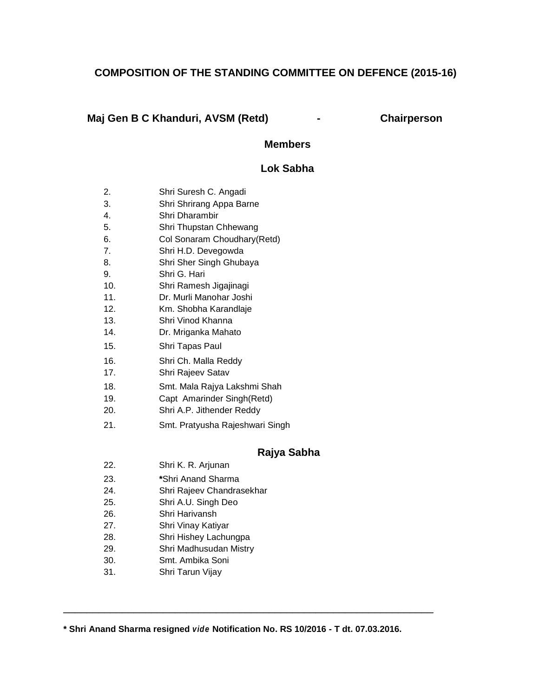# **COMPOSITION OF THE STANDING COMMITTEE ON DEFENCE (2015-16)**

#### **[Maj Gen B C](http://164.100.47.132/LssNew/Members/Biography.aspx?mpsno=196) Khanduri, AVSM (Retd) - Chairperson**

#### **Members**

#### **Lok Sabha**

- 2. [Shri Suresh C.](http://164.100.47.132/LssNew/Members/Biography.aspx?mpsno=3983) Angadi
- 3. Shri Shrirang Appa Barne
- 4. Shri Dharambir
- 5. Shri Thupstan Chhewang
- 6. Col Sonaram Choudhary(Retd)
- 7. Shri H.D. Devegowda
- 8. Shri Sher Singh Ghubaya
- 9. Shri G. Hari
- 10. Shri Ramesh Jigajinagi
- 11. Dr. Murli Manohar Joshi
- 12. Km. Shobha Karandlaje
- 13. Shri Vinod Khanna
- 14. Dr. Mriganka Mahato
- 15. Shri Tapas Paul
- 16. [Shri Ch. Malla](http://164.100.47.132/LssNew/Members/briefbioprofiles.aspx?mpsno=4773) Reddy
- 17. Shri Rajeev Satav
- 18. Smt. Mala Rajya Lakshmi Shah
- 19. Capt Amarinder Singh(Retd)
- 20. Shri A.P. Jithender Reddy
- 21. Smt. Pratyusha Rajeshwari Singh

#### **Rajya Sabha**

- 22. Shri K. R. Arjunan
- 23. **\***Shri Anand Sharma
- 24. Shri Rajeev Chandrasekhar
- 25. Shri A.U. Singh Deo
- 26. Shri Harivansh
- 27. Shri Vinay Katiyar
- 28. Shri Hishey Lachungpa
- 29. Shri Madhusudan Mistry
- 30. Smt. Ambika Soni
- 31. Shri Tarun Vijay

**\* Shri Anand Sharma resigned** *vide* **Notification No. RS 10/2016 - T dt. 07.03.2016.**

 $\_$  ,  $\_$  ,  $\_$  ,  $\_$  ,  $\_$  ,  $\_$  ,  $\_$  ,  $\_$  ,  $\_$  ,  $\_$  ,  $\_$  ,  $\_$  ,  $\_$  ,  $\_$  ,  $\_$  ,  $\_$  ,  $\_$  ,  $\_$  ,  $\_$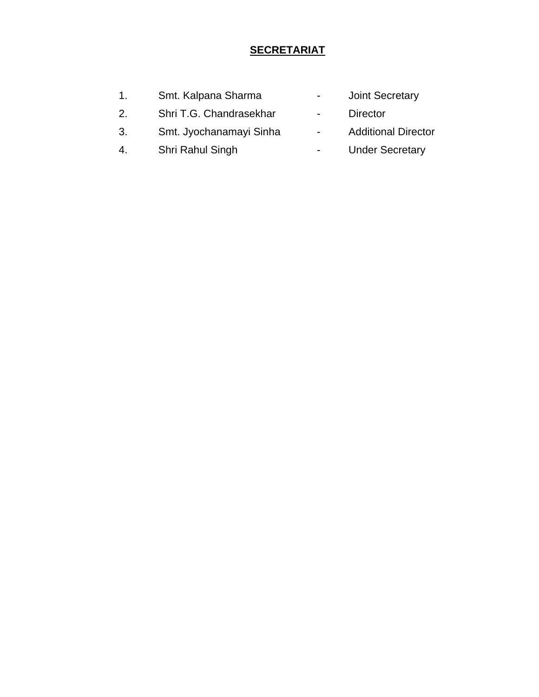# **SECRETARIAT**

| $\mathbf{1}$ . | Smt. Kalpana Sharma     | $\overline{\phantom{0}}$ | <b>Joint Secretary</b>     |
|----------------|-------------------------|--------------------------|----------------------------|
| 2.             | Shri T.G. Chandrasekhar | $\sim$                   | Director                   |
| 3.             | Smt. Jyochanamayi Sinha | $\blacksquare$           | <b>Additional Director</b> |
| 4.             | Shri Rahul Singh        |                          | <b>Under Secretary</b>     |
|                |                         |                          |                            |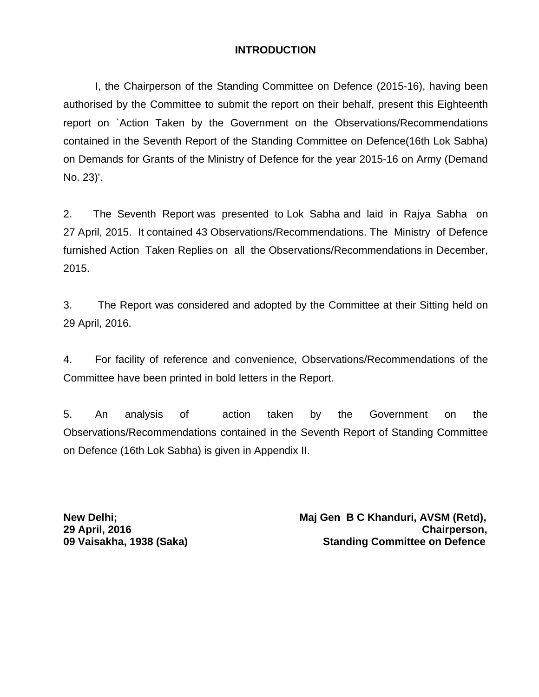# **INTRODUCTION**

I, the Chairperson of the Standing Committee on Defence (2015-16), having been authorised by the Committee to submit the report on their behalf, present this Eighteenth report on `Action Taken by the Government on the Observations/Recommendations contained in the Seventh Report of the Standing Committee on Defence(16th Lok Sabha) on Demands for Grants of the Ministry of Defence for the year 2015-16 on Army (Demand No. 23)'.

2. The Seventh Report was presented to Lok Sabha and laid in Rajya Sabha on 27 April, 2015. It contained 43 Observations/Recommendations. The Ministry of Defence furnished Action Taken Replies on all the Observations/Recommendations in December, 2015.

3. The Report was considered and adopted by the Committee at their Sitting held on 29 April, 2016.

4. For facility of reference and convenience, Observations/Recommendations of the Committee have been printed in bold letters in the Report.

5. An analysis of action taken by the Government on the Observations/Recommendations contained in the Seventh Report of Standing Committee on Defence (16th Lok Sabha) is given in Appendix II.

New Delhi; **New Delhi;** New Delhi; and Maj Gen B C Khanduri, AVSM (Retd), **29 April, 2016 Chairperson, 09 Vaisakha, 1938 (Saka) Standing Committee on Defence**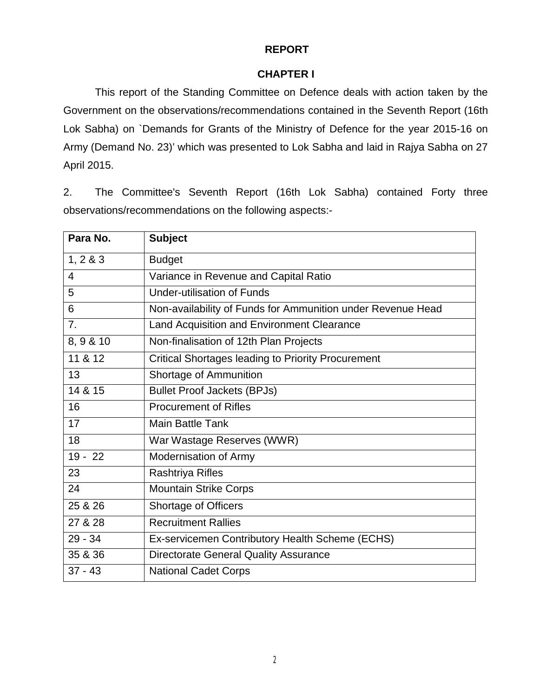# **REPORT**

#### **CHAPTER I**

This report of the Standing Committee on Defence deals with action taken by the Government on the observations/recommendations contained in the Seventh Report (16th Lok Sabha) on `Demands for Grants of the Ministry of Defence for the year 2015-16 on Army (Demand No. 23)' which was presented to Lok Sabha and laid in Rajya Sabha on 27 April 2015.

2. The Committee's Seventh Report (16th Lok Sabha) contained Forty three observations/recommendations on the following aspects:-

| Para No.       | <b>Subject</b>                                              |
|----------------|-------------------------------------------------------------|
| 1, 2 & 3       | <b>Budget</b>                                               |
| $\overline{4}$ | Variance in Revenue and Capital Ratio                       |
| 5              | <b>Under-utilisation of Funds</b>                           |
| 6              | Non-availability of Funds for Ammunition under Revenue Head |
| 7 <sub>1</sub> | Land Acquisition and Environment Clearance                  |
| 8, 9 & 10      | Non-finalisation of 12th Plan Projects                      |
| 11 & 12        | <b>Critical Shortages leading to Priority Procurement</b>   |
| 13             | Shortage of Ammunition                                      |
| 14 & 15        | <b>Bullet Proof Jackets (BPJs)</b>                          |
| 16             | <b>Procurement of Rifles</b>                                |
| 17             | <b>Main Battle Tank</b>                                     |
| 18             | War Wastage Reserves (WWR)                                  |
| $19 - 22$      | Modernisation of Army                                       |
| 23             | <b>Rashtriya Rifles</b>                                     |
| 24             | <b>Mountain Strike Corps</b>                                |
| 25 & 26        | <b>Shortage of Officers</b>                                 |
| 27 & 28        | <b>Recruitment Rallies</b>                                  |
| $29 - 34$      | Ex-servicemen Contributory Health Scheme (ECHS)             |
| 35 & 36        | <b>Directorate General Quality Assurance</b>                |
| $37 - 43$      | <b>National Cadet Corps</b>                                 |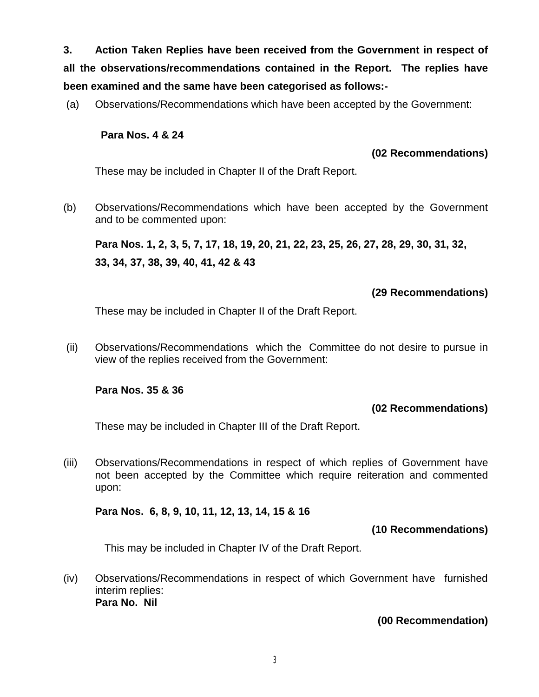**3. Action Taken Replies have been received from the Government in respect of all the observations/recommendations contained in the Report. The replies have been examined and the same have been categorised as follows:-**

(a) Observations/Recommendations which have been accepted by the Government:

## **Para Nos. 4 & 24**

## **(02 Recommendations)**

These may be included in Chapter II of the Draft Report.

(b) Observations/Recommendations which have been accepted by the Government and to be commented upon:

**Para Nos. 1, 2, 3, 5, 7, 17, 18, 19, 20, 21, 22, 23, 25, 26, 27, 28, 29, 30, 31, 32, 33, 34, 37, 38, 39, 40, 41, 42 & 43**

# **(29 Recommendations)**

These may be included in Chapter II of the Draft Report.

(ii) Observations/Recommendations which the Committee do not desire to pursue in view of the replies received from the Government:

# **Para Nos. 35 & 36**

# **(02 Recommendations)**

These may be included in Chapter III of the Draft Report.

(iii) Observations/Recommendations in respect of which replies of Government have not been accepted by the Committee which require reiteration and commented upon:

#### **Para Nos. 6, 8, 9, 10, 11, 12, 13, 14, 15 & 16**

# **(10 Recommendations)**

This may be included in Chapter IV of the Draft Report.

(iv) Observations/Recommendations in respect of which Government have furnished interim replies: **Para No. Nil**

# **(00 Recommendation)**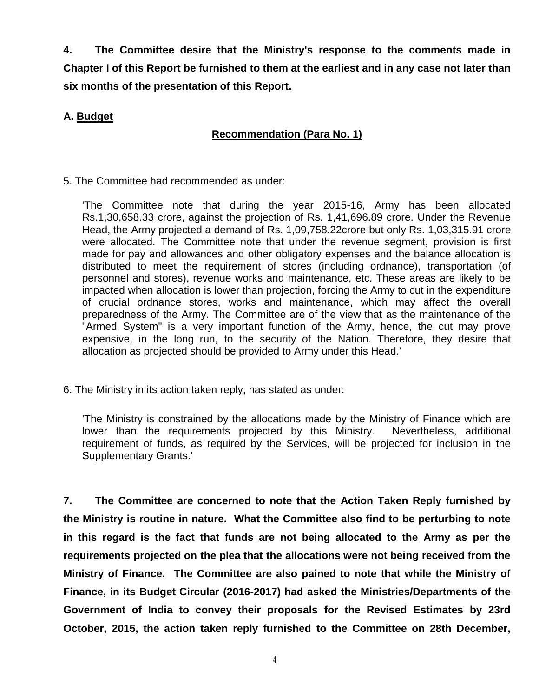**4. The Committee desire that the Ministry's response to the comments made in Chapter I of this Report be furnished to them at the earliest and in any case not later than six months of the presentation of this Report.**

# **A. Budget**

# **Recommendation (Para No. 1)**

5. The Committee had recommended as under:

'The Committee note that during the year 2015-16, Army has been allocated Rs.1,30,658.33 crore, against the projection of Rs. 1,41,696.89 crore. Under the Revenue Head, the Army projected a demand of Rs. 1,09,758.22crore but only Rs. 1,03,315.91 crore were allocated. The Committee note that under the revenue segment, provision is first made for pay and allowances and other obligatory expenses and the balance allocation is distributed to meet the requirement of stores (including ordnance), transportation (of personnel and stores), revenue works and maintenance, etc. These areas are likely to be impacted when allocation is lower than projection, forcing the Army to cut in the expenditure of crucial ordnance stores, works and maintenance, which may affect the overall preparedness of the Army. The Committee are of the view that as the maintenance of the "Armed System" is a very important function of the Army, hence, the cut may prove expensive, in the long run, to the security of the Nation. Therefore, they desire that allocation as projected should be provided to Army under this Head.'

6. The Ministry in its action taken reply, has stated as under:

'The Ministry is constrained by the allocations made by the Ministry of Finance which are lower than the requirements projected by this Ministry. Nevertheless, additional requirement of funds, as required by the Services, will be projected for inclusion in the Supplementary Grants.'

**7. The Committee are concerned to note that the Action Taken Reply furnished by the Ministry is routine in nature. What the Committee also find to be perturbing to note in this regard is the fact that funds are not being allocated to the Army as per the requirements projected on the plea that the allocations were not being received from the Ministry of Finance. The Committee are also pained to note that while the Ministry of Finance, in its Budget Circular (2016-2017) had asked the Ministries/Departments of the Government of India to convey their proposals for the Revised Estimates by 23rd October, 2015, the action taken reply furnished to the Committee on 28th December,**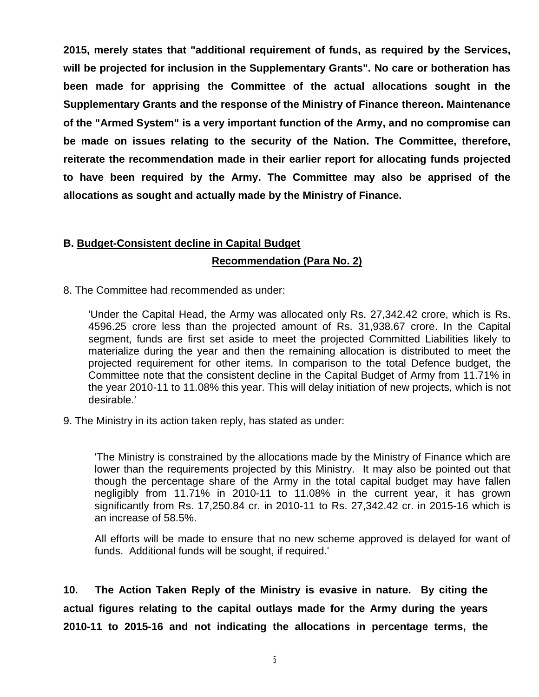**2015, merely states that "additional requirement of funds, as required by the Services, will be projected for inclusion in the Supplementary Grants". No care or botheration has been made for apprising the Committee of the actual allocations sought in the Supplementary Grants and the response of the Ministry of Finance thereon. Maintenance of the "Armed System" is a very important function of the Army, and no compromise can be made on issues relating to the security of the Nation. The Committee, therefore, reiterate the recommendation made in their earlier report for allocating funds projected to have been required by the Army. The Committee may also be apprised of the allocations as sought and actually made by the Ministry of Finance.**

# **B. Budget-Consistent decline in Capital Budget Recommendation (Para No. 2)**

8. The Committee had recommended as under:

'Under the Capital Head, the Army was allocated only Rs. 27,342.42 crore, which is Rs. 4596.25 crore less than the projected amount of Rs. 31,938.67 crore. In the Capital segment, funds are first set aside to meet the projected Committed Liabilities likely to materialize during the year and then the remaining allocation is distributed to meet the projected requirement for other items. In comparison to the total Defence budget, the Committee note that the consistent decline in the Capital Budget of Army from 11.71% in the year 2010-11 to 11.08% this year. This will delay initiation of new projects, which is not desirable.'

9. The Ministry in its action taken reply, has stated as under:

'The Ministry is constrained by the allocations made by the Ministry of Finance which are lower than the requirements projected by this Ministry. It may also be pointed out that though the percentage share of the Army in the total capital budget may have fallen negligibly from 11.71% in 2010-11 to 11.08% in the current year, it has grown significantly from Rs. 17,250.84 cr. in 2010-11 to Rs. 27,342.42 cr. in 2015-16 which is an increase of 58.5%.

All efforts will be made to ensure that no new scheme approved is delayed for want of funds. Additional funds will be sought, if required.'

**10. The Action Taken Reply of the Ministry is evasive in nature. By citing the actual figures relating to the capital outlays made for the Army during the years 2010-11 to 2015-16 and not indicating the allocations in percentage terms, the**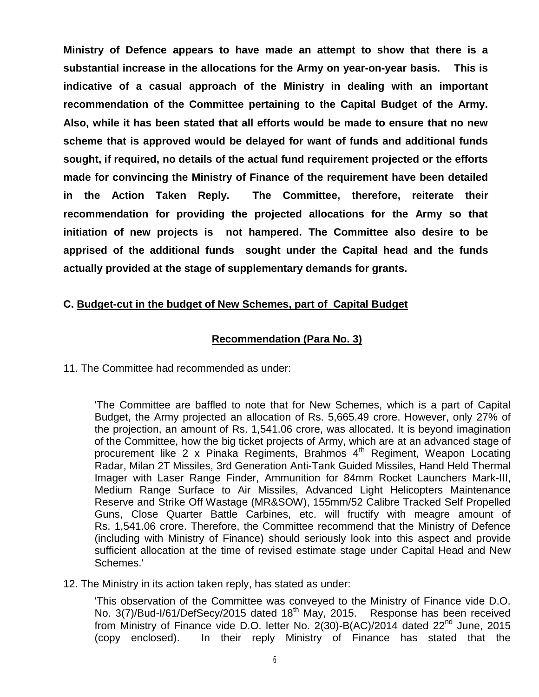**Ministry of Defence appears to have made an attempt to show that there is a substantial increase in the allocations for the Army on year-on-year basis. This is indicative of a casual approach of the Ministry in dealing with an important recommendation of the Committee pertaining to the Capital Budget of the Army. Also, while it has been stated that all efforts would be made to ensure that no new scheme that is approved would be delayed for want of funds and additional funds sought, if required, no details of the actual fund requirement projected or the efforts made for convincing the Ministry of Finance of the requirement have been detailed in the Action Taken Reply. The Committee, therefore, reiterate their recommendation for providing the projected allocations for the Army so that initiation of new projects is not hampered. The Committee also desire to be apprised of the additional funds sought under the Capital head and the funds actually provided at the stage of supplementary demands for grants.**

# **C. Budget-cut in the budget of New Schemes, part of Capital Budget**

#### **Recommendation (Para No. 3)**

11. The Committee had recommended as under:

'The Committee are baffled to note that for New Schemes, which is a part of Capital Budget, the Army projected an allocation of Rs. 5,665.49 crore. However, only 27% of the projection, an amount of Rs. 1,541.06 crore, was allocated. It is beyond imagination of the Committee, how the big ticket projects of Army, which are at an advanced stage of procurement like 2 x Pinaka Regiments, Brahmos 4<sup>th</sup> Regiment, Weapon Locating Radar, Milan 2T Missiles, 3rd Generation Anti-Tank Guided Missiles, Hand Held Thermal Imager with Laser Range Finder, Ammunition for 84mm Rocket Launchers Mark-III, Medium Range Surface to Air Missiles, Advanced Light Helicopters Maintenance Reserve and Strike Off Wastage (MR&SOW), 155mm/52 Calibre Tracked Self Propelled Guns, Close Quarter Battle Carbines, etc. will fructify with meagre amount of Rs. 1,541.06 crore. Therefore, the Committee recommend that the Ministry of Defence (including with Ministry of Finance) should seriously look into this aspect and provide sufficient allocation at the time of revised estimate stage under Capital Head and New Schemes.'

12. The Ministry in its action taken reply, has stated as under:

'This observation of the Committee was conveyed to the Ministry of Finance vide D.O. No. 3(7)/Bud-I/61/DefSecy/2015 dated 18<sup>th</sup> May, 2015. Response has been received from Ministry of Finance vide D.O. letter No.  $2(30)$ -B(AC)/2014 dated  $22<sup>nd</sup>$  June, 2015 (copy enclosed). In their reply Ministry of Finance has stated that the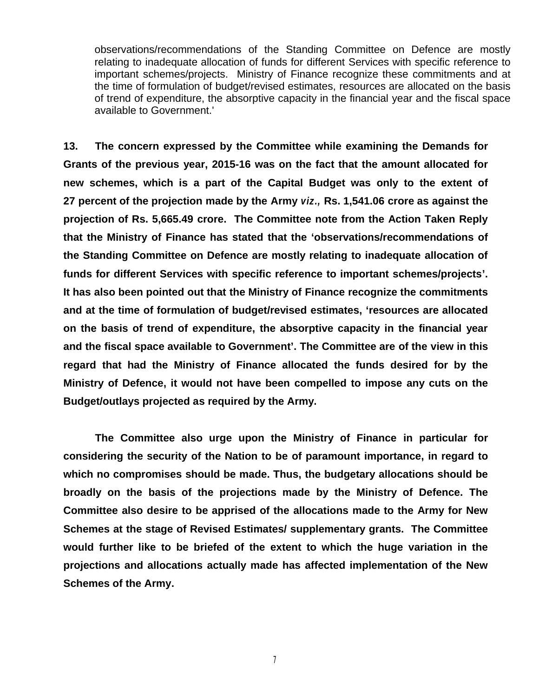observations/recommendations of the Standing Committee on Defence are mostly relating to inadequate allocation of funds for different Services with specific reference to important schemes/projects. Ministry of Finance recognize these commitments and at the time of formulation of budget/revised estimates, resources are allocated on the basis of trend of expenditure, the absorptive capacity in the financial year and the fiscal space available to Government.'

**13. The concern expressed by the Committee while examining the Demands for Grants of the previous year, 2015-16 was on the fact that the amount allocated for new schemes, which is a part of the Capital Budget was only to the extent of 27 percent of the projection made by the Army** *viz.,* **Rs. 1,541.06 crore as against the projection of Rs. 5,665.49 crore. The Committee note from the Action Taken Reply that the Ministry of Finance has stated that the 'observations/recommendations of the Standing Committee on Defence are mostly relating to inadequate allocation of funds for different Services with specific reference to important schemes/projects'. It has also been pointed out that the Ministry of Finance recognize the commitments and at the time of formulation of budget/revised estimates, 'resources are allocated on the basis of trend of expenditure, the absorptive capacity in the financial year and the fiscal space available to Government'. The Committee are of the view in this regard that had the Ministry of Finance allocated the funds desired for by the Ministry of Defence, it would not have been compelled to impose any cuts on the Budget/outlays projected as required by the Army.**

**The Committee also urge upon the Ministry of Finance in particular for considering the security of the Nation to be of paramount importance, in regard to which no compromises should be made. Thus, the budgetary allocations should be broadly on the basis of the projections made by the Ministry of Defence. The Committee also desire to be apprised of the allocations made to the Army for New Schemes at the stage of Revised Estimates/ supplementary grants. The Committee would further like to be briefed of the extent to which the huge variation in the projections and allocations actually made has affected implementation of the New Schemes of the Army.**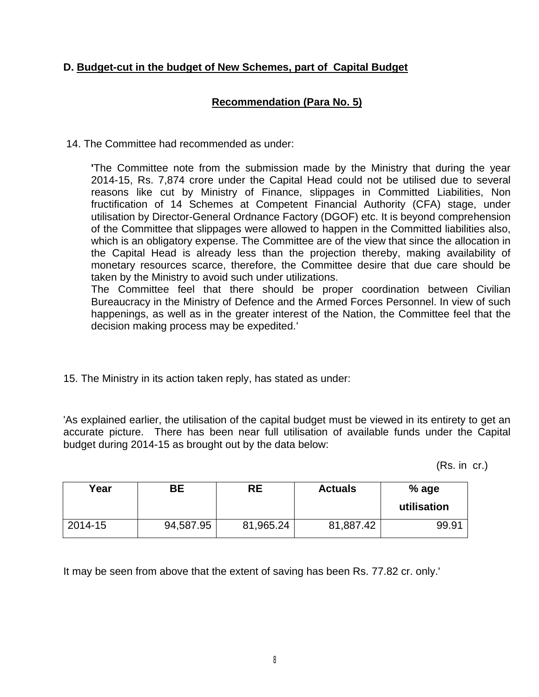# **D. Budget-cut in the budget of New Schemes, part of Capital Budget**

# **Recommendation (Para No. 5)**

14. The Committee had recommended as under:

**'**The Committee note from the submission made by the Ministry that during the year 2014-15, Rs. 7,874 crore under the Capital Head could not be utilised due to several reasons like cut by Ministry of Finance, slippages in Committed Liabilities, Non fructification of 14 Schemes at Competent Financial Authority (CFA) stage, under utilisation by Director-General Ordnance Factory (DGOF) etc. It is beyond comprehension of the Committee that slippages were allowed to happen in the Committed liabilities also, which is an obligatory expense. The Committee are of the view that since the allocation in the Capital Head is already less than the projection thereby, making availability of monetary resources scarce, therefore, the Committee desire that due care should be taken by the Ministry to avoid such under utilizations.

The Committee feel that there should be proper coordination between Civilian Bureaucracy in the Ministry of Defence and the Armed Forces Personnel. In view of such happenings, as well as in the greater interest of the Nation, the Committee feel that the decision making process may be expedited.'

15. The Ministry in its action taken reply, has stated as under:

'As explained earlier, the utilisation of the capital budget must be viewed in its entirety to get an accurate picture. There has been near full utilisation of available funds under the Capital budget during 2014-15 as brought out by the data below:

(Rs. in cr.)

| Year    | BЕ        | RE        | <b>Actuals</b> | % age<br>utilisation |
|---------|-----------|-----------|----------------|----------------------|
| 2014-15 | 94,587.95 | 81,965.24 | 81,887.42      | 99.91                |

It may be seen from above that the extent of saving has been Rs. 77.82 cr. only.'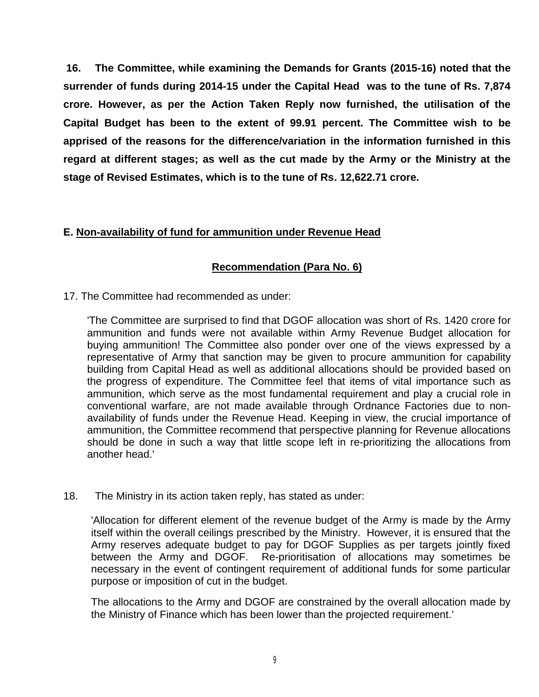**16. The Committee, while examining the Demands for Grants (2015-16) noted that the surrender of funds during 2014-15 under the Capital Head was to the tune of Rs. 7,874 crore. However, as per the Action Taken Reply now furnished, the utilisation of the Capital Budget has been to the extent of 99.91 percent. The Committee wish to be apprised of the reasons for the difference/variation in the information furnished in this regard at different stages; as well as the cut made by the Army or the Ministry at the stage of Revised Estimates, which is to the tune of Rs. 12,622.71 crore.**

# **E. Non-availability of fund for ammunition under Revenue Head**

# **Recommendation (Para No. 6)**

17. The Committee had recommended as under:

'The Committee are surprised to find that DGOF allocation was short of Rs. 1420 crore for ammunition and funds were not available within Army Revenue Budget allocation for buying ammunition! The Committee also ponder over one of the views expressed by a representative of Army that sanction may be given to procure ammunition for capability building from Capital Head as well as additional allocations should be provided based on the progress of expenditure. The Committee feel that items of vital importance such as ammunition, which serve as the most fundamental requirement and play a crucial role in conventional warfare, are not made available through Ordnance Factories due to nonavailability of funds under the Revenue Head. Keeping in view, the crucial importance of ammunition, the Committee recommend that perspective planning for Revenue allocations should be done in such a way that little scope left in re-prioritizing the allocations from another head.'

18. The Ministry in its action taken reply, has stated as under:

'Allocation for different element of the revenue budget of the Army is made by the Army itself within the overall ceilings prescribed by the Ministry. However, it is ensured that the Army reserves adequate budget to pay for DGOF Supplies as per targets jointly fixed between the Army and DGOF. Re-prioritisation of allocations may sometimes be necessary in the event of contingent requirement of additional funds for some particular purpose or imposition of cut in the budget.

The allocations to the Army and DGOF are constrained by the overall allocation made by the Ministry of Finance which has been lower than the projected requirement.'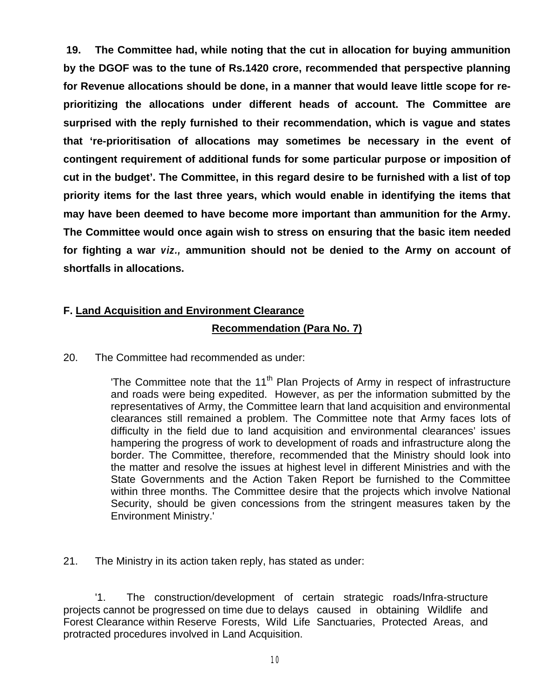**19. The Committee had, while noting that the cut in allocation for buying ammunition by the DGOF was to the tune of Rs.1420 crore, recommended that perspective planning for Revenue allocations should be done, in a manner that would leave little scope for reprioritizing the allocations under different heads of account. The Committee are surprised with the reply furnished to their recommendation, which is vague and states that 're-prioritisation of allocations may sometimes be necessary in the event of contingent requirement of additional funds for some particular purpose or imposition of cut in the budget'. The Committee, in this regard desire to be furnished with a list of top priority items for the last three years, which would enable in identifying the items that may have been deemed to have become more important than ammunition for the Army. The Committee would once again wish to stress on ensuring that the basic item needed for fighting a war** *viz.,* **ammunition should not be denied to the Army on account of shortfalls in allocations.**

# **F. Land Acquisition and Environment Clearance**

# **Recommendation (Para No. 7)**

20. The Committee had recommended as under:

The Committee note that the  $11<sup>th</sup>$  Plan Projects of Army in respect of infrastructure and roads were being expedited. However, as per the information submitted by the representatives of Army, the Committee learn that land acquisition and environmental clearances still remained a problem. The Committee note that Army faces lots of difficulty in the field due to land acquisition and environmental clearances' issues hampering the progress of work to development of roads and infrastructure along the border. The Committee, therefore, recommended that the Ministry should look into the matter and resolve the issues at highest level in different Ministries and with the State Governments and the Action Taken Report be furnished to the Committee within three months. The Committee desire that the projects which involve National Security, should be given concessions from the stringent measures taken by the Environment Ministry.'

21. The Ministry in its action taken reply, has stated as under:

'1. The construction/development of certain strategic roads/Infra-structure projects cannot be progressed on time due to delays caused in obtaining Wildlife and Forest Clearance within Reserve Forests, Wild Life Sanctuaries, Protected Areas, and protracted procedures involved in Land Acquisition.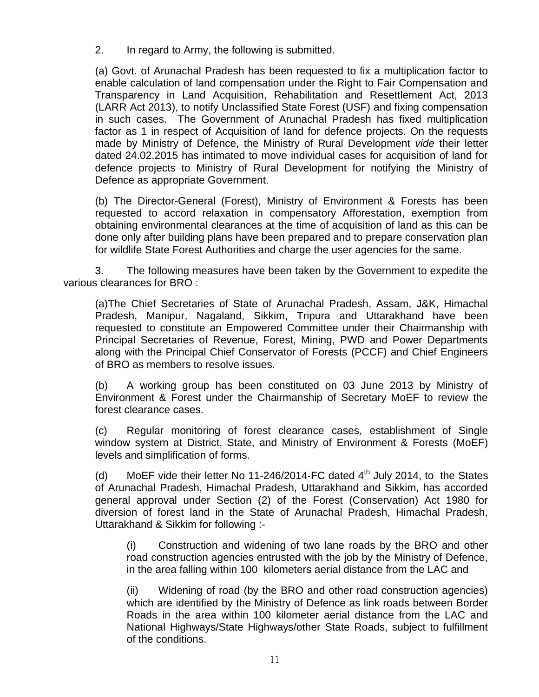2. In regard to Army, the following is submitted.

(a) Govt. of Arunachal Pradesh has been requested to fix a multiplication factor to enable calculation of land compensation under the Right to Fair Compensation and Transparency in Land Acquisition, Rehabilitation and Resettlement Act, 2013 (LARR Act 2013), to notify Unclassified State Forest (USF) and fixing compensation in such cases. The Government of Arunachal Pradesh has fixed multiplication factor as 1 in respect of Acquisition of land for defence projects. On the requests made by Ministry of Defence, the Ministry of Rural Development *vide* their letter dated 24.02.2015 has intimated to move individual cases for acquisition of land for defence projects to Ministry of Rural Development for notifying the Ministry of Defence as appropriate Government.

(b) The Director-General (Forest), Ministry of Environment & Forests has been requested to accord relaxation in compensatory Afforestation, exemption from obtaining environmental clearances at the time of acquisition of land as this can be done only after building plans have been prepared and to prepare conservation plan for wildlife State Forest Authorities and charge the user agencies for the same.

3. The following measures have been taken by the Government to expedite the various clearances for BRO :

(a)The Chief Secretaries of State of Arunachal Pradesh, Assam, J&K, Himachal Pradesh, Manipur, Nagaland, Sikkim, Tripura and Uttarakhand have been requested to constitute an Empowered Committee under their Chairmanship with Principal Secretaries of Revenue, Forest, Mining, PWD and Power Departments along with the Principal Chief Conservator of Forests (PCCF) and Chief Engineers of BRO as members to resolve issues.

(b) A working group has been constituted on 03 June 2013 by Ministry of Environment & Forest under the Chairmanship of Secretary MoEF to review the forest clearance cases.

(c) Regular monitoring of forest clearance cases, establishment of Single window system at District, State, and Ministry of Environment & Forests (MoEF) levels and simplification of forms.

(d) MoEF vide their letter No 11-246/2014-FC dated  $4<sup>th</sup>$  July 2014, to the States of Arunachal Pradesh, Himachal Pradesh, Uttarakhand and Sikkim, has accorded general approval under Section (2) of the Forest (Conservation) Act 1980 for diversion of forest land in the State of Arunachal Pradesh, Himachal Pradesh, Uttarakhand & Sikkim for following :-

(i) Construction and widening of two lane roads by the BRO and other road construction agencies entrusted with the job by the Ministry of Defence, in the area falling within 100 kilometers aerial distance from the LAC and

(ii) Widening of road (by the BRO and other road construction agencies) which are identified by the Ministry of Defence as link roads between Border Roads in the area within 100 kilometer aerial distance from the LAC and National Highways/State Highways/other State Roads, subject to fulfillment of the conditions.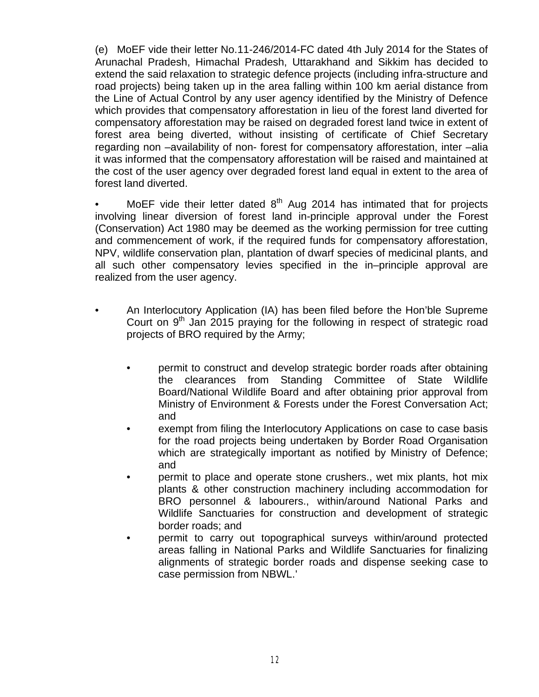(e) MoEF vide their letter No.11-246/2014-FC dated 4th July 2014 for the States of Arunachal Pradesh, Himachal Pradesh, Uttarakhand and Sikkim has decided to extend the said relaxation to strategic defence projects (including infra-structure and road projects) being taken up in the area falling within 100 km aerial distance from the Line of Actual Control by any user agency identified by the Ministry of Defence which provides that compensatory afforestation in lieu of the forest land diverted for compensatory afforestation may be raised on degraded forest land twice in extent of forest area being diverted, without insisting of certificate of Chief Secretary regarding non –availability of non- forest for compensatory afforestation, inter –alia it was informed that the compensatory afforestation will be raised and maintained at the cost of the user agency over degraded forest land equal in extent to the area of forest land diverted.

MoEF vide their letter dated  $8<sup>th</sup>$  Aug 2014 has intimated that for projects involving linear diversion of forest land in-principle approval under the Forest (Conservation) Act 1980 may be deemed as the working permission for tree cutting and commencement of work, if the required funds for compensatory afforestation, NPV, wildlife conservation plan, plantation of dwarf species of medicinal plants, and all such other compensatory levies specified in the in–principle approval are realized from the user agency.

- An Interlocutory Application (IA) has been filed before the Hon'ble Supreme Court on  $9<sup>th</sup>$  Jan 2015 praying for the following in respect of strategic road projects of BRO required by the Army;
	- permit to construct and develop strategic border roads after obtaining the clearances from Standing Committee of State Wildlife Board/National Wildlife Board and after obtaining prior approval from Ministry of Environment & Forests under the Forest Conversation Act; and
	- exempt from filing the Interlocutory Applications on case to case basis for the road projects being undertaken by Border Road Organisation which are strategically important as notified by Ministry of Defence; and
	- permit to place and operate stone crushers., wet mix plants, hot mix plants & other construction machinery including accommodation for BRO personnel & labourers., within/around National Parks and Wildlife Sanctuaries for construction and development of strategic border roads; and
	- permit to carry out topographical surveys within/around protected areas falling in National Parks and Wildlife Sanctuaries for finalizing alignments of strategic border roads and dispense seeking case to case permission from NBWL.'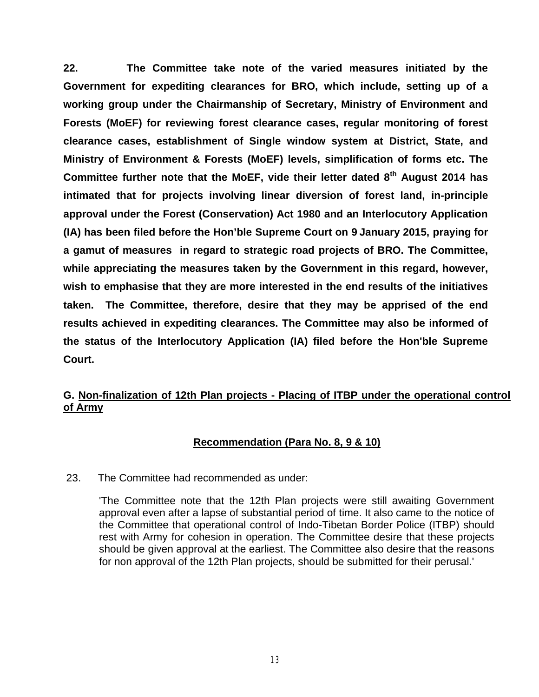**22. The Committee take note of the varied measures initiated by the Government for expediting clearances for BRO, which include, setting up of a working group under the Chairmanship of Secretary, Ministry of Environment and Forests (MoEF) for reviewing forest clearance cases, regular monitoring of forest clearance cases, establishment of Single window system at District, State, and Ministry of Environment & Forests (MoEF) levels, simplification of forms etc. The Committee further note that the MoEF, vide their letter dated 8th August 2014 has intimated that for projects involving linear diversion of forest land, in-principle approval under the Forest (Conservation) Act 1980 and an Interlocutory Application (IA) has been filed before the Hon'ble Supreme Court on 9 January 2015, praying for a gamut of measures in regard to strategic road projects of BRO. The Committee, while appreciating the measures taken by the Government in this regard, however, wish to emphasise that they are more interested in the end results of the initiatives taken. The Committee, therefore, desire that they may be apprised of the end results achieved in expediting clearances. The Committee may also be informed of the status of the Interlocutory Application (IA) filed before the Hon'ble Supreme Court.**

# **G. Non-finalization of 12th Plan projects - Placing of ITBP under the operational control of Army**

# **Recommendation (Para No. 8, 9 & 10)**

23. The Committee had recommended as under:

'The Committee note that the 12th Plan projects were still awaiting Government approval even after a lapse of substantial period of time. It also came to the notice of the Committee that operational control of Indo-Tibetan Border Police (ITBP) should rest with Army for cohesion in operation. The Committee desire that these projects should be given approval at the earliest. The Committee also desire that the reasons for non approval of the 12th Plan projects, should be submitted for their perusal.'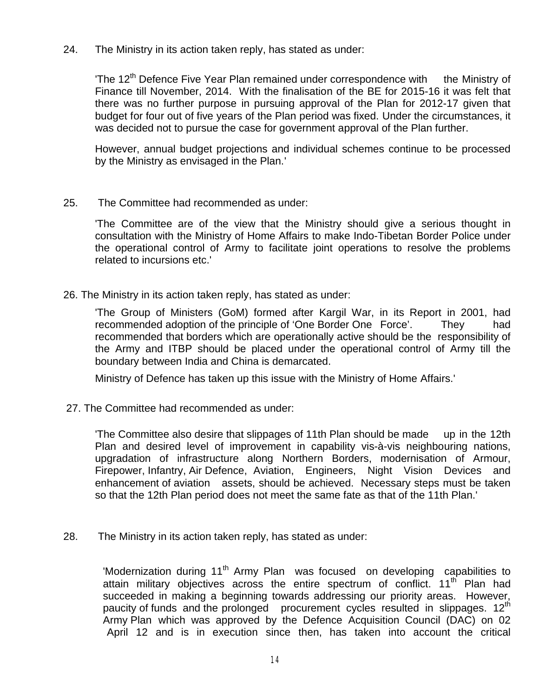24. The Ministry in its action taken reply, has stated as under:

'The 12<sup>th</sup> Defence Five Year Plan remained under correspondence with the Ministry of Finance till November, 2014. With the finalisation of the BE for 2015-16 it was felt that there was no further purpose in pursuing approval of the Plan for 2012-17 given that budget for four out of five years of the Plan period was fixed. Under the circumstances, it was decided not to pursue the case for government approval of the Plan further.

However, annual budget projections and individual schemes continue to be processed by the Ministry as envisaged in the Plan.'

25. The Committee had recommended as under:

'The Committee are of the view that the Ministry should give a serious thought in consultation with the Ministry of Home Affairs to make Indo-Tibetan Border Police under the operational control of Army to facilitate joint operations to resolve the problems related to incursions etc.'

26. The Ministry in its action taken reply, has stated as under:

'The Group of Ministers (GoM) formed after Kargil War, in its Report in 2001, had recommended adoption of the principle of 'One Border One Force'. They had recommended that borders which are operationally active should be the responsibility of the Army and ITBP should be placed under the operational control of Army till the boundary between India and China is demarcated.

Ministry of Defence has taken up this issue with the Ministry of Home Affairs.'

27. The Committee had recommended as under:

'The Committee also desire that slippages of 11th Plan should be made up in the 12th Plan and desired level of improvement in capability vis-à-vis neighbouring nations, upgradation of infrastructure along Northern Borders, modernisation of Armour, Firepower, Infantry, Air Defence, Aviation, Engineers, Night Vision Devices and enhancement of aviation assets, should be achieved. Necessary steps must be taken so that the 12th Plan period does not meet the same fate as that of the 11th Plan.'

28. The Ministry in its action taken reply, has stated as under:

'Modernization during 11<sup>th</sup> Army Plan was focused on developing capabilities to attain military objectives across the entire spectrum of conflict.  $11<sup>th</sup>$  Plan had succeeded in making a beginning towards addressing our priority areas. However, paucity of funds and the prolonged procurement cycles resulted in slippages. 12<sup>th</sup> Army Plan which was approved by the Defence Acquisition Council (DAC) on 02 April 12 and is in execution since then, has taken into account the critical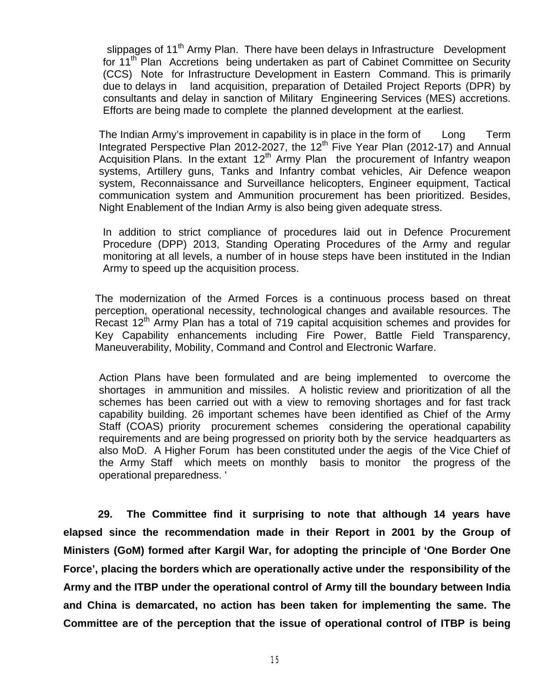slippages of 11<sup>th</sup> Army Plan. There have been delays in Infrastructure Development for 11<sup>th</sup> Plan Accretions being undertaken as part of Cabinet Committee on Security (CCS) Note for Infrastructure Development in Eastern Command. This is primarily due to delays in land acquisition, preparation of Detailed Project Reports (DPR) by consultants and delay in sanction of Military Engineering Services (MES) accretions. Efforts are being made to complete the planned development at the earliest.

The Indian Army's improvement in capability is in place in the form of Long Term Integrated Perspective Plan 2012-2027, the 12<sup>th</sup> Five Year Plan (2012-17) and Annual Acquisition Plans. In the extant  $12<sup>th</sup>$  Army Plan the procurement of Infantry weapon systems, Artillery guns, Tanks and Infantry combat vehicles, Air Defence weapon system, Reconnaissance and Surveillance helicopters, Engineer equipment, Tactical communication system and Ammunition procurement has been prioritized. Besides, Night Enablement of the Indian Army is also being given adequate stress.

In addition to strict compliance of procedures laid out in Defence Procurement Procedure (DPP) 2013, Standing Operating Procedures of the Army and regular monitoring at all levels, a number of in house steps have been instituted in the Indian Army to speed up the acquisition process.

The modernization of the Armed Forces is a continuous process based on threat perception, operational necessity, technological changes and available resources. The Recast  $12<sup>th</sup>$  Army Plan has a total of 719 capital acquisition schemes and provides for Key Capability enhancements including Fire Power, Battle Field Transparency, Maneuverability, Mobility, Command and Control and Electronic Warfare.

Action Plans have been formulated and are being implemented to overcome the shortages in ammunition and missiles. A holistic review and prioritization of all the schemes has been carried out with a view to removing shortages and for fast track capability building. 26 important schemes have been identified as Chief of the Army Staff (COAS) priority procurement schemes considering the operational capability requirements and are being progressed on priority both by the service headquarters as also MoD. A Higher Forum has been constituted under the aegis of the Vice Chief of the Army Staff which meets on monthly basis to monitor the progress of the operational preparedness. '

**29. The Committee find it surprising to note that although 14 years have elapsed since the recommendation made in their Report in 2001 by the Group of Ministers (GoM) formed after Kargil War, for adopting the principle of 'One Border One Force', placing the borders which are operationally active under the responsibility of the Army and the ITBP under the operational control of Army till the boundary between India and China is demarcated, no action has been taken for implementing the same. The Committee are of the perception that the issue of operational control of ITBP is being**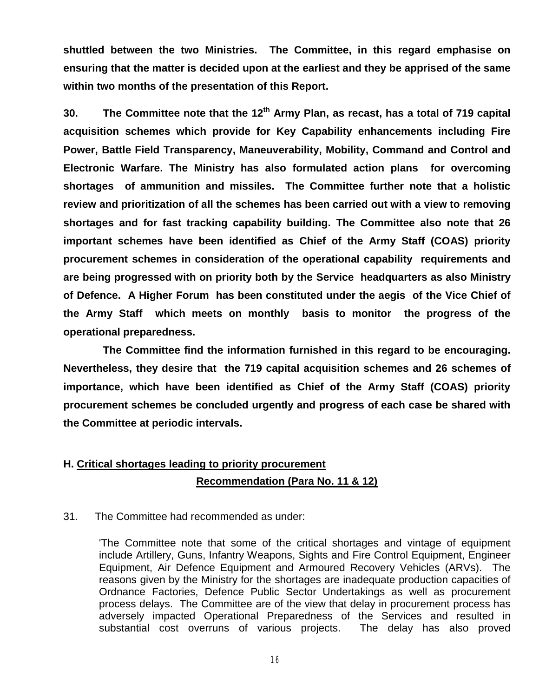**shuttled between the two Ministries. The Committee, in this regard emphasise on ensuring that the matter is decided upon at the earliest and they be apprised of the same within two months of the presentation of this Report.**

**30. The Committee note that the 12th Army Plan, as recast, has a total of 719 capital acquisition schemes which provide for Key Capability enhancements including Fire Power, Battle Field Transparency, Maneuverability, Mobility, Command and Control and Electronic Warfare. The Ministry has also formulated action plans for overcoming shortages of ammunition and missiles. The Committee further note that a holistic review and prioritization of all the schemes has been carried out with a view to removing shortages and for fast tracking capability building. The Committee also note that 26 important schemes have been identified as Chief of the Army Staff (COAS) priority procurement schemes in consideration of the operational capability requirements and are being progressed with on priority both by the Service headquarters as also Ministry of Defence. A Higher Forum has been constituted under the aegis of the Vice Chief of the Army Staff which meets on monthly basis to monitor the progress of the operational preparedness.** 

**The Committee find the information furnished in this regard to be encouraging. Nevertheless, they desire that the 719 capital acquisition schemes and 26 schemes of importance, which have been identified as Chief of the Army Staff (COAS) priority procurement schemes be concluded urgently and progress of each case be shared with the Committee at periodic intervals.** 

# **H. Critical shortages leading to priority procurement Recommendation (Para No. 11 & 12)**

#### 31. The Committee had recommended as under:

'The Committee note that some of the critical shortages and vintage of equipment include Artillery, Guns, Infantry Weapons, Sights and Fire Control Equipment, Engineer Equipment, Air Defence Equipment and Armoured Recovery Vehicles (ARVs). The reasons given by the Ministry for the shortages are inadequate production capacities of Ordnance Factories, Defence Public Sector Undertakings as well as procurement process delays. The Committee are of the view that delay in procurement process has adversely impacted Operational Preparedness of the Services and resulted in substantial cost overruns of various projects. The delay has also proved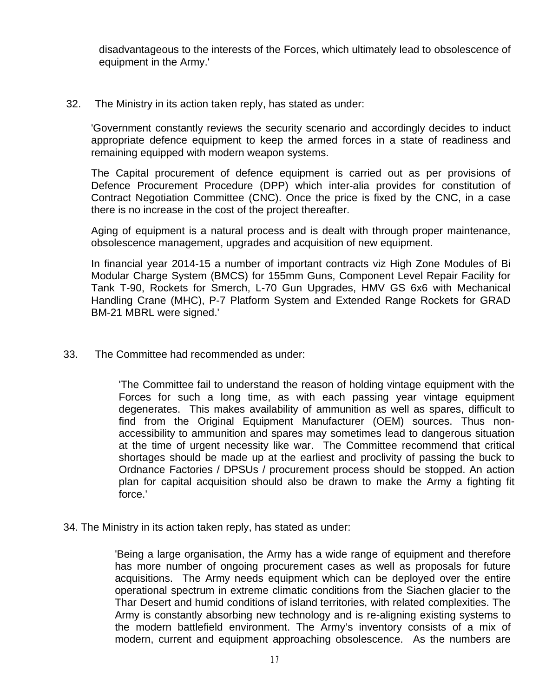disadvantageous to the interests of the Forces, which ultimately lead to obsolescence of equipment in the Army.'

32. The Ministry in its action taken reply, has stated as under:

'Government constantly reviews the security scenario and accordingly decides to induct appropriate defence equipment to keep the armed forces in a state of readiness and remaining equipped with modern weapon systems.

The Capital procurement of defence equipment is carried out as per provisions of Defence Procurement Procedure (DPP) which inter-alia provides for constitution of Contract Negotiation Committee (CNC). Once the price is fixed by the CNC, in a case there is no increase in the cost of the project thereafter.

Aging of equipment is a natural process and is dealt with through proper maintenance, obsolescence management, upgrades and acquisition of new equipment.

In financial year 2014-15 a number of important contracts viz High Zone Modules of Bi Modular Charge System (BMCS) for 155mm Guns, Component Level Repair Facility for Tank T-90, Rockets for Smerch, L-70 Gun Upgrades, HMV GS 6x6 with Mechanical Handling Crane (MHC), P-7 Platform System and Extended Range Rockets for GRAD BM-21 MBRL were signed.'

33. The Committee had recommended as under:

'The Committee fail to understand the reason of holding vintage equipment with the Forces for such a long time, as with each passing year vintage equipment degenerates. This makes availability of ammunition as well as spares, difficult to find from the Original Equipment Manufacturer (OEM) sources. Thus nonaccessibility to ammunition and spares may sometimes lead to dangerous situation at the time of urgent necessity like war. The Committee recommend that critical shortages should be made up at the earliest and proclivity of passing the buck to Ordnance Factories / DPSUs / procurement process should be stopped. An action plan for capital acquisition should also be drawn to make the Army a fighting fit force.'

34. The Ministry in its action taken reply, has stated as under:

'Being a large organisation, the Army has a wide range of equipment and therefore has more number of ongoing procurement cases as well as proposals for future acquisitions. The Army needs equipment which can be deployed over the entire operational spectrum in extreme climatic conditions from the Siachen glacier to the Thar Desert and humid conditions of island territories, with related complexities. The Army is constantly absorbing new technology and is re-aligning existing systems to the modern battlefield environment. The Army's inventory consists of a mix of modern, current and equipment approaching obsolescence. As the numbers are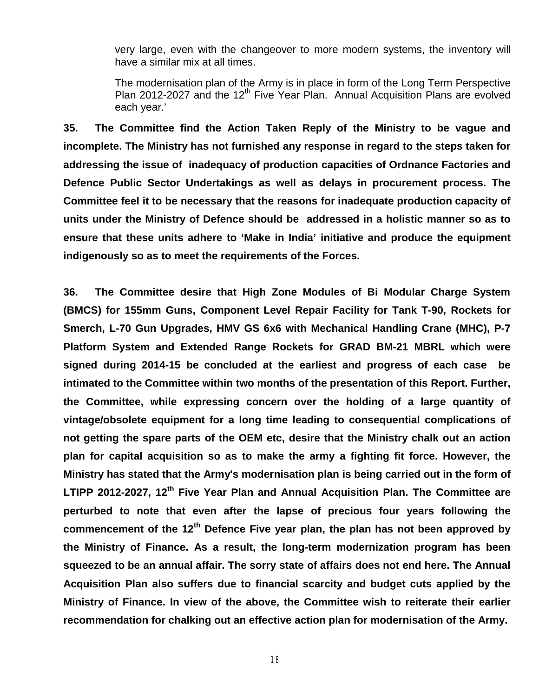very large, even with the changeover to more modern systems, the inventory will have a similar mix at all times.

The modernisation plan of the Army is in place in form of the Long Term Perspective Plan 2012-2027 and the 12<sup>th</sup> Five Year Plan. Annual Acquisition Plans are evolved each year.'

**35. The Committee find the Action Taken Reply of the Ministry to be vague and incomplete. The Ministry has not furnished any response in regard to the steps taken for addressing the issue of inadequacy of production capacities of Ordnance Factories and Defence Public Sector Undertakings as well as delays in procurement process. The Committee feel it to be necessary that the reasons for inadequate production capacity of units under the Ministry of Defence should be addressed in a holistic manner so as to ensure that these units adhere to 'Make in India' initiative and produce the equipment indigenously so as to meet the requirements of the Forces.** 

**36. The Committee desire that High Zone Modules of Bi Modular Charge System (BMCS) for 155mm Guns, Component Level Repair Facility for Tank T-90, Rockets for Smerch, L-70 Gun Upgrades, HMV GS 6x6 with Mechanical Handling Crane (MHC), P-7 Platform System and Extended Range Rockets for GRAD BM-21 MBRL which were signed during 2014-15 be concluded at the earliest and progress of each case be intimated to the Committee within two months of the presentation of this Report. Further, the Committee, while expressing concern over the holding of a large quantity of vintage/obsolete equipment for a long time leading to consequential complications of not getting the spare parts of the OEM etc, desire that the Ministry chalk out an action plan for capital acquisition so as to make the army a fighting fit force. However, the Ministry has stated that the Army's modernisation plan is being carried out in the form of LTIPP 2012-2027, 12th Five Year Plan and Annual Acquisition Plan. The Committee are perturbed to note that even after the lapse of precious four years following the commencement of the 12th Defence Five year plan, the plan has not been approved by the Ministry of Finance. As a result, the long-term modernization program has been squeezed to be an annual affair. The sorry state of affairs does not end here. The Annual Acquisition Plan also suffers due to financial scarcity and budget cuts applied by the Ministry of Finance. In view of the above, the Committee wish to reiterate their earlier recommendation for chalking out an effective action plan for modernisation of the Army.**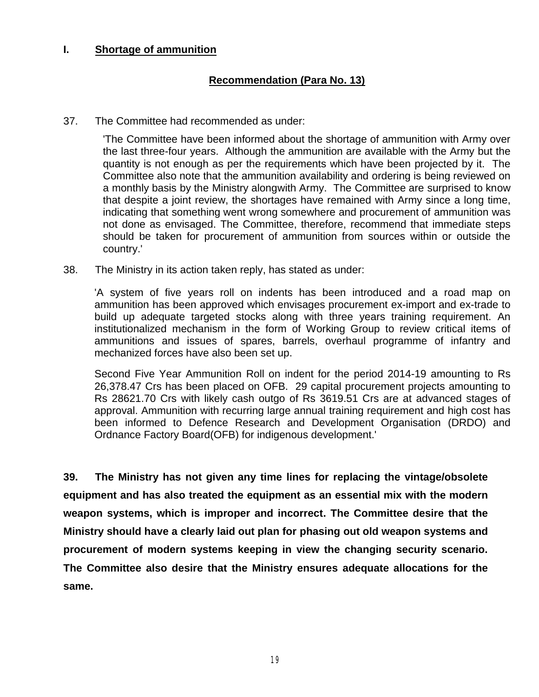#### **I. Shortage of ammunition**

## **Recommendation (Para No. 13)**

37. The Committee had recommended as under:

'The Committee have been informed about the shortage of ammunition with Army over the last three-four years. Although the ammunition are available with the Army but the quantity is not enough as per the requirements which have been projected by it. The Committee also note that the ammunition availability and ordering is being reviewed on a monthly basis by the Ministry alongwith Army. The Committee are surprised to know that despite a joint review, the shortages have remained with Army since a long time, indicating that something went wrong somewhere and procurement of ammunition was not done as envisaged. The Committee, therefore, recommend that immediate steps should be taken for procurement of ammunition from sources within or outside the country.'

38. The Ministry in its action taken reply, has stated as under:

'A system of five years roll on indents has been introduced and a road map on ammunition has been approved which envisages procurement ex-import and ex-trade to build up adequate targeted stocks along with three years training requirement. An institutionalized mechanism in the form of Working Group to review critical items of ammunitions and issues of spares, barrels, overhaul programme of infantry and mechanized forces have also been set up.

Second Five Year Ammunition Roll on indent for the period 2014-19 amounting to Rs 26,378.47 Crs has been placed on OFB. 29 capital procurement projects amounting to Rs 28621.70 Crs with likely cash outgo of Rs 3619.51 Crs are at advanced stages of approval. Ammunition with recurring large annual training requirement and high cost has been informed to Defence Research and Development Organisation (DRDO) and Ordnance Factory Board(OFB) for indigenous development.'

**39. The Ministry has not given any time lines for replacing the vintage/obsolete equipment and has also treated the equipment as an essential mix with the modern weapon systems, which is improper and incorrect. The Committee desire that the Ministry should have a clearly laid out plan for phasing out old weapon systems and procurement of modern systems keeping in view the changing security scenario. The Committee also desire that the Ministry ensures adequate allocations for the same.**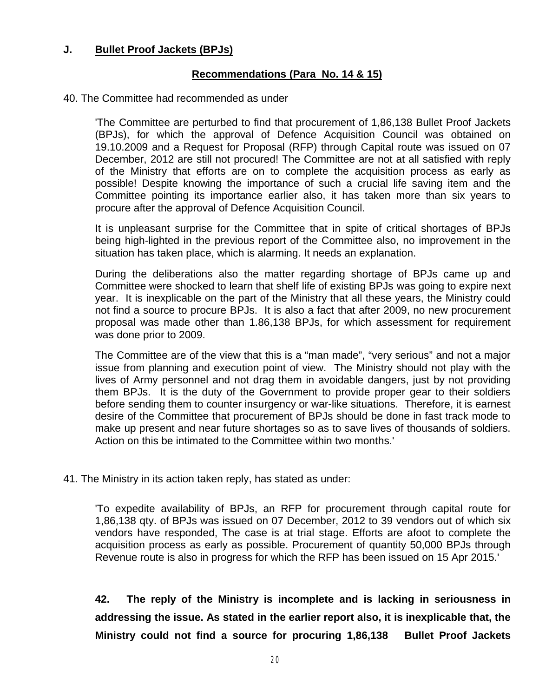### **J. Bullet Proof Jackets (BPJs)**

#### **Recommendations (Para No. 14 & 15)**

#### 40. The Committee had recommended as under

'The Committee are perturbed to find that procurement of 1,86,138 Bullet Proof Jackets (BPJs), for which the approval of Defence Acquisition Council was obtained on 19.10.2009 and a Request for Proposal (RFP) through Capital route was issued on 07 December, 2012 are still not procured! The Committee are not at all satisfied with reply of the Ministry that efforts are on to complete the acquisition process as early as possible! Despite knowing the importance of such a crucial life saving item and the Committee pointing its importance earlier also, it has taken more than six years to procure after the approval of Defence Acquisition Council.

It is unpleasant surprise for the Committee that in spite of critical shortages of BPJs being high-lighted in the previous report of the Committee also, no improvement in the situation has taken place, which is alarming. It needs an explanation.

During the deliberations also the matter regarding shortage of BPJs came up and Committee were shocked to learn that shelf life of existing BPJs was going to expire next year. It is inexplicable on the part of the Ministry that all these years, the Ministry could not find a source to procure BPJs. It is also a fact that after 2009, no new procurement proposal was made other than 1.86,138 BPJs, for which assessment for requirement was done prior to 2009.

The Committee are of the view that this is a "man made", "very serious" and not a major issue from planning and execution point of view. The Ministry should not play with the lives of Army personnel and not drag them in avoidable dangers, just by not providing them BPJs. It is the duty of the Government to provide proper gear to their soldiers before sending them to counter insurgency or war-like situations. Therefore, it is earnest desire of the Committee that procurement of BPJs should be done in fast track mode to make up present and near future shortages so as to save lives of thousands of soldiers. Action on this be intimated to the Committee within two months.'

41. The Ministry in its action taken reply, has stated as under:

'To expedite availability of BPJs, an RFP for procurement through capital route for 1,86,138 qty. of BPJs was issued on 07 December, 2012 to 39 vendors out of which six vendors have responded, The case is at trial stage. Efforts are afoot to complete the acquisition process as early as possible. Procurement of quantity 50,000 BPJs through Revenue route is also in progress for which the RFP has been issued on 15 Apr 2015.'

**42. The reply of the Ministry is incomplete and is lacking in seriousness in addressing the issue. As stated in the earlier report also, it is inexplicable that, the Ministry could not find a source for procuring 1,86,138 Bullet Proof Jackets**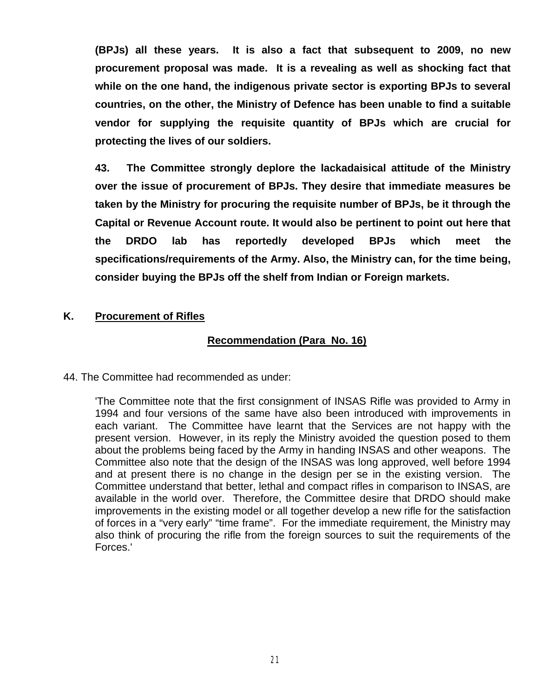**(BPJs) all these years. It is also a fact that subsequent to 2009, no new procurement proposal was made. It is a revealing as well as shocking fact that while on the one hand, the indigenous private sector is exporting BPJs to several countries, on the other, the Ministry of Defence has been unable to find a suitable vendor for supplying the requisite quantity of BPJs which are crucial for protecting the lives of our soldiers.** 

**43. The Committee strongly deplore the lackadaisical attitude of the Ministry over the issue of procurement of BPJs. They desire that immediate measures be taken by the Ministry for procuring the requisite number of BPJs, be it through the Capital or Revenue Account route. It would also be pertinent to point out here that the DRDO lab has reportedly developed BPJs which meet the specifications/requirements of the Army. Also, the Ministry can, for the time being, consider buying the BPJs off the shelf from Indian or Foreign markets.**

# **K. Procurement of Rifles**

# **Recommendation (Para No. 16)**

44. The Committee had recommended as under:

'The Committee note that the first consignment of INSAS Rifle was provided to Army in 1994 and four versions of the same have also been introduced with improvements in each variant. The Committee have learnt that the Services are not happy with the present version. However, in its reply the Ministry avoided the question posed to them about the problems being faced by the Army in handing INSAS and other weapons. The Committee also note that the design of the INSAS was long approved, well before 1994 and at present there is no change in the design per se in the existing version. The Committee understand that better, lethal and compact rifles in comparison to INSAS, are available in the world over. Therefore, the Committee desire that DRDO should make improvements in the existing model or all together develop a new rifle for the satisfaction of forces in a "very early" "time frame". For the immediate requirement, the Ministry may also think of procuring the rifle from the foreign sources to suit the requirements of the Forces.'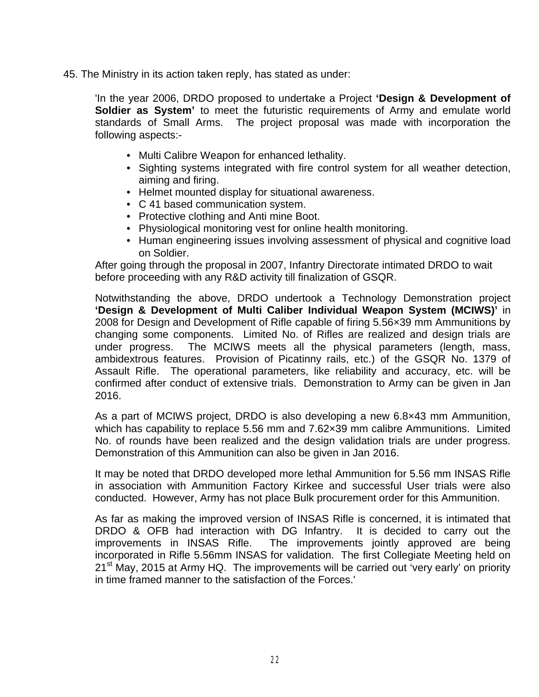45. The Ministry in its action taken reply, has stated as under:

'In the year 2006, DRDO proposed to undertake a Project **'Design & Development of Soldier as System'** to meet the futuristic requirements of Army and emulate world standards of Small Arms. The project proposal was made with incorporation the following aspects:-

- Multi Calibre Weapon for enhanced lethality.
- Sighting systems integrated with fire control system for all weather detection, aiming and firing.
- Helmet mounted display for situational awareness.
- C 41 based communication system.
- Protective clothing and Anti mine Boot.
- Physiological monitoring vest for online health monitoring.
- Human engineering issues involving assessment of physical and cognitive load on Soldier.

After going through the proposal in 2007, Infantry Directorate intimated DRDO to wait before proceeding with any R&D activity till finalization of GSQR.

Notwithstanding the above, DRDO undertook a Technology Demonstration project **'Design & Development of Multi Caliber Individual Weapon System (MCIWS)'** in 2008 for Design and Development of Rifle capable of firing 5.56×39 mm Ammunitions by changing some components. Limited No. of Rifles are realized and design trials are under progress. The MCIWS meets all the physical parameters (length, mass, ambidextrous features. Provision of Picatinny rails, etc.) of the GSQR No. 1379 of Assault Rifle. The operational parameters, like reliability and accuracy, etc. will be confirmed after conduct of extensive trials. Demonstration to Army can be given in Jan 2016.

As a part of MCIWS project, DRDO is also developing a new 6.8×43 mm Ammunition, which has capability to replace 5.56 mm and 7.62x39 mm calibre Ammunitions. Limited No. of rounds have been realized and the design validation trials are under progress. Demonstration of this Ammunition can also be given in Jan 2016.

It may be noted that DRDO developed more lethal Ammunition for 5.56 mm INSAS Rifle in association with Ammunition Factory Kirkee and successful User trials were also conducted. However, Army has not place Bulk procurement order for this Ammunition.

As far as making the improved version of INSAS Rifle is concerned, it is intimated that DRDO & OFB had interaction with DG Infantry. It is decided to carry out the improvements in INSAS Rifle. The improvements jointly approved are being incorporated in Rifle 5.56mm INSAS for validation. The first Collegiate Meeting held on  $21<sup>st</sup>$  May, 2015 at Army HQ. The improvements will be carried out 'very early' on priority in time framed manner to the satisfaction of the Forces.'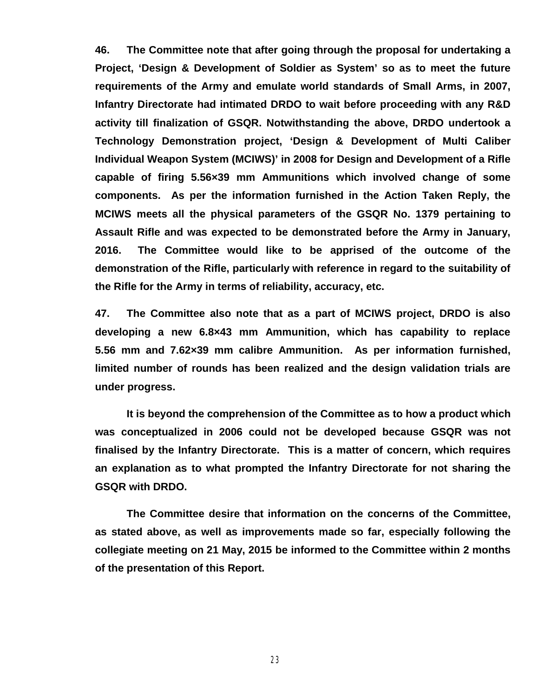**46. The Committee note that after going through the proposal for undertaking a Project, 'Design & Development of Soldier as System' so as to meet the future requirements of the Army and emulate world standards of Small Arms, in 2007, Infantry Directorate had intimated DRDO to wait before proceeding with any R&D activity till finalization of GSQR. Notwithstanding the above, DRDO undertook a Technology Demonstration project, 'Design & Development of Multi Caliber Individual Weapon System (MCIWS)' in 2008 for Design and Development of a Rifle capable of firing 5.56×39 mm Ammunitions which involved change of some components. As per the information furnished in the Action Taken Reply, the MCIWS meets all the physical parameters of the GSQR No. 1379 pertaining to Assault Rifle and was expected to be demonstrated before the Army in January, 2016. The Committee would like to be apprised of the outcome of the demonstration of the Rifle, particularly with reference in regard to the suitability of the Rifle for the Army in terms of reliability, accuracy, etc.** 

**47. The Committee also note that as a part of MCIWS project, DRDO is also developing a new 6.8×43 mm Ammunition, which has capability to replace 5.56 mm and 7.62×39 mm calibre Ammunition. As per information furnished, limited number of rounds has been realized and the design validation trials are under progress.**

**It is beyond the comprehension of the Committee as to how a product which was conceptualized in 2006 could not be developed because GSQR was not finalised by the Infantry Directorate. This is a matter of concern, which requires an explanation as to what prompted the Infantry Directorate for not sharing the GSQR with DRDO.**

**The Committee desire that information on the concerns of the Committee, as stated above, as well as improvements made so far, especially following the collegiate meeting on 21 May, 2015 be informed to the Committee within 2 months of the presentation of this Report.**

23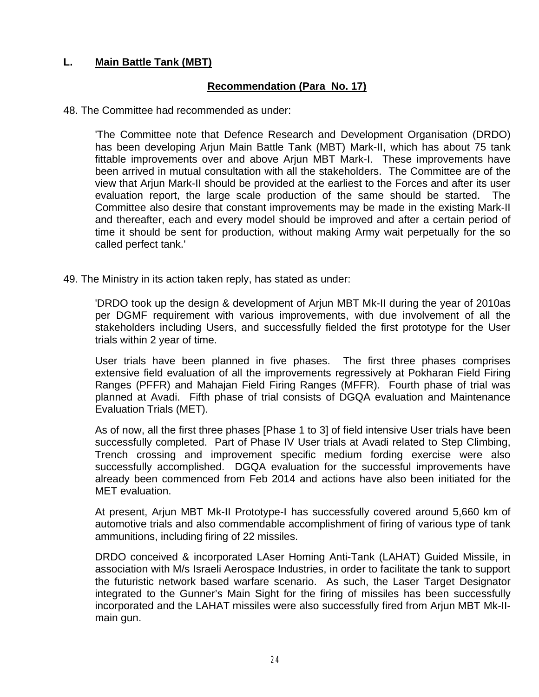# **L. Main Battle Tank (MBT)**

# **Recommendation (Para No. 17)**

48. The Committee had recommended as under:

'The Committee note that Defence Research and Development Organisation (DRDO) has been developing Arjun Main Battle Tank (MBT) Mark-II, which has about 75 tank fittable improvements over and above Arjun MBT Mark-I. These improvements have been arrived in mutual consultation with all the stakeholders. The Committee are of the view that Arjun Mark-II should be provided at the earliest to the Forces and after its user evaluation report, the large scale production of the same should be started. The Committee also desire that constant improvements may be made in the existing Mark-II and thereafter, each and every model should be improved and after a certain period of time it should be sent for production, without making Army wait perpetually for the so called perfect tank.'

49. The Ministry in its action taken reply, has stated as under:

'DRDO took up the design & development of Arjun MBT Mk-II during the year of 2010as per DGMF requirement with various improvements, with due involvement of all the stakeholders including Users, and successfully fielded the first prototype for the User trials within 2 year of time.

User trials have been planned in five phases. The first three phases comprises extensive field evaluation of all the improvements regressively at Pokharan Field Firing Ranges (PFFR) and Mahajan Field Firing Ranges (MFFR). Fourth phase of trial was planned at Avadi. Fifth phase of trial consists of DGQA evaluation and Maintenance Evaluation Trials (MET).

As of now, all the first three phases [Phase 1 to 3] of field intensive User trials have been successfully completed. Part of Phase IV User trials at Avadi related to Step Climbing, Trench crossing and improvement specific medium fording exercise were also successfully accomplished. DGQA evaluation for the successful improvements have already been commenced from Feb 2014 and actions have also been initiated for the MET evaluation.

At present, Arjun MBT Mk-II Prototype-I has successfully covered around 5,660 km of automotive trials and also commendable accomplishment of firing of various type of tank ammunitions, including firing of 22 missiles.

DRDO conceived & incorporated LAser Homing Anti-Tank (LAHAT) Guided Missile, in association with M/s Israeli Aerospace Industries, in order to facilitate the tank to support the futuristic network based warfare scenario. As such, the Laser Target Designator integrated to the Gunner's Main Sight for the firing of missiles has been successfully incorporated and the LAHAT missiles were also successfully fired from Arjun MBT Mk-IImain gun.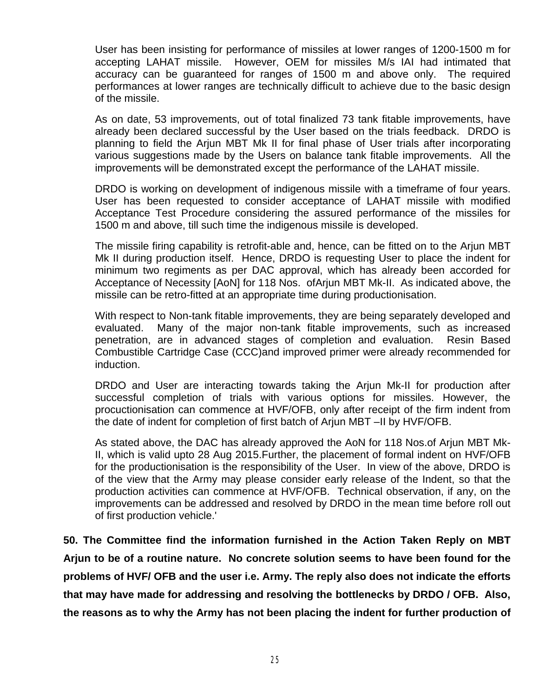User has been insisting for performance of missiles at lower ranges of 1200-1500 m for accepting LAHAT missile. However, OEM for missiles M/s IAI had intimated that accuracy can be guaranteed for ranges of 1500 m and above only. The required performances at lower ranges are technically difficult to achieve due to the basic design of the missile.

As on date, 53 improvements, out of total finalized 73 tank fitable improvements, have already been declared successful by the User based on the trials feedback. DRDO is planning to field the Arjun MBT Mk II for final phase of User trials after incorporating various suggestions made by the Users on balance tank fitable improvements. All the improvements will be demonstrated except the performance of the LAHAT missile.

DRDO is working on development of indigenous missile with a timeframe of four years. User has been requested to consider acceptance of LAHAT missile with modified Acceptance Test Procedure considering the assured performance of the missiles for 1500 m and above, till such time the indigenous missile is developed.

The missile firing capability is retrofit-able and, hence, can be fitted on to the Arjun MBT Mk II during production itself. Hence, DRDO is requesting User to place the indent for minimum two regiments as per DAC approval, which has already been accorded for Acceptance of Necessity [AoN] for 118 Nos. ofArjun MBT Mk-II. As indicated above, the missile can be retro-fitted at an appropriate time during productionisation.

With respect to Non-tank fitable improvements, they are being separately developed and evaluated. Many of the major non-tank fitable improvements, such as increased penetration, are in advanced stages of completion and evaluation. Resin Based Combustible Cartridge Case (CCC)and improved primer were already recommended for induction.

DRDO and User are interacting towards taking the Arjun Mk-II for production after successful completion of trials with various options for missiles. However, the procuctionisation can commence at HVF/OFB, only after receipt of the firm indent from the date of indent for completion of first batch of Arjun MBT –II by HVF/OFB.

As stated above, the DAC has already approved the AoN for 118 Nos.of Arjun MBT Mk-II, which is valid upto 28 Aug 2015.Further, the placement of formal indent on HVF/OFB for the productionisation is the responsibility of the User. In view of the above, DRDO is of the view that the Army may please consider early release of the Indent, so that the production activities can commence at HVF/OFB. Technical observation, if any, on the improvements can be addressed and resolved by DRDO in the mean time before roll out of first production vehicle.'

**50. The Committee find the information furnished in the Action Taken Reply on MBT Arjun to be of a routine nature. No concrete solution seems to have been found for the problems of HVF/ OFB and the user i.e. Army. The reply also does not indicate the efforts that may have made for addressing and resolving the bottlenecks by DRDO / OFB. Also, the reasons as to why the Army has not been placing the indent for further production of**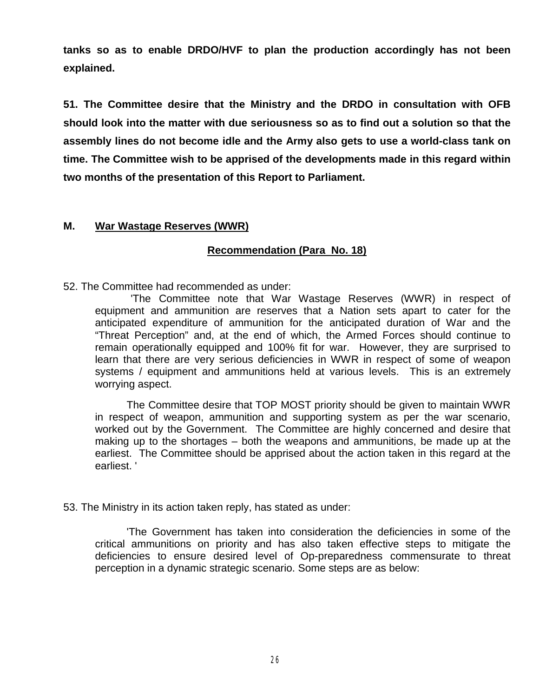**tanks so as to enable DRDO/HVF to plan the production accordingly has not been explained.**

**51. The Committee desire that the Ministry and the DRDO in consultation with OFB should look into the matter with due seriousness so as to find out a solution so that the assembly lines do not become idle and the Army also gets to use a world-class tank on time. The Committee wish to be apprised of the developments made in this regard within two months of the presentation of this Report to Parliament.**

#### **M. War Wastage Reserves (WWR)**

#### **Recommendation (Para No. 18)**

52. The Committee had recommended as under:

'The Committee note that War Wastage Reserves (WWR) in respect of equipment and ammunition are reserves that a Nation sets apart to cater for the anticipated expenditure of ammunition for the anticipated duration of War and the "Threat Perception" and, at the end of which, the Armed Forces should continue to remain operationally equipped and 100% fit for war. However, they are surprised to learn that there are very serious deficiencies in WWR in respect of some of weapon systems / equipment and ammunitions held at various levels. This is an extremely worrying aspect.

The Committee desire that TOP MOST priority should be given to maintain WWR in respect of weapon, ammunition and supporting system as per the war scenario, worked out by the Government. The Committee are highly concerned and desire that making up to the shortages – both the weapons and ammunitions, be made up at the earliest. The Committee should be apprised about the action taken in this regard at the earliest. '

53. The Ministry in its action taken reply, has stated as under:

'The Government has taken into consideration the deficiencies in some of the critical ammunitions on priority and has also taken effective steps to mitigate the deficiencies to ensure desired level of Op-preparedness commensurate to threat perception in a dynamic strategic scenario. Some steps are as below: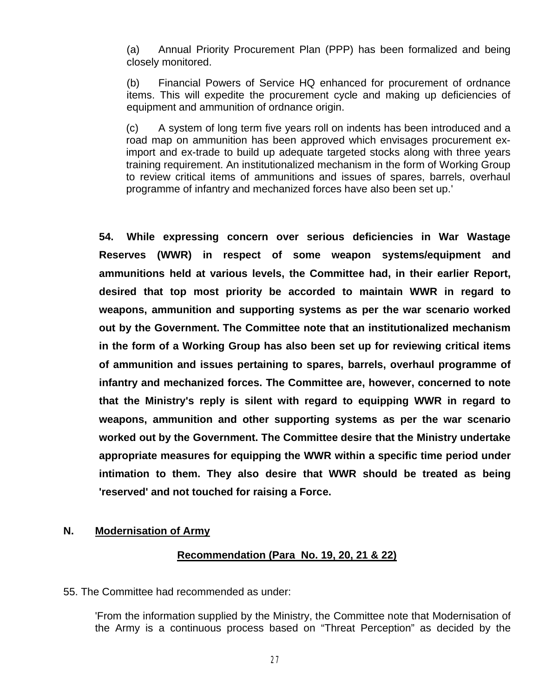(a) Annual Priority Procurement Plan (PPP) has been formalized and being closely monitored.

(b) Financial Powers of Service HQ enhanced for procurement of ordnance items. This will expedite the procurement cycle and making up deficiencies of equipment and ammunition of ordnance origin.

(c) A system of long term five years roll on indents has been introduced and a road map on ammunition has been approved which envisages procurement eximport and ex-trade to build up adequate targeted stocks along with three years training requirement. An institutionalized mechanism in the form of Working Group to review critical items of ammunitions and issues of spares, barrels, overhaul programme of infantry and mechanized forces have also been set up.'

**54. While expressing concern over serious deficiencies in War Wastage Reserves (WWR) in respect of some weapon systems/equipment and ammunitions held at various levels, the Committee had, in their earlier Report, desired that top most priority be accorded to maintain WWR in regard to weapons, ammunition and supporting systems as per the war scenario worked out by the Government. The Committee note that an institutionalized mechanism in the form of a Working Group has also been set up for reviewing critical items of ammunition and issues pertaining to spares, barrels, overhaul programme of infantry and mechanized forces. The Committee are, however, concerned to note that the Ministry's reply is silent with regard to equipping WWR in regard to weapons, ammunition and other supporting systems as per the war scenario worked out by the Government. The Committee desire that the Ministry undertake appropriate measures for equipping the WWR within a specific time period under intimation to them. They also desire that WWR should be treated as being 'reserved' and not touched for raising a Force.** 

#### **N. Modernisation of Army**

#### **Recommendation (Para No. 19, 20, 21 & 22)**

55. The Committee had recommended as under:

'From the information supplied by the Ministry, the Committee note that Modernisation of the Army is a continuous process based on "Threat Perception" as decided by the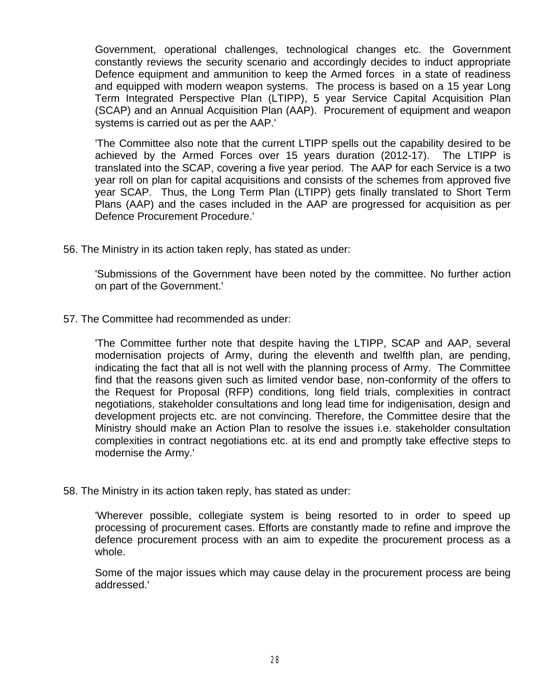Government, operational challenges, technological changes etc. the Government constantly reviews the security scenario and accordingly decides to induct appropriate Defence equipment and ammunition to keep the Armed forces in a state of readiness and equipped with modern weapon systems. The process is based on a 15 year Long Term Integrated Perspective Plan (LTIPP), 5 year Service Capital Acquisition Plan (SCAP) and an Annual Acquisition Plan (AAP). Procurement of equipment and weapon systems is carried out as per the AAP.'

'The Committee also note that the current LTIPP spells out the capability desired to be achieved by the Armed Forces over 15 years duration (2012-17). The LTIPP is translated into the SCAP, covering a five year period. The AAP for each Service is a two year roll on plan for capital acquisitions and consists of the schemes from approved five year SCAP. Thus, the Long Term Plan (LTIPP) gets finally translated to Short Term Plans (AAP) and the cases included in the AAP are progressed for acquisition as per Defence Procurement Procedure.'

56. The Ministry in its action taken reply, has stated as under:

'Submissions of the Government have been noted by the committee. No further action on part of the Government.'

57. The Committee had recommended as under:

'The Committee further note that despite having the LTIPP, SCAP and AAP, several modernisation projects of Army, during the eleventh and twelfth plan, are pending, indicating the fact that all is not well with the planning process of Army. The Committee find that the reasons given such as limited vendor base, non-conformity of the offers to the Request for Proposal (RFP) conditions, long field trials, complexities in contract negotiations, stakeholder consultations and long lead time for indigenisation, design and development projects etc. are not convincing. Therefore, the Committee desire that the Ministry should make an Action Plan to resolve the issues i.e. stakeholder consultation complexities in contract negotiations etc. at its end and promptly take effective steps to modernise the Army.'

58. The Ministry in its action taken reply, has stated as under:

'Wherever possible, collegiate system is being resorted to in order to speed up processing of procurement cases. Efforts are constantly made to refine and improve the defence procurement process with an aim to expedite the procurement process as a whole.

Some of the major issues which may cause delay in the procurement process are being addressed.'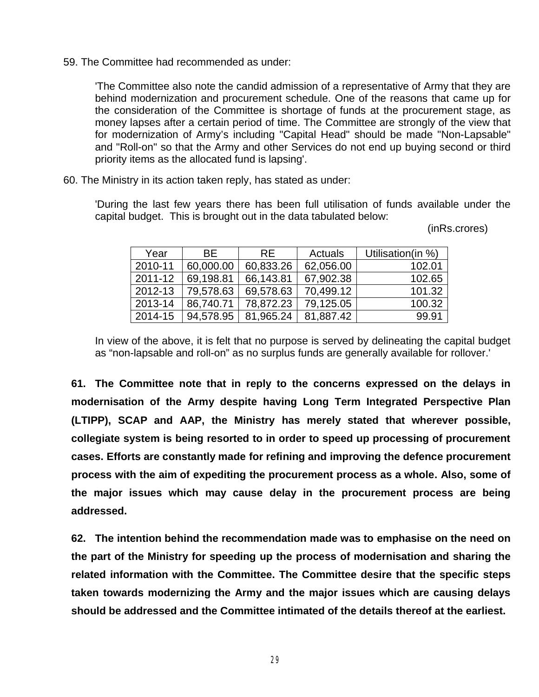59. The Committee had recommended as under:

'The Committee also note the candid admission of a representative of Army that they are behind modernization and procurement schedule. One of the reasons that came up for the consideration of the Committee is shortage of funds at the procurement stage, as money lapses after a certain period of time. The Committee are strongly of the view that for modernization of Army's including "Capital Head" should be made "Non-Lapsable" and "Roll-on" so that the Army and other Services do not end up buying second or third priority items as the allocated fund is lapsing'.

60. The Ministry in its action taken reply, has stated as under:

'During the last few years there has been full utilisation of funds available under the capital budget. This is brought out in the data tabulated below:

(inRs.crores)

| Year    | BF.       | RF.       | Actuals   | Utilisation(in %) |
|---------|-----------|-----------|-----------|-------------------|
| 2010-11 | 60,000.00 | 60,833.26 | 62,056.00 | 102.01            |
| 2011-12 | 69,198.81 | 66,143.81 | 67,902.38 | 102.65            |
| 2012-13 | 79,578.63 | 69,578.63 | 70,499.12 | 101.32            |
| 2013-14 | 86,740.71 | 78,872.23 | 79,125.05 | 100.32            |
| 2014-15 | 94,578.95 | 81,965.24 | 81,887.42 | 99.91             |

In view of the above, it is felt that no purpose is served by delineating the capital budget as "non-lapsable and roll-on" as no surplus funds are generally available for rollover.'

**61. The Committee note that in reply to the concerns expressed on the delays in modernisation of the Army despite having Long Term Integrated Perspective Plan (LTIPP), SCAP and AAP, the Ministry has merely stated that wherever possible, collegiate system is being resorted to in order to speed up processing of procurement cases. Efforts are constantly made for refining and improving the defence procurement process with the aim of expediting the procurement process as a whole. Also, some of the major issues which may cause delay in the procurement process are being addressed.**

**62. The intention behind the recommendation made was to emphasise on the need on the part of the Ministry for speeding up the process of modernisation and sharing the related information with the Committee. The Committee desire that the specific steps taken towards modernizing the Army and the major issues which are causing delays should be addressed and the Committee intimated of the details thereof at the earliest.**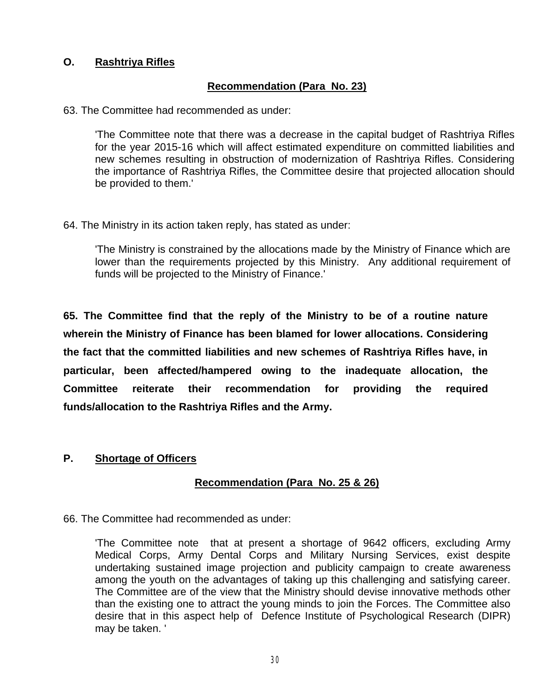# **O. Rashtriya Rifles**

# **Recommendation (Para No. 23)**

63. The Committee had recommended as under:

'The Committee note that there was a decrease in the capital budget of Rashtriya Rifles for the year 2015-16 which will affect estimated expenditure on committed liabilities and new schemes resulting in obstruction of modernization of Rashtriya Rifles. Considering the importance of Rashtriya Rifles, the Committee desire that projected allocation should be provided to them.'

64. The Ministry in its action taken reply, has stated as under:

'The Ministry is constrained by the allocations made by the Ministry of Finance which are lower than the requirements projected by this Ministry. Any additional requirement of funds will be projected to the Ministry of Finance.'

**65. The Committee find that the reply of the Ministry to be of a routine nature wherein the Ministry of Finance has been blamed for lower allocations. Considering the fact that the committed liabilities and new schemes of Rashtriya Rifles have, in particular, been affected/hampered owing to the inadequate allocation, the Committee reiterate their recommendation for providing the required funds/allocation to the Rashtriya Rifles and the Army.** 

#### **P. Shortage of Officers**

#### **Recommendation (Para No. 25 & 26)**

66. The Committee had recommended as under:

'The Committee note that at present a shortage of 9642 officers, excluding Army Medical Corps, Army Dental Corps and Military Nursing Services, exist despite undertaking sustained image projection and publicity campaign to create awareness among the youth on the advantages of taking up this challenging and satisfying career. The Committee are of the view that the Ministry should devise innovative methods other than the existing one to attract the young minds to join the Forces. The Committee also desire that in this aspect help of Defence Institute of Psychological Research (DIPR) may be taken. '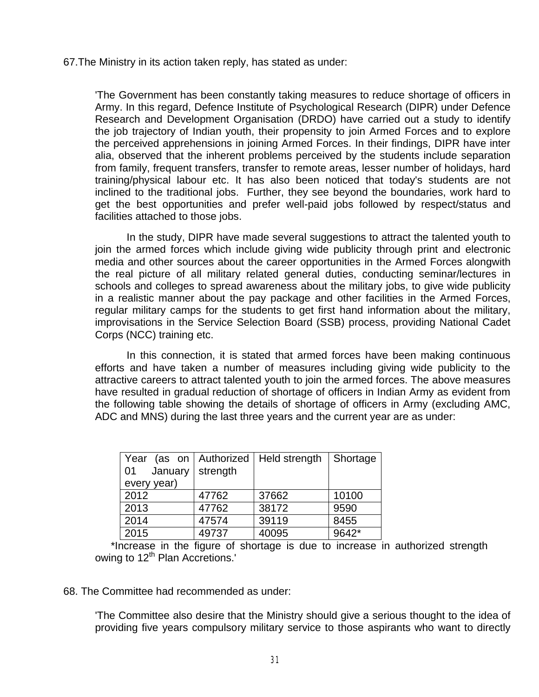67.The Ministry in its action taken reply, has stated as under:

'The Government has been constantly taking measures to reduce shortage of officers in Army. In this regard, Defence Institute of Psychological Research (DIPR) under Defence Research and Development Organisation (DRDO) have carried out a study to identify the job trajectory of Indian youth, their propensity to join Armed Forces and to explore the perceived apprehensions in joining Armed Forces. In their findings, DIPR have inter alia, observed that the inherent problems perceived by the students include separation from family, frequent transfers, transfer to remote areas, lesser number of holidays, hard training/physical labour etc. It has also been noticed that today's students are not inclined to the traditional jobs. Further, they see beyond the boundaries, work hard to get the best opportunities and prefer well-paid jobs followed by respect/status and facilities attached to those jobs.

In the study, DIPR have made several suggestions to attract the talented youth to join the armed forces which include giving wide publicity through print and electronic media and other sources about the career opportunities in the Armed Forces alongwith the real picture of all military related general duties, conducting seminar/lectures in schools and colleges to spread awareness about the military jobs, to give wide publicity in a realistic manner about the pay package and other facilities in the Armed Forces, regular military camps for the students to get first hand information about the military, improvisations in the Service Selection Board (SSB) process, providing National Cadet Corps (NCC) training etc.

In this connection, it is stated that armed forces have been making continuous efforts and have taken a number of measures including giving wide publicity to the attractive careers to attract talented youth to join the armed forces. The above measures have resulted in gradual reduction of shortage of officers in Indian Army as evident from the following table showing the details of shortage of officers in Army (excluding AMC, ADC and MNS) during the last three years and the current year are as under:

| Year (as on   Authorized   Held strength<br>January<br>01 | strength |       | Shortage |
|-----------------------------------------------------------|----------|-------|----------|
| every year)                                               |          |       |          |
| 2012                                                      | 47762    | 37662 | 10100    |
| 2013                                                      | 47762    | 38172 | 9590     |
| 2014                                                      | 47574    | 39119 | 8455     |
| 2015                                                      | 49737    | 40095 | 9642*    |

\*Increase in the figure of shortage is due to increase in authorized strength owing to 12<sup>th</sup> Plan Accretions.'

68. The Committee had recommended as under:

'The Committee also desire that the Ministry should give a serious thought to the idea of providing five years compulsory military service to those aspirants who want to directly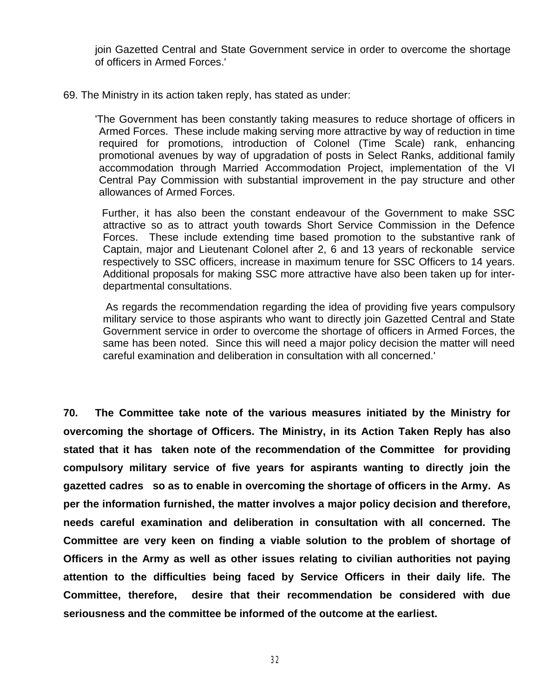join Gazetted Central and State Government service in order to overcome the shortage of officers in Armed Forces.'

69. The Ministry in its action taken reply, has stated as under:

'The Government has been constantly taking measures to reduce shortage of officers in Armed Forces. These include making serving more attractive by way of reduction in time required for promotions, introduction of Colonel (Time Scale) rank, enhancing promotional avenues by way of upgradation of posts in Select Ranks, additional family accommodation through Married Accommodation Project, implementation of the VI Central Pay Commission with substantial improvement in the pay structure and other allowances of Armed Forces.

Further, it has also been the constant endeavour of the Government to make SSC attractive so as to attract youth towards Short Service Commission in the Defence Forces. These include extending time based promotion to the substantive rank of Captain, major and Lieutenant Colonel after 2, 6 and 13 years of reckonable service respectively to SSC officers, increase in maximum tenure for SSC Officers to 14 years. Additional proposals for making SSC more attractive have also been taken up for interdepartmental consultations.

As regards the recommendation regarding the idea of providing five years compulsory military service to those aspirants who want to directly join Gazetted Central and State Government service in order to overcome the shortage of officers in Armed Forces, the same has been noted. Since this will need a major policy decision the matter will need careful examination and deliberation in consultation with all concerned.'

**70. The Committee take note of the various measures initiated by the Ministry for overcoming the shortage of Officers. The Ministry, in its Action Taken Reply has also stated that it has taken note of the recommendation of the Committee for providing compulsory military service of five years for aspirants wanting to directly join the gazetted cadres so as to enable in overcoming the shortage of officers in the Army. As per the information furnished, the matter involves a major policy decision and therefore, needs careful examination and deliberation in consultation with all concerned. The Committee are very keen on finding a viable solution to the problem of shortage of Officers in the Army as well as other issues relating to civilian authorities not paying attention to the difficulties being faced by Service Officers in their daily life. The Committee, therefore, desire that their recommendation be considered with due seriousness and the committee be informed of the outcome at the earliest.**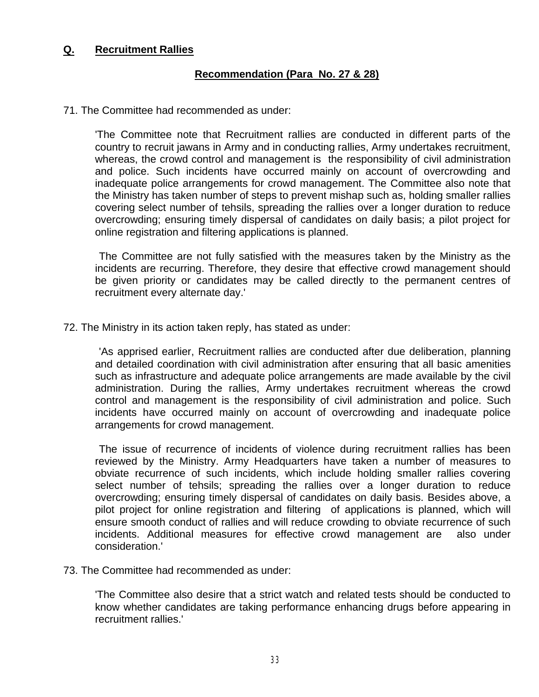## **Q. Recruitment Rallies**

### **Recommendation (Para No. 27 & 28)**

#### 71. The Committee had recommended as under:

'The Committee note that Recruitment rallies are conducted in different parts of the country to recruit jawans in Army and in conducting rallies, Army undertakes recruitment, whereas, the crowd control and management is the responsibility of civil administration and police. Such incidents have occurred mainly on account of overcrowding and inadequate police arrangements for crowd management. The Committee also note that the Ministry has taken number of steps to prevent mishap such as, holding smaller rallies covering select number of tehsils, spreading the rallies over a longer duration to reduce overcrowding; ensuring timely dispersal of candidates on daily basis; a pilot project for online registration and filtering applications is planned.

The Committee are not fully satisfied with the measures taken by the Ministry as the incidents are recurring. Therefore, they desire that effective crowd management should be given priority or candidates may be called directly to the permanent centres of recruitment every alternate day.'

72. The Ministry in its action taken reply, has stated as under:

'As apprised earlier, Recruitment rallies are conducted after due deliberation, planning and detailed coordination with civil administration after ensuring that all basic amenities such as infrastructure and adequate police arrangements are made available by the civil administration. During the rallies, Army undertakes recruitment whereas the crowd control and management is the responsibility of civil administration and police. Such incidents have occurred mainly on account of overcrowding and inadequate police arrangements for crowd management.

The issue of recurrence of incidents of violence during recruitment rallies has been reviewed by the Ministry. Army Headquarters have taken a number of measures to obviate recurrence of such incidents, which include holding smaller rallies covering select number of tehsils; spreading the rallies over a longer duration to reduce overcrowding; ensuring timely dispersal of candidates on daily basis. Besides above, a pilot project for online registration and filtering of applications is planned, which will ensure smooth conduct of rallies and will reduce crowding to obviate recurrence of such incidents. Additional measures for effective crowd management are also under consideration.'

73. The Committee had recommended as under:

'The Committee also desire that a strict watch and related tests should be conducted to know whether candidates are taking performance enhancing drugs before appearing in recruitment rallies.'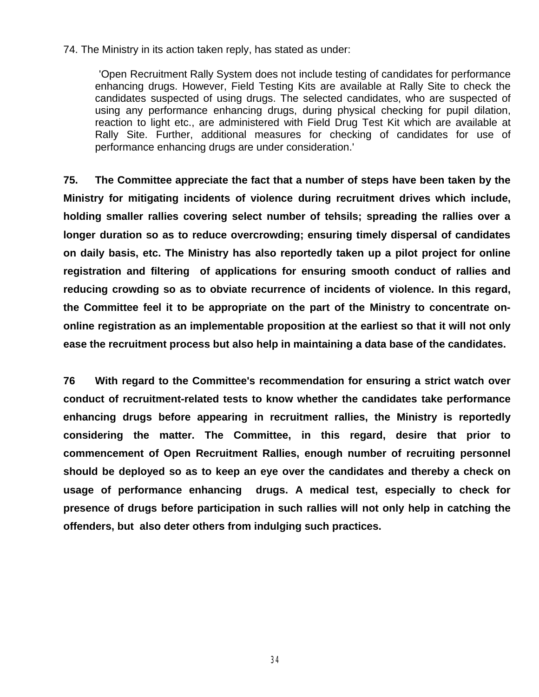74. The Ministry in its action taken reply, has stated as under:

'Open Recruitment Rally System does not include testing of candidates for performance enhancing drugs. However, Field Testing Kits are available at Rally Site to check the candidates suspected of using drugs. The selected candidates, who are suspected of using any performance enhancing drugs, during physical checking for pupil dilation, reaction to light etc., are administered with Field Drug Test Kit which are available at Rally Site. Further, additional measures for checking of candidates for use of performance enhancing drugs are under consideration.'

**75. The Committee appreciate the fact that a number of steps have been taken by the Ministry for mitigating incidents of violence during recruitment drives which include, holding smaller rallies covering select number of tehsils; spreading the rallies over a longer duration so as to reduce overcrowding; ensuring timely dispersal of candidates on daily basis, etc. The Ministry has also reportedly taken up a pilot project for online registration and filtering of applications for ensuring smooth conduct of rallies and reducing crowding so as to obviate recurrence of incidents of violence. In this regard, the Committee feel it to be appropriate on the part of the Ministry to concentrate ononline registration as an implementable proposition at the earliest so that it will not only ease the recruitment process but also help in maintaining a data base of the candidates.**

**76 With regard to the Committee's recommendation for ensuring a strict watch over conduct of recruitment-related tests to know whether the candidates take performance enhancing drugs before appearing in recruitment rallies, the Ministry is reportedly considering the matter. The Committee, in this regard, desire that prior to commencement of Open Recruitment Rallies, enough number of recruiting personnel should be deployed so as to keep an eye over the candidates and thereby a check on usage of performance enhancing drugs. A medical test, especially to check for presence of drugs before participation in such rallies will not only help in catching the offenders, but also deter others from indulging such practices.** 

34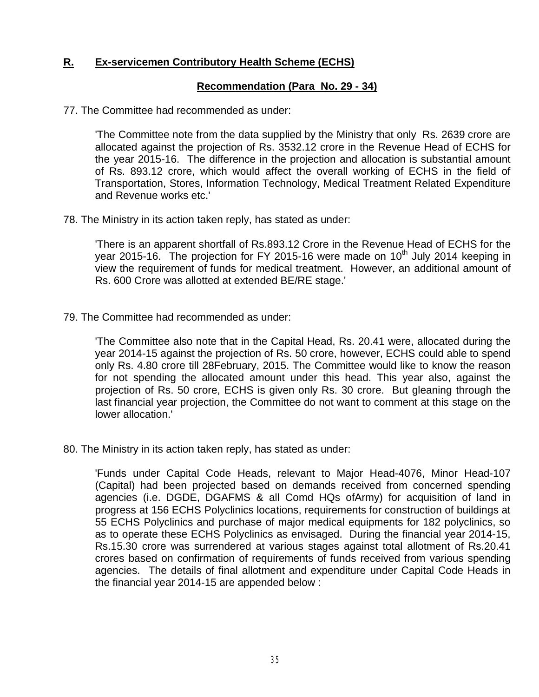# **R. Ex-servicemen Contributory Health Scheme (ECHS)**

## **Recommendation (Para No. 29 - 34)**

77. The Committee had recommended as under:

'The Committee note from the data supplied by the Ministry that only Rs. 2639 crore are allocated against the projection of Rs. 3532.12 crore in the Revenue Head of ECHS for the year 2015-16. The difference in the projection and allocation is substantial amount of Rs. 893.12 crore, which would affect the overall working of ECHS in the field of Transportation, Stores, Information Technology, Medical Treatment Related Expenditure and Revenue works etc.'

78. The Ministry in its action taken reply, has stated as under:

'There is an apparent shortfall of Rs.893.12 Crore in the Revenue Head of ECHS for the year 2015-16. The projection for FY 2015-16 were made on 10<sup>th</sup> July 2014 keeping in view the requirement of funds for medical treatment. However, an additional amount of Rs. 600 Crore was allotted at extended BE/RE stage.'

79. The Committee had recommended as under:

'The Committee also note that in the Capital Head, Rs. 20.41 were, allocated during the year 2014-15 against the projection of Rs. 50 crore, however, ECHS could able to spend only Rs. 4.80 crore till 28February, 2015. The Committee would like to know the reason for not spending the allocated amount under this head. This year also, against the projection of Rs. 50 crore, ECHS is given only Rs. 30 crore. But gleaning through the last financial year projection, the Committee do not want to comment at this stage on the lower allocation.'

80. The Ministry in its action taken reply, has stated as under:

'Funds under Capital Code Heads, relevant to Major Head-4076, Minor Head-107 (Capital) had been projected based on demands received from concerned spending agencies (i.e. DGDE, DGAFMS & all Comd HQs ofArmy) for acquisition of land in progress at 156 ECHS Polyclinics locations, requirements for construction of buildings at 55 ECHS Polyclinics and purchase of major medical equipments for 182 polyclinics, so as to operate these ECHS Polyclinics as envisaged. During the financial year 2014-15, Rs.15.30 crore was surrendered at various stages against total allotment of Rs.20.41 crores based on confirmation of requirements of funds received from various spending agencies. The details of final allotment and expenditure under Capital Code Heads in the financial year 2014-15 are appended below :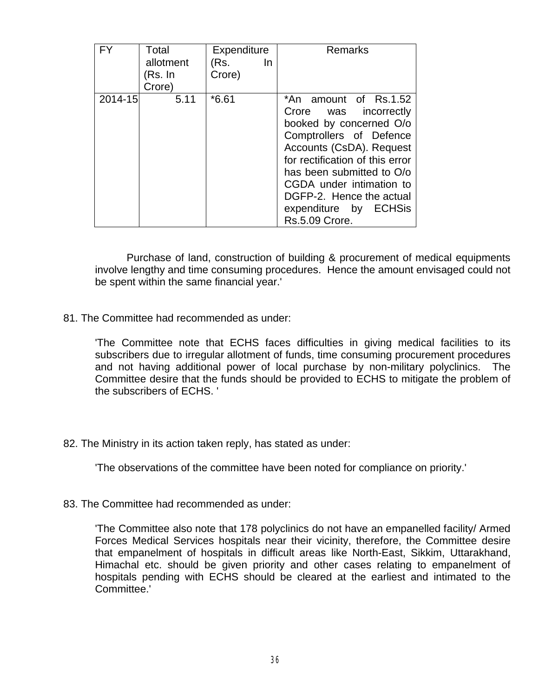| FΥ      | Total<br>allotment<br>(Rs. In<br>Crore) | Expenditure<br>(Rs.<br>In<br>Crore) | Remarks                                                                                                                                                                                                                                                                                             |
|---------|-----------------------------------------|-------------------------------------|-----------------------------------------------------------------------------------------------------------------------------------------------------------------------------------------------------------------------------------------------------------------------------------------------------|
| 2014-15 | 5.11                                    | $*6.61$                             | *An amount of Rs.1.52<br>Crore was incorrectly<br>booked by concerned O/o<br>Comptrollers of Defence<br>Accounts (CsDA). Request<br>for rectification of this error<br>has been submitted to O/o<br>CGDA under intimation to<br>DGFP-2. Hence the actual<br>expenditure by ECHSis<br>Rs.5.09 Crore. |

Purchase of land, construction of building & procurement of medical equipments involve lengthy and time consuming procedures. Hence the amount envisaged could not be spent within the same financial year.'

81. The Committee had recommended as under:

'The Committee note that ECHS faces difficulties in giving medical facilities to its subscribers due to irregular allotment of funds, time consuming procurement procedures and not having additional power of local purchase by non-military polyclinics. The Committee desire that the funds should be provided to ECHS to mitigate the problem of the subscribers of ECHS. '

82. The Ministry in its action taken reply, has stated as under:

'The observations of the committee have been noted for compliance on priority.'

83. The Committee had recommended as under:

'The Committee also note that 178 polyclinics do not have an empanelled facility/ Armed Forces Medical Services hospitals near their vicinity, therefore, the Committee desire that empanelment of hospitals in difficult areas like North-East, Sikkim, Uttarakhand, Himachal etc. should be given priority and other cases relating to empanelment of hospitals pending with ECHS should be cleared at the earliest and intimated to the Committee.'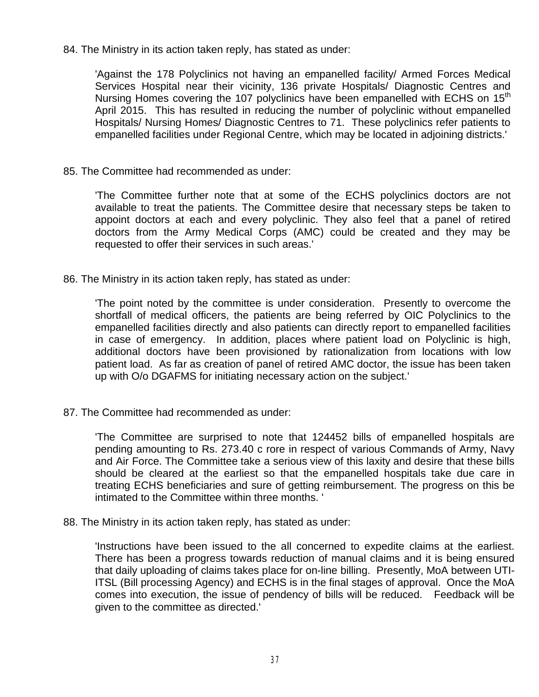84. The Ministry in its action taken reply, has stated as under:

'Against the 178 Polyclinics not having an empanelled facility/ Armed Forces Medical Services Hospital near their vicinity, 136 private Hospitals/ Diagnostic Centres and Nursing Homes covering the 107 polyclinics have been empanelled with ECHS on 15<sup>th</sup> April 2015. This has resulted in reducing the number of polyclinic without empanelled Hospitals/ Nursing Homes/ Diagnostic Centres to 71. These polyclinics refer patients to empanelled facilities under Regional Centre, which may be located in adjoining districts.'

85. The Committee had recommended as under:

'The Committee further note that at some of the ECHS polyclinics doctors are not available to treat the patients. The Committee desire that necessary steps be taken to appoint doctors at each and every polyclinic. They also feel that a panel of retired doctors from the Army Medical Corps (AMC) could be created and they may be requested to offer their services in such areas.'

86. The Ministry in its action taken reply, has stated as under:

'The point noted by the committee is under consideration. Presently to overcome the shortfall of medical officers, the patients are being referred by OIC Polyclinics to the empanelled facilities directly and also patients can directly report to empanelled facilities in case of emergency. In addition, places where patient load on Polyclinic is high, additional doctors have been provisioned by rationalization from locations with low patient load. As far as creation of panel of retired AMC doctor, the issue has been taken up with O/o DGAFMS for initiating necessary action on the subject.'

87. The Committee had recommended as under:

'The Committee are surprised to note that 124452 bills of empanelled hospitals are pending amounting to Rs. 273.40 c rore in respect of various Commands of Army, Navy and Air Force. The Committee take a serious view of this laxity and desire that these bills should be cleared at the earliest so that the empanelled hospitals take due care in treating ECHS beneficiaries and sure of getting reimbursement. The progress on this be intimated to the Committee within three months. '

88. The Ministry in its action taken reply, has stated as under:

'Instructions have been issued to the all concerned to expedite claims at the earliest. There has been a progress towards reduction of manual claims and it is being ensured that daily uploading of claims takes place for on-line billing. Presently, MoA between UTI-ITSL (Bill processing Agency) and ECHS is in the final stages of approval. Once the MoA comes into execution, the issue of pendency of bills will be reduced. Feedback will be given to the committee as directed.'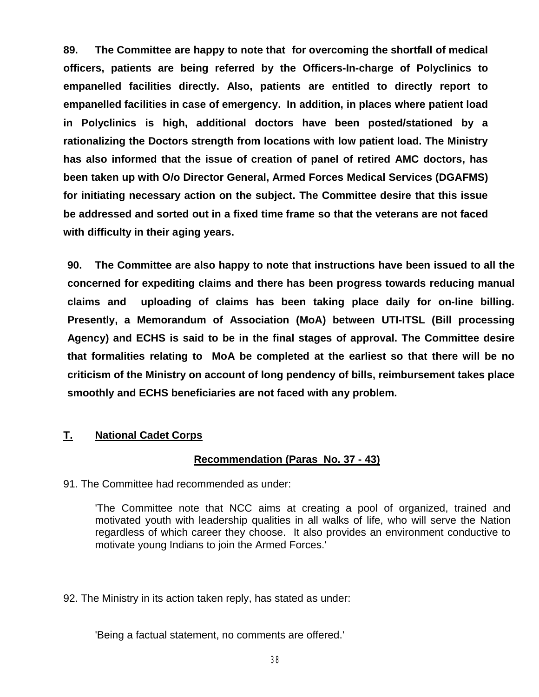**89. The Committee are happy to note that for overcoming the shortfall of medical officers, patients are being referred by the Officers-In-charge of Polyclinics to empanelled facilities directly. Also, patients are entitled to directly report to empanelled facilities in case of emergency. In addition, in places where patient load in Polyclinics is high, additional doctors have been posted/stationed by a rationalizing the Doctors strength from locations with low patient load. The Ministry has also informed that the issue of creation of panel of retired AMC doctors, has been taken up with O/o Director General, Armed Forces Medical Services (DGAFMS) for initiating necessary action on the subject. The Committee desire that this issue be addressed and sorted out in a fixed time frame so that the veterans are not faced with difficulty in their aging years.**

**90. The Committee are also happy to note that instructions have been issued to all the concerned for expediting claims and there has been progress towards reducing manual claims and uploading of claims has been taking place daily for on-line billing. Presently, a Memorandum of Association (MoA) between UTI-ITSL (Bill processing Agency) and ECHS is said to be in the final stages of approval. The Committee desire that formalities relating to MoA be completed at the earliest so that there will be no criticism of the Ministry on account of long pendency of bills, reimbursement takes place smoothly and ECHS beneficiaries are not faced with any problem.** 

# **T. National Cadet Corps**

### **Recommendation (Paras No. 37 - 43)**

91. The Committee had recommended as under:

'The Committee note that NCC aims at creating a pool of organized, trained and motivated youth with leadership qualities in all walks of life, who will serve the Nation regardless of which career they choose. It also provides an environment conductive to motivate young Indians to join the Armed Forces.'

92. The Ministry in its action taken reply, has stated as under:

'Being a factual statement, no comments are offered.'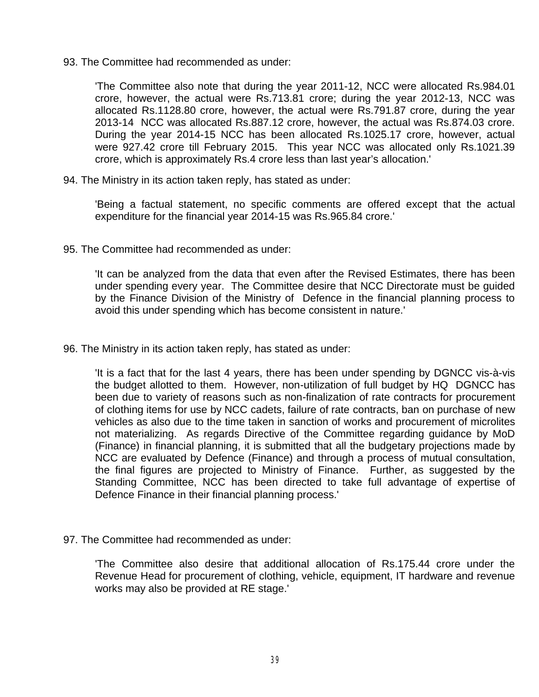93. The Committee had recommended as under:

'The Committee also note that during the year 2011-12, NCC were allocated Rs.984.01 crore, however, the actual were Rs.713.81 crore; during the year 2012-13, NCC was allocated Rs.1128.80 crore, however, the actual were Rs.791.87 crore, during the year 2013-14 NCC was allocated Rs.887.12 crore, however, the actual was Rs.874.03 crore. During the year 2014-15 NCC has been allocated Rs.1025.17 crore, however, actual were 927.42 crore till February 2015. This year NCC was allocated only Rs.1021.39 crore, which is approximately Rs.4 crore less than last year's allocation.'

94. The Ministry in its action taken reply, has stated as under:

'Being a factual statement, no specific comments are offered except that the actual expenditure for the financial year 2014-15 was Rs.965.84 crore.'

95. The Committee had recommended as under:

'It can be analyzed from the data that even after the Revised Estimates, there has been under spending every year. The Committee desire that NCC Directorate must be guided by the Finance Division of the Ministry of Defence in the financial planning process to avoid this under spending which has become consistent in nature.'

96. The Ministry in its action taken reply, has stated as under:

'It is a fact that for the last 4 years, there has been under spending by DGNCC vis-à-vis the budget allotted to them. However, non-utilization of full budget by HQ DGNCC has been due to variety of reasons such as non-finalization of rate contracts for procurement of clothing items for use by NCC cadets, failure of rate contracts, ban on purchase of new vehicles as also due to the time taken in sanction of works and procurement of microlites not materializing. As regards Directive of the Committee regarding guidance by MoD (Finance) in financial planning, it is submitted that all the budgetary projections made by NCC are evaluated by Defence (Finance) and through a process of mutual consultation, the final figures are projected to Ministry of Finance. Further, as suggested by the Standing Committee, NCC has been directed to take full advantage of expertise of Defence Finance in their financial planning process.'

97. The Committee had recommended as under:

'The Committee also desire that additional allocation of Rs.175.44 crore under the Revenue Head for procurement of clothing, vehicle, equipment, IT hardware and revenue works may also be provided at RE stage.'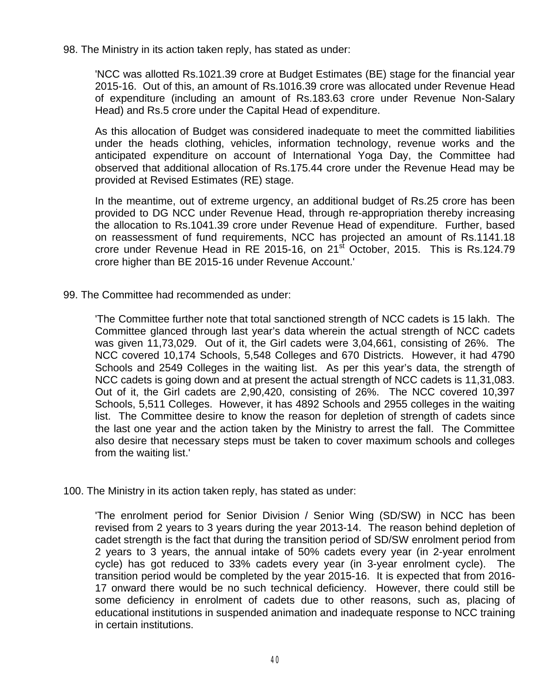98. The Ministry in its action taken reply, has stated as under:

'NCC was allotted Rs.1021.39 crore at Budget Estimates (BE) stage for the financial year 2015-16. Out of this, an amount of Rs.1016.39 crore was allocated under Revenue Head of expenditure (including an amount of Rs.183.63 crore under Revenue Non-Salary Head) and Rs.5 crore under the Capital Head of expenditure.

As this allocation of Budget was considered inadequate to meet the committed liabilities under the heads clothing, vehicles, information technology, revenue works and the anticipated expenditure on account of International Yoga Day, the Committee had observed that additional allocation of Rs.175.44 crore under the Revenue Head may be provided at Revised Estimates (RE) stage.

In the meantime, out of extreme urgency, an additional budget of Rs.25 crore has been provided to DG NCC under Revenue Head, through re-appropriation thereby increasing the allocation to Rs.1041.39 crore under Revenue Head of expenditure. Further, based on reassessment of fund requirements, NCC has projected an amount of Rs.1141.18 crore under Revenue Head in RE 2015-16, on 21<sup>st</sup> October, 2015. This is Rs.124.79 crore higher than BE 2015-16 under Revenue Account.'

99. The Committee had recommended as under:

'The Committee further note that total sanctioned strength of NCC cadets is 15 lakh. The Committee glanced through last year's data wherein the actual strength of NCC cadets was given 11,73,029. Out of it, the Girl cadets were 3,04,661, consisting of 26%. The NCC covered 10,174 Schools, 5,548 Colleges and 670 Districts. However, it had 4790 Schools and 2549 Colleges in the waiting list. As per this year's data, the strength of NCC cadets is going down and at present the actual strength of NCC cadets is 11,31,083. Out of it, the Girl cadets are 2,90,420, consisting of 26%. The NCC covered 10,397 Schools, 5,511 Colleges. However, it has 4892 Schools and 2955 colleges in the waiting list. The Committee desire to know the reason for depletion of strength of cadets since the last one year and the action taken by the Ministry to arrest the fall. The Committee also desire that necessary steps must be taken to cover maximum schools and colleges from the waiting list.'

100. The Ministry in its action taken reply, has stated as under:

'The enrolment period for Senior Division / Senior Wing (SD/SW) in NCC has been revised from 2 years to 3 years during the year 2013-14. The reason behind depletion of cadet strength is the fact that during the transition period of SD/SW enrolment period from 2 years to 3 years, the annual intake of 50% cadets every year (in 2-year enrolment cycle) has got reduced to 33% cadets every year (in 3-year enrolment cycle). The transition period would be completed by the year 2015-16. It is expected that from 2016- 17 onward there would be no such technical deficiency. However, there could still be some deficiency in enrolment of cadets due to other reasons, such as, placing of educational institutions in suspended animation and inadequate response to NCC training in certain institutions.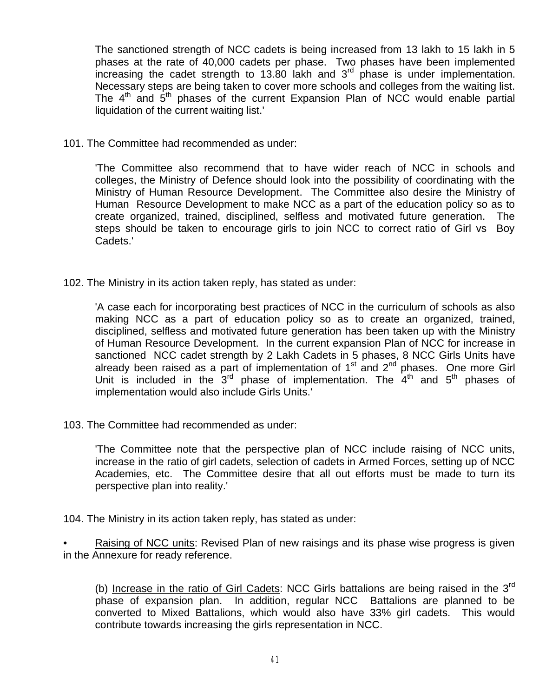The sanctioned strength of NCC cadets is being increased from 13 lakh to 15 lakh in 5 phases at the rate of 40,000 cadets per phase. Two phases have been implemented increasing the cadet strength to 13.80 lakh and  $3<sup>rd</sup>$  phase is under implementation. Necessary steps are being taken to cover more schools and colleges from the waiting list. The  $4<sup>th</sup>$  and  $5<sup>th</sup>$  phases of the current Expansion Plan of NCC would enable partial liquidation of the current waiting list.'

101. The Committee had recommended as under:

'The Committee also recommend that to have wider reach of NCC in schools and colleges, the Ministry of Defence should look into the possibility of coordinating with the Ministry of Human Resource Development. The Committee also desire the Ministry of Human Resource Development to make NCC as a part of the education policy so as to create organized, trained, disciplined, selfless and motivated future generation. The steps should be taken to encourage girls to join NCC to correct ratio of Girl vs Boy Cadets.'

102. The Ministry in its action taken reply, has stated as under:

'A case each for incorporating best practices of NCC in the curriculum of schools as also making NCC as a part of education policy so as to create an organized, trained, disciplined, selfless and motivated future generation has been taken up with the Ministry of Human Resource Development. In the current expansion Plan of NCC for increase in sanctioned NCC cadet strength by 2 Lakh Cadets in 5 phases, 8 NCC Girls Units have already been raised as a part of implementation of  $1<sup>st</sup>$  and  $2<sup>nd</sup>$  phases. One more Girl Unit is included in the  $3^{rd}$  phase of implementation. The  $4^{th}$  and  $5^{th}$  phases of implementation would also include Girls Units.'

103. The Committee had recommended as under:

'The Committee note that the perspective plan of NCC include raising of NCC units, increase in the ratio of girl cadets, selection of cadets in Armed Forces, setting up of NCC Academies, etc. The Committee desire that all out efforts must be made to turn its perspective plan into reality.'

104. The Ministry in its action taken reply, has stated as under:

• Raising of NCC units: Revised Plan of new raisings and its phase wise progress is given in the Annexure for ready reference.

(b) Increase in the ratio of Girl Cadets: NCC Girls battalions are being raised in the 3<sup>rd</sup> phase of expansion plan. In addition, regular NCC Battalions are planned to be converted to Mixed Battalions, which would also have 33% girl cadets. This would contribute towards increasing the girls representation in NCC.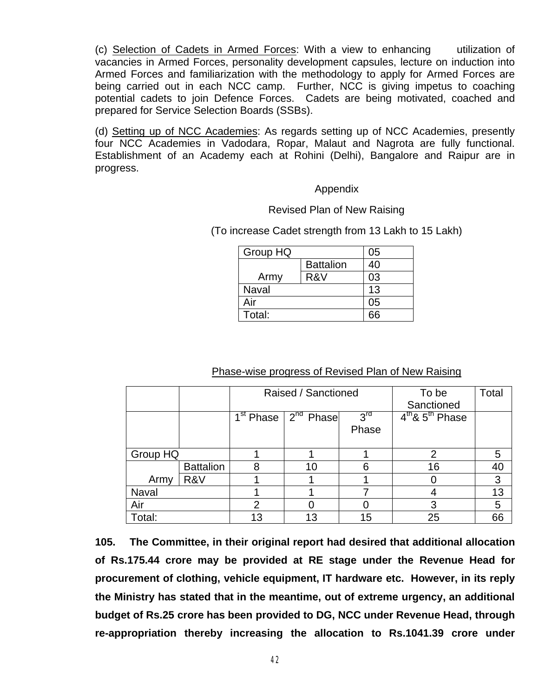(c) Selection of Cadets in Armed Forces: With a view to enhancing utilization of vacancies in Armed Forces, personality development capsules, lecture on induction into Armed Forces and familiarization with the methodology to apply for Armed Forces are being carried out in each NCC camp. Further, NCC is giving impetus to coaching potential cadets to join Defence Forces. Cadets are being motivated, coached and prepared for Service Selection Boards (SSBs).

(d) Setting up of NCC Academies: As regards setting up of NCC Academies, presently four NCC Academies in Vadodara, Ropar, Malaut and Nagrota are fully functional. Establishment of an Academy each at Rohini (Delhi), Bangalore and Raipur are in progress.

#### Appendix

#### Revised Plan of New Raising

(To increase Cadet strength from 13 Lakh to 15 Lakh)

| Group HQ     | 05               |    |
|--------------|------------------|----|
|              | <b>Battalion</b> | 40 |
| Army         | R&V              | 03 |
| <b>Naval</b> | 13               |    |
| Air          | 05               |    |
| Total:       |                  |    |

#### Phase-wise progress of Revised Plan of New Raising

|              |                  | Raised / Sanctioned |                                               | To be           | Total               |    |
|--------------|------------------|---------------------|-----------------------------------------------|-----------------|---------------------|----|
|              |                  |                     |                                               |                 | Sanctioned          |    |
|              |                  |                     | 1 <sup>st</sup> Phase   2 <sup>nd</sup> Phase | 3 <sup>rd</sup> | $4th$ & $5th$ Phase |    |
|              |                  |                     |                                               | Phase           |                     |    |
|              |                  |                     |                                               |                 |                     |    |
| Group HQ     |                  |                     |                                               |                 | 2                   | 5  |
|              | <b>Battalion</b> |                     | 10                                            | 6               | 16                  | 40 |
| Army         | R&V              |                     |                                               |                 |                     | 3  |
| <b>Naval</b> |                  |                     |                                               |                 |                     | 13 |
| Air          |                  | 2                   |                                               |                 | 3                   | 5  |
| Total:       |                  | 13                  | 13                                            | 15              | 25                  | 66 |

**105. The Committee, in their original report had desired that additional allocation of Rs.175.44 crore may be provided at RE stage under the Revenue Head for procurement of clothing, vehicle equipment, IT hardware etc. However, in its reply the Ministry has stated that in the meantime, out of extreme urgency, an additional budget of Rs.25 crore has been provided to DG, NCC under Revenue Head, through re-appropriation thereby increasing the allocation to Rs.1041.39 crore under**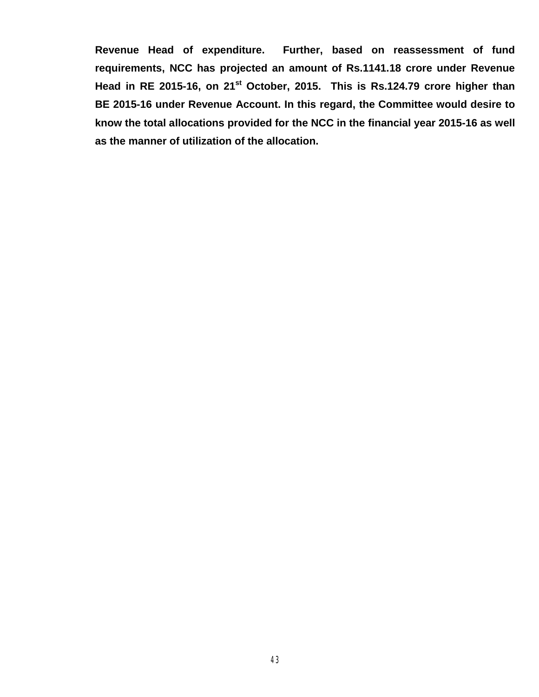**Revenue Head of expenditure. Further, based on reassessment of fund requirements, NCC has projected an amount of Rs.1141.18 crore under Revenue**  Head in RE 2015-16, on 21<sup>st</sup> October, 2015. This is Rs.124.79 crore higher than **BE 2015-16 under Revenue Account. In this regard, the Committee would desire to know the total allocations provided for the NCC in the financial year 2015-16 as well as the manner of utilization of the allocation.**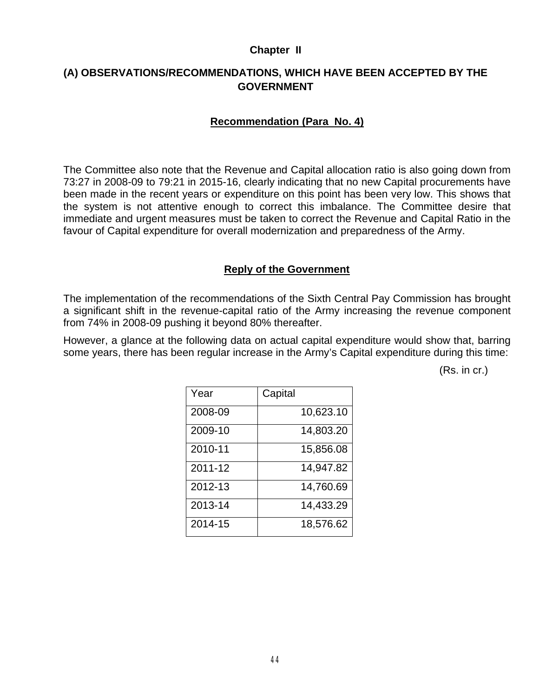#### **Chapter II**

# **(A) OBSERVATIONS/RECOMMENDATIONS, WHICH HAVE BEEN ACCEPTED BY THE GOVERNMENT**

### **Recommendation (Para No. 4)**

The Committee also note that the Revenue and Capital allocation ratio is also going down from 73:27 in 2008-09 to 79:21 in 2015-16, clearly indicating that no new Capital procurements have been made in the recent years or expenditure on this point has been very low. This shows that the system is not attentive enough to correct this imbalance. The Committee desire that immediate and urgent measures must be taken to correct the Revenue and Capital Ratio in the favour of Capital expenditure for overall modernization and preparedness of the Army.

#### **Reply of the Government**

The implementation of the recommendations of the Sixth Central Pay Commission has brought a significant shift in the revenue-capital ratio of the Army increasing the revenue component from 74% in 2008-09 pushing it beyond 80% thereafter.

However, a glance at the following data on actual capital expenditure would show that, barring some years, there has been regular increase in the Army's Capital expenditure during this time:

(Rs. in cr.)

| Year    | Capital   |
|---------|-----------|
| 2008-09 | 10,623.10 |
| 2009-10 | 14,803.20 |
| 2010-11 | 15,856.08 |
| 2011-12 | 14,947.82 |
| 2012-13 | 14,760.69 |
| 2013-14 | 14,433.29 |
| 2014-15 | 18,576.62 |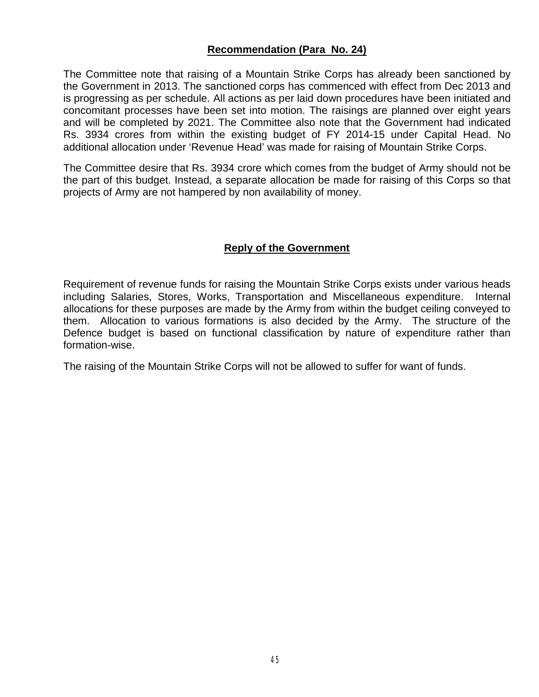## **Recommendation (Para No. 24)**

The Committee note that raising of a Mountain Strike Corps has already been sanctioned by the Government in 2013. The sanctioned corps has commenced with effect from Dec 2013 and is progressing as per schedule. All actions as per laid down procedures have been initiated and concomitant processes have been set into motion. The raisings are planned over eight years and will be completed by 2021. The Committee also note that the Government had indicated Rs. 3934 crores from within the existing budget of FY 2014-15 under Capital Head. No additional allocation under 'Revenue Head' was made for raising of Mountain Strike Corps.

The Committee desire that Rs. 3934 crore which comes from the budget of Army should not be the part of this budget. Instead, a separate allocation be made for raising of this Corps so that projects of Army are not hampered by non availability of money.

#### **Reply of the Government**

Requirement of revenue funds for raising the Mountain Strike Corps exists under various heads including Salaries, Stores, Works, Transportation and Miscellaneous expenditure. Internal allocations for these purposes are made by the Army from within the budget ceiling conveyed to them. Allocation to various formations is also decided by the Army. The structure of the Defence budget is based on functional classification by nature of expenditure rather than formation-wise.

The raising of the Mountain Strike Corps will not be allowed to suffer for want of funds.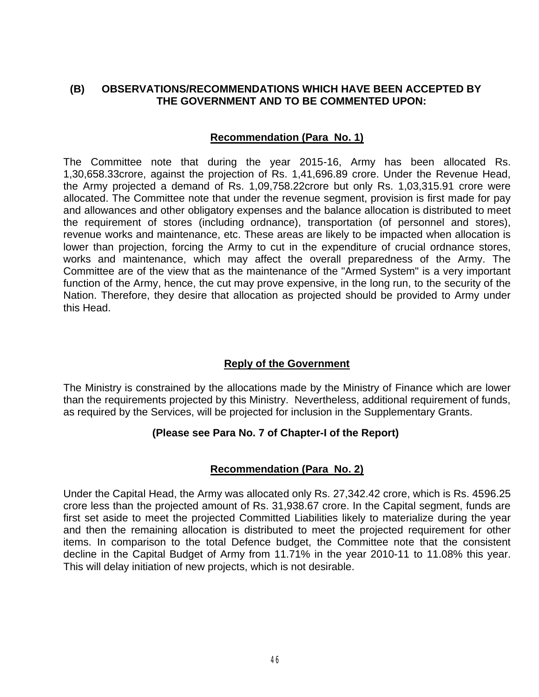# **(B) OBSERVATIONS/RECOMMENDATIONS WHICH HAVE BEEN ACCEPTED BY THE GOVERNMENT AND TO BE COMMENTED UPON:**

### **Recommendation (Para No. 1)**

The Committee note that during the year 2015-16, Army has been allocated Rs. 1,30,658.33crore, against the projection of Rs. 1,41,696.89 crore. Under the Revenue Head, the Army projected a demand of Rs. 1,09,758.22crore but only Rs. 1,03,315.91 crore were allocated. The Committee note that under the revenue segment, provision is first made for pay and allowances and other obligatory expenses and the balance allocation is distributed to meet the requirement of stores (including ordnance), transportation (of personnel and stores), revenue works and maintenance, etc. These areas are likely to be impacted when allocation is lower than projection, forcing the Army to cut in the expenditure of crucial ordnance stores, works and maintenance, which may affect the overall preparedness of the Army. The Committee are of the view that as the maintenance of the "Armed System" is a very important function of the Army, hence, the cut may prove expensive, in the long run, to the security of the Nation. Therefore, they desire that allocation as projected should be provided to Army under this Head.

### **Reply of the Government**

The Ministry is constrained by the allocations made by the Ministry of Finance which are lower than the requirements projected by this Ministry. Nevertheless, additional requirement of funds, as required by the Services, will be projected for inclusion in the Supplementary Grants.

# **(Please see Para No. 7 of Chapter-I of the Report)**

### **Recommendation (Para No. 2)**

Under the Capital Head, the Army was allocated only Rs. 27,342.42 crore, which is Rs. 4596.25 crore less than the projected amount of Rs. 31,938.67 crore. In the Capital segment, funds are first set aside to meet the projected Committed Liabilities likely to materialize during the year and then the remaining allocation is distributed to meet the projected requirement for other items. In comparison to the total Defence budget, the Committee note that the consistent decline in the Capital Budget of Army from 11.71% in the year 2010-11 to 11.08% this year. This will delay initiation of new projects, which is not desirable.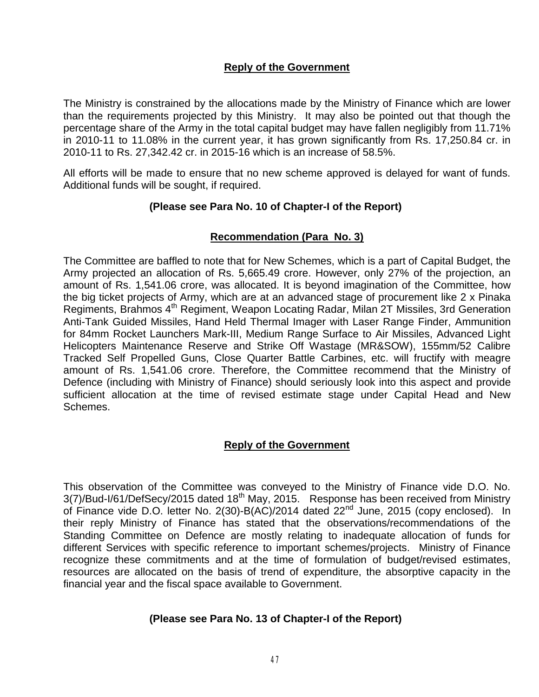## **Reply of the Government**

The Ministry is constrained by the allocations made by the Ministry of Finance which are lower than the requirements projected by this Ministry. It may also be pointed out that though the percentage share of the Army in the total capital budget may have fallen negligibly from 11.71% in 2010-11 to 11.08% in the current year, it has grown significantly from Rs. 17,250.84 cr. in 2010-11 to Rs. 27,342.42 cr. in 2015-16 which is an increase of 58.5%.

All efforts will be made to ensure that no new scheme approved is delayed for want of funds. Additional funds will be sought, if required.

### **(Please see Para No. 10 of Chapter-I of the Report)**

## **Recommendation (Para No. 3)**

The Committee are baffled to note that for New Schemes, which is a part of Capital Budget, the Army projected an allocation of Rs. 5,665.49 crore. However, only 27% of the projection, an amount of Rs. 1,541.06 crore, was allocated. It is beyond imagination of the Committee, how the big ticket projects of Army, which are at an advanced stage of procurement like 2 x Pinaka Regiments, Brahmos 4th Regiment, Weapon Locating Radar, Milan 2T Missiles, 3rd Generation Anti-Tank Guided Missiles, Hand Held Thermal Imager with Laser Range Finder, Ammunition for 84mm Rocket Launchers Mark-III, Medium Range Surface to Air Missiles, Advanced Light Helicopters Maintenance Reserve and Strike Off Wastage (MR&SOW), 155mm/52 Calibre Tracked Self Propelled Guns, Close Quarter Battle Carbines, etc. will fructify with meagre amount of Rs. 1,541.06 crore. Therefore, the Committee recommend that the Ministry of Defence (including with Ministry of Finance) should seriously look into this aspect and provide sufficient allocation at the time of revised estimate stage under Capital Head and New Schemes.

### **Reply of the Government**

This observation of the Committee was conveyed to the Ministry of Finance vide D.O. No. 3(7)/Bud-I/61/DefSecy/2015 dated 18<sup>th</sup> May, 2015. Response has been received from Ministry of Finance vide D.O. letter No. 2(30)-B(AC)/2014 dated 22<sup>nd</sup> June, 2015 (copy enclosed). In their reply Ministry of Finance has stated that the observations/recommendations of the Standing Committee on Defence are mostly relating to inadequate allocation of funds for different Services with specific reference to important schemes/projects. Ministry of Finance recognize these commitments and at the time of formulation of budget/revised estimates, resources are allocated on the basis of trend of expenditure, the absorptive capacity in the financial year and the fiscal space available to Government.

### **(Please see Para No. 13 of Chapter-I of the Report)**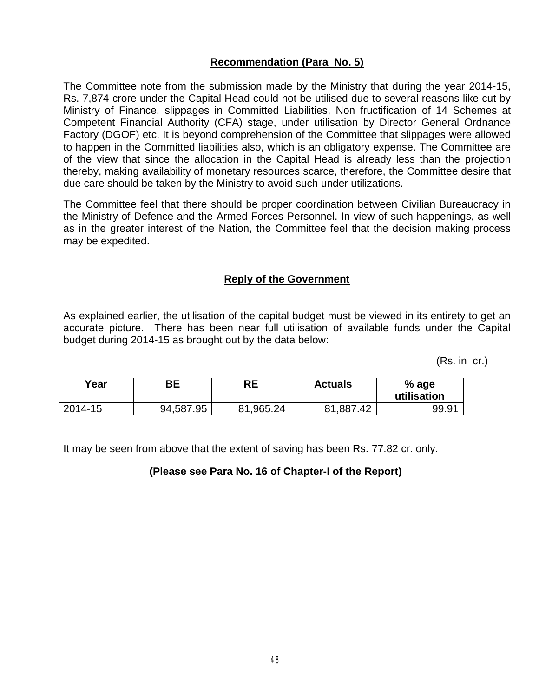# **Recommendation (Para No. 5)**

The Committee note from the submission made by the Ministry that during the year 2014-15, Rs. 7,874 crore under the Capital Head could not be utilised due to several reasons like cut by Ministry of Finance, slippages in Committed Liabilities, Non fructification of 14 Schemes at Competent Financial Authority (CFA) stage, under utilisation by Director General Ordnance Factory (DGOF) etc. It is beyond comprehension of the Committee that slippages were allowed to happen in the Committed liabilities also, which is an obligatory expense. The Committee are of the view that since the allocation in the Capital Head is already less than the projection thereby, making availability of monetary resources scarce, therefore, the Committee desire that due care should be taken by the Ministry to avoid such under utilizations.

The Committee feel that there should be proper coordination between Civilian Bureaucracy in the Ministry of Defence and the Armed Forces Personnel. In view of such happenings, as well as in the greater interest of the Nation, the Committee feel that the decision making process may be expedited.

### **Reply of the Government**

As explained earlier, the utilisation of the capital budget must be viewed in its entirety to get an accurate picture. There has been near full utilisation of available funds under the Capital budget during 2014-15 as brought out by the data below:

(Rs. in cr.)

| Vear    | ВE        | RE        | <b>Actuals</b> | % age<br>utilisation |
|---------|-----------|-----------|----------------|----------------------|
| 2014-15 | 94,587.95 | 81,965.24 | 81,887<br>'.42 | 99.91                |

It may be seen from above that the extent of saving has been Rs. 77.82 cr. only.

### **(Please see Para No. 16 of Chapter-I of the Report)**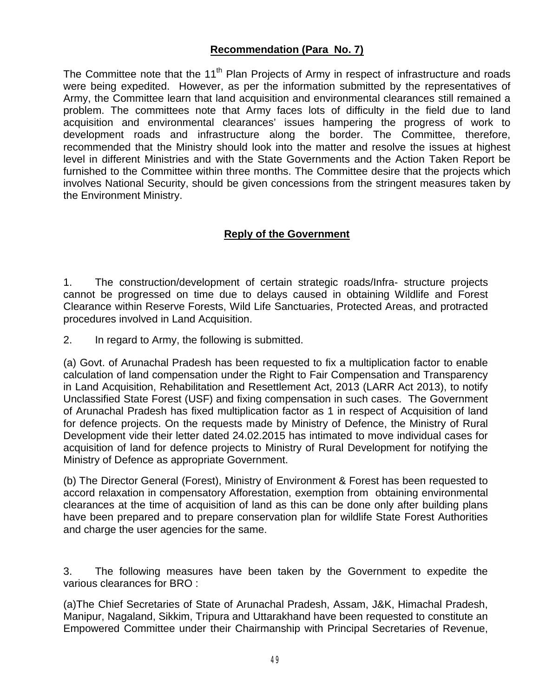# **Recommendation (Para No. 7)**

The Committee note that the 11<sup>th</sup> Plan Projects of Army in respect of infrastructure and roads were being expedited. However, as per the information submitted by the representatives of Army, the Committee learn that land acquisition and environmental clearances still remained a problem. The committees note that Army faces lots of difficulty in the field due to land acquisition and environmental clearances' issues hampering the progress of work to development roads and infrastructure along the border. The Committee, therefore, recommended that the Ministry should look into the matter and resolve the issues at highest level in different Ministries and with the State Governments and the Action Taken Report be furnished to the Committee within three months. The Committee desire that the projects which involves National Security, should be given concessions from the stringent measures taken by the Environment Ministry.

### **Reply of the Government**

1. The construction/development of certain strategic roads/Infra- structure projects cannot be progressed on time due to delays caused in obtaining Wildlife and Forest Clearance within Reserve Forests, Wild Life Sanctuaries, Protected Areas, and protracted procedures involved in Land Acquisition.

2. In regard to Army, the following is submitted.

(a) Govt. of Arunachal Pradesh has been requested to fix a multiplication factor to enable calculation of land compensation under the Right to Fair Compensation and Transparency in Land Acquisition, Rehabilitation and Resettlement Act, 2013 (LARR Act 2013), to notify Unclassified State Forest (USF) and fixing compensation in such cases. The Government of Arunachal Pradesh has fixed multiplication factor as 1 in respect of Acquisition of land for defence projects. On the requests made by Ministry of Defence, the Ministry of Rural Development vide their letter dated 24.02.2015 has intimated to move individual cases for acquisition of land for defence projects to Ministry of Rural Development for notifying the Ministry of Defence as appropriate Government.

(b) The Director General (Forest), Ministry of Environment & Forest has been requested to accord relaxation in compensatory Afforestation, exemption from obtaining environmental clearances at the time of acquisition of land as this can be done only after building plans have been prepared and to prepare conservation plan for wildlife State Forest Authorities and charge the user agencies for the same.

3. The following measures have been taken by the Government to expedite the various clearances for BRO :

(a)The Chief Secretaries of State of Arunachal Pradesh, Assam, J&K, Himachal Pradesh, Manipur, Nagaland, Sikkim, Tripura and Uttarakhand have been requested to constitute an Empowered Committee under their Chairmanship with Principal Secretaries of Revenue,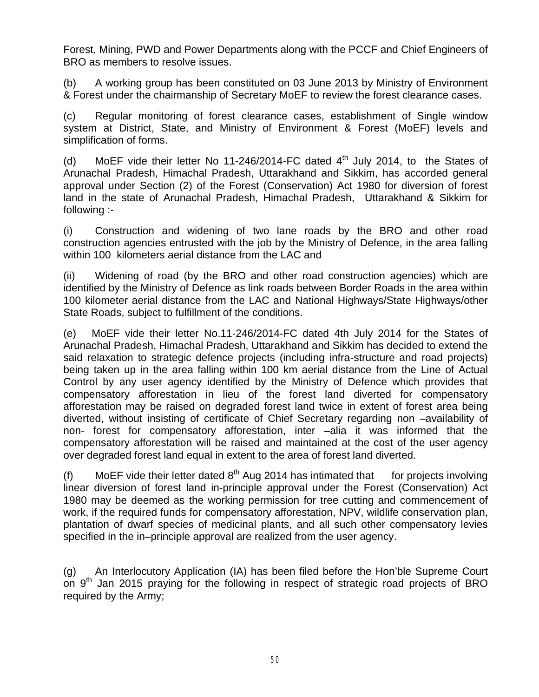Forest, Mining, PWD and Power Departments along with the PCCF and Chief Engineers of BRO as members to resolve issues.

(b) A working group has been constituted on 03 June 2013 by Ministry of Environment & Forest under the chairmanship of Secretary MoEF to review the forest clearance cases.

(c) Regular monitoring of forest clearance cases, establishment of Single window system at District, State, and Ministry of Environment & Forest (MoEF) levels and simplification of forms.

(d) MoEF vide their letter No 11-246/2014-FC dated  $4<sup>th</sup>$  July 2014, to the States of Arunachal Pradesh, Himachal Pradesh, Uttarakhand and Sikkim, has accorded general approval under Section (2) of the Forest (Conservation) Act 1980 for diversion of forest land in the state of Arunachal Pradesh, Himachal Pradesh, Uttarakhand & Sikkim for following :-

(i) Construction and widening of two lane roads by the BRO and other road construction agencies entrusted with the job by the Ministry of Defence, in the area falling within 100 kilometers aerial distance from the LAC and

(ii) Widening of road (by the BRO and other road construction agencies) which are identified by the Ministry of Defence as link roads between Border Roads in the area within 100 kilometer aerial distance from the LAC and National Highways/State Highways/other State Roads, subject to fulfillment of the conditions.

(e) MoEF vide their letter No.11-246/2014-FC dated 4th July 2014 for the States of Arunachal Pradesh, Himachal Pradesh, Uttarakhand and Sikkim has decided to extend the said relaxation to strategic defence projects (including infra-structure and road projects) being taken up in the area falling within 100 km aerial distance from the Line of Actual Control by any user agency identified by the Ministry of Defence which provides that compensatory afforestation in lieu of the forest land diverted for compensatory afforestation may be raised on degraded forest land twice in extent of forest area being diverted, without insisting of certificate of Chief Secretary regarding non –availability of non- forest for compensatory afforestation, inter –alia it was informed that the compensatory afforestation will be raised and maintained at the cost of the user agency over degraded forest land equal in extent to the area of forest land diverted.

(f) MoEF vide their letter dated  $8<sup>th</sup>$  Aug 2014 has intimated that for projects involving linear diversion of forest land in-principle approval under the Forest (Conservation) Act 1980 may be deemed as the working permission for tree cutting and commencement of work, if the required funds for compensatory afforestation, NPV, wildlife conservation plan, plantation of dwarf species of medicinal plants, and all such other compensatory levies specified in the in–principle approval are realized from the user agency.

(g) An Interlocutory Application (IA) has been filed before the Hon'ble Supreme Court on  $9<sup>th</sup>$  Jan 2015 praying for the following in respect of strategic road projects of BRO required by the Army;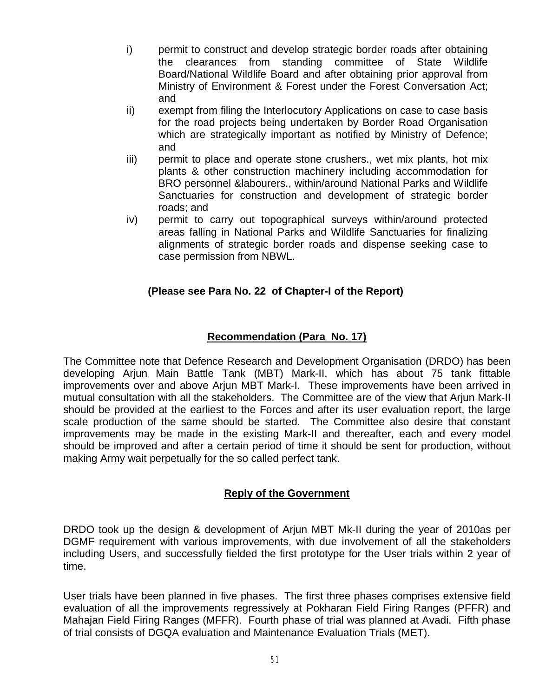- i) permit to construct and develop strategic border roads after obtaining the clearances from standing committee of State Wildlife Board/National Wildlife Board and after obtaining prior approval from Ministry of Environment & Forest under the Forest Conversation Act; and
- ii) exempt from filing the Interlocutory Applications on case to case basis for the road projects being undertaken by Border Road Organisation which are strategically important as notified by Ministry of Defence; and
- iii) permit to place and operate stone crushers., wet mix plants, hot mix plants & other construction machinery including accommodation for BRO personnel &labourers., within/around National Parks and Wildlife Sanctuaries for construction and development of strategic border roads; and
- iv) permit to carry out topographical surveys within/around protected areas falling in National Parks and Wildlife Sanctuaries for finalizing alignments of strategic border roads and dispense seeking case to case permission from NBWL.

# **(Please see Para No. 22 of Chapter-I of the Report)**

# **Recommendation (Para No. 17)**

The Committee note that Defence Research and Development Organisation (DRDO) has been developing Arjun Main Battle Tank (MBT) Mark-II, which has about 75 tank fittable improvements over and above Arjun MBT Mark-I. These improvements have been arrived in mutual consultation with all the stakeholders. The Committee are of the view that Arjun Mark-II should be provided at the earliest to the Forces and after its user evaluation report, the large scale production of the same should be started. The Committee also desire that constant improvements may be made in the existing Mark-II and thereafter, each and every model should be improved and after a certain period of time it should be sent for production, without making Army wait perpetually for the so called perfect tank.

# **Reply of the Government**

DRDO took up the design & development of Arjun MBT Mk-II during the year of 2010as per DGMF requirement with various improvements, with due involvement of all the stakeholders including Users, and successfully fielded the first prototype for the User trials within 2 year of time.

User trials have been planned in five phases. The first three phases comprises extensive field evaluation of all the improvements regressively at Pokharan Field Firing Ranges (PFFR) and Mahajan Field Firing Ranges (MFFR). Fourth phase of trial was planned at Avadi. Fifth phase of trial consists of DGQA evaluation and Maintenance Evaluation Trials (MET).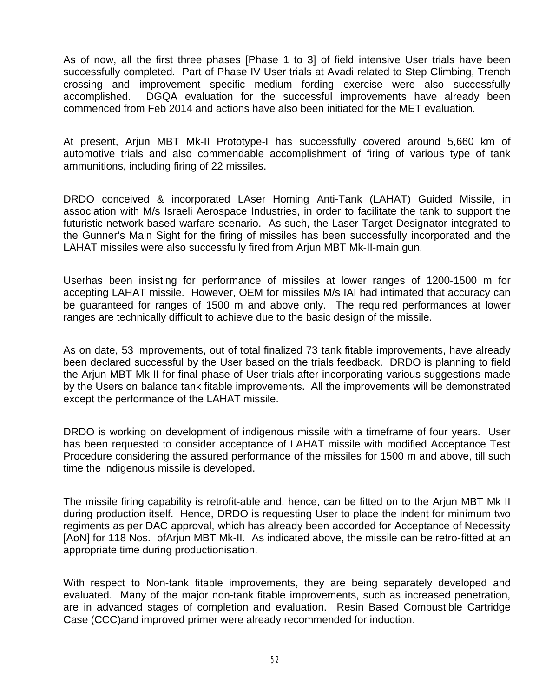As of now, all the first three phases [Phase 1 to 3] of field intensive User trials have been successfully completed. Part of Phase IV User trials at Avadi related to Step Climbing, Trench crossing and improvement specific medium fording exercise were also successfully accomplished. DGQA evaluation for the successful improvements have already been commenced from Feb 2014 and actions have also been initiated for the MET evaluation.

At present, Arjun MBT Mk-II Prototype-I has successfully covered around 5,660 km of automotive trials and also commendable accomplishment of firing of various type of tank ammunitions, including firing of 22 missiles.

DRDO conceived & incorporated LAser Homing Anti-Tank (LAHAT) Guided Missile, in association with M/s Israeli Aerospace Industries, in order to facilitate the tank to support the futuristic network based warfare scenario. As such, the Laser Target Designator integrated to the Gunner's Main Sight for the firing of missiles has been successfully incorporated and the LAHAT missiles were also successfully fired from Arjun MBT Mk-II-main gun.

Userhas been insisting for performance of missiles at lower ranges of 1200-1500 m for accepting LAHAT missile. However, OEM for missiles M/s IAI had intimated that accuracy can be guaranteed for ranges of 1500 m and above only. The required performances at lower ranges are technically difficult to achieve due to the basic design of the missile.

As on date, 53 improvements, out of total finalized 73 tank fitable improvements, have already been declared successful by the User based on the trials feedback. DRDO is planning to field the Arjun MBT Mk II for final phase of User trials after incorporating various suggestions made by the Users on balance tank fitable improvements. All the improvements will be demonstrated except the performance of the LAHAT missile.

DRDO is working on development of indigenous missile with a timeframe of four years. User has been requested to consider acceptance of LAHAT missile with modified Acceptance Test Procedure considering the assured performance of the missiles for 1500 m and above, till such time the indigenous missile is developed.

The missile firing capability is retrofit-able and, hence, can be fitted on to the Arjun MBT Mk II during production itself. Hence, DRDO is requesting User to place the indent for minimum two regiments as per DAC approval, which has already been accorded for Acceptance of Necessity [AoN] for 118 Nos. of Arjun MBT Mk-II. As indicated above, the missile can be retro-fitted at an appropriate time during productionisation.

With respect to Non-tank fitable improvements, they are being separately developed and evaluated. Many of the major non-tank fitable improvements, such as increased penetration, are in advanced stages of completion and evaluation. Resin Based Combustible Cartridge Case (CCC)and improved primer were already recommended for induction.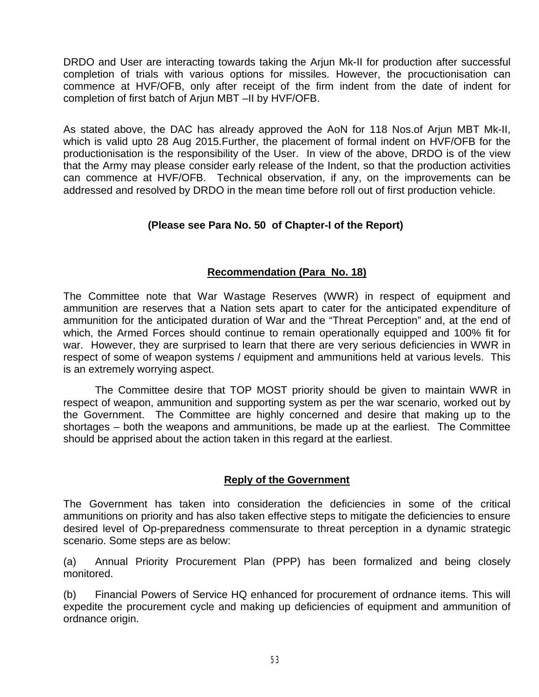DRDO and User are interacting towards taking the Arjun Mk-II for production after successful completion of trials with various options for missiles. However, the procuctionisation can commence at HVF/OFB, only after receipt of the firm indent from the date of indent for completion of first batch of Arjun MBT –II by HVF/OFB.

As stated above, the DAC has already approved the AoN for 118 Nos.of Arjun MBT Mk-II, which is valid upto 28 Aug 2015.Further, the placement of formal indent on HVF/OFB for the productionisation is the responsibility of the User. In view of the above, DRDO is of the view that the Army may please consider early release of the Indent, so that the production activities can commence at HVF/OFB. Technical observation, if any, on the improvements can be addressed and resolved by DRDO in the mean time before roll out of first production vehicle.

## **(Please see Para No. 50 of Chapter-I of the Report)**

## **Recommendation (Para No. 18)**

The Committee note that War Wastage Reserves (WWR) in respect of equipment and ammunition are reserves that a Nation sets apart to cater for the anticipated expenditure of ammunition for the anticipated duration of War and the "Threat Perception" and, at the end of which, the Armed Forces should continue to remain operationally equipped and 100% fit for war. However, they are surprised to learn that there are very serious deficiencies in WWR in respect of some of weapon systems / equipment and ammunitions held at various levels. This is an extremely worrying aspect.

The Committee desire that TOP MOST priority should be given to maintain WWR in respect of weapon, ammunition and supporting system as per the war scenario, worked out by the Government. The Committee are highly concerned and desire that making up to the shortages – both the weapons and ammunitions, be made up at the earliest. The Committee should be apprised about the action taken in this regard at the earliest.

### **Reply of the Government**

The Government has taken into consideration the deficiencies in some of the critical ammunitions on priority and has also taken effective steps to mitigate the deficiencies to ensure desired level of Op-preparedness commensurate to threat perception in a dynamic strategic scenario. Some steps are as below:

(a) Annual Priority Procurement Plan (PPP) has been formalized and being closely monitored.

(b) Financial Powers of Service HQ enhanced for procurement of ordnance items. This will expedite the procurement cycle and making up deficiencies of equipment and ammunition of ordnance origin.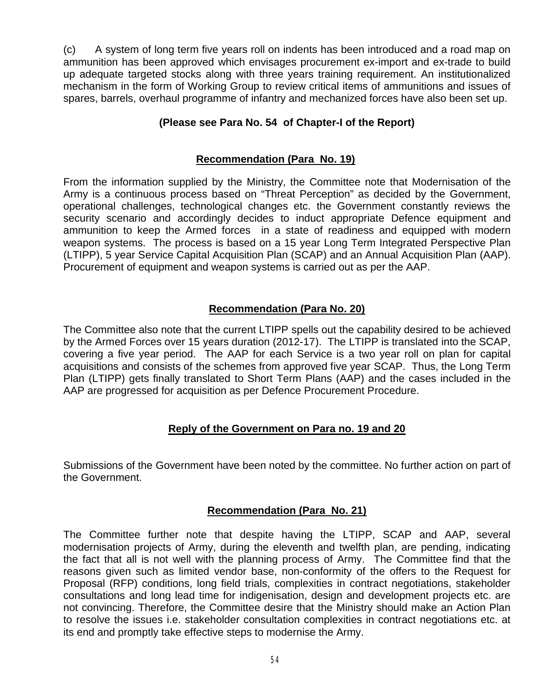(c) A system of long term five years roll on indents has been introduced and a road map on ammunition has been approved which envisages procurement ex-import and ex-trade to build up adequate targeted stocks along with three years training requirement. An institutionalized mechanism in the form of Working Group to review critical items of ammunitions and issues of spares, barrels, overhaul programme of infantry and mechanized forces have also been set up.

# **(Please see Para No. 54 of Chapter-I of the Report)**

## **Recommendation (Para No. 19)**

From the information supplied by the Ministry, the Committee note that Modernisation of the Army is a continuous process based on "Threat Perception" as decided by the Government, operational challenges, technological changes etc. the Government constantly reviews the security scenario and accordingly decides to induct appropriate Defence equipment and ammunition to keep the Armed forces in a state of readiness and equipped with modern weapon systems. The process is based on a 15 year Long Term Integrated Perspective Plan (LTIPP), 5 year Service Capital Acquisition Plan (SCAP) and an Annual Acquisition Plan (AAP). Procurement of equipment and weapon systems is carried out as per the AAP.

## **Recommendation (Para No. 20)**

The Committee also note that the current LTIPP spells out the capability desired to be achieved by the Armed Forces over 15 years duration (2012-17). The LTIPP is translated into the SCAP, covering a five year period. The AAP for each Service is a two year roll on plan for capital acquisitions and consists of the schemes from approved five year SCAP. Thus, the Long Term Plan (LTIPP) gets finally translated to Short Term Plans (AAP) and the cases included in the AAP are progressed for acquisition as per Defence Procurement Procedure.

# **Reply of the Government on Para no. 19 and 20**

Submissions of the Government have been noted by the committee. No further action on part of the Government.

### **Recommendation (Para No. 21)**

The Committee further note that despite having the LTIPP, SCAP and AAP, several modernisation projects of Army, during the eleventh and twelfth plan, are pending, indicating the fact that all is not well with the planning process of Army. The Committee find that the reasons given such as limited vendor base, non-conformity of the offers to the Request for Proposal (RFP) conditions, long field trials, complexities in contract negotiations, stakeholder consultations and long lead time for indigenisation, design and development projects etc. are not convincing. Therefore, the Committee desire that the Ministry should make an Action Plan to resolve the issues i.e. stakeholder consultation complexities in contract negotiations etc. at its end and promptly take effective steps to modernise the Army.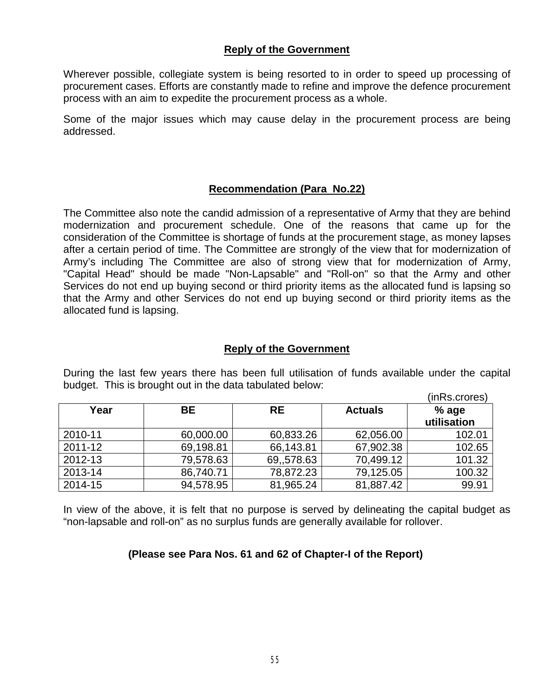### **Reply of the Government**

Wherever possible, collegiate system is being resorted to in order to speed up processing of procurement cases. Efforts are constantly made to refine and improve the defence procurement process with an aim to expedite the procurement process as a whole.

Some of the major issues which may cause delay in the procurement process are being addressed.

### **Recommendation (Para No.22)**

The Committee also note the candid admission of a representative of Army that they are behind modernization and procurement schedule. One of the reasons that came up for the consideration of the Committee is shortage of funds at the procurement stage, as money lapses after a certain period of time. The Committee are strongly of the view that for modernization of Army's including The Committee are also of strong view that for modernization of Army, "Capital Head" should be made "Non-Lapsable" and "Roll-on" so that the Army and other Services do not end up buying second or third priority items as the allocated fund is lapsing so that the Army and other Services do not end up buying second or third priority items as the allocated fund is lapsing.

#### **Reply of the Government**

|         |           |           |                | (inRs.crores) |
|---------|-----------|-----------|----------------|---------------|
| Year    | BE        | <b>RE</b> | <b>Actuals</b> | $%$ age       |
|         |           |           |                | utilisation   |
| 2010-11 | 60,000.00 | 60,833.26 | 62,056.00      | 102.01        |
| 2011-12 | 69,198.81 | 66,143.81 | 67,902.38      | 102.65        |
| 2012-13 | 79,578.63 | 69,578.63 | 70,499.12      | 101.32        |
| 2013-14 | 86,740.71 | 78,872.23 | 79,125.05      | 100.32        |
| 2014-15 | 94,578.95 | 81,965.24 | 81,887.42      | 99.91         |

During the last few years there has been full utilisation of funds available under the capital budget. This is brought out in the data tabulated below:

In view of the above, it is felt that no purpose is served by delineating the capital budget as "non-lapsable and roll-on" as no surplus funds are generally available for rollover.

### **(Please see Para Nos. 61 and 62 of Chapter-I of the Report)**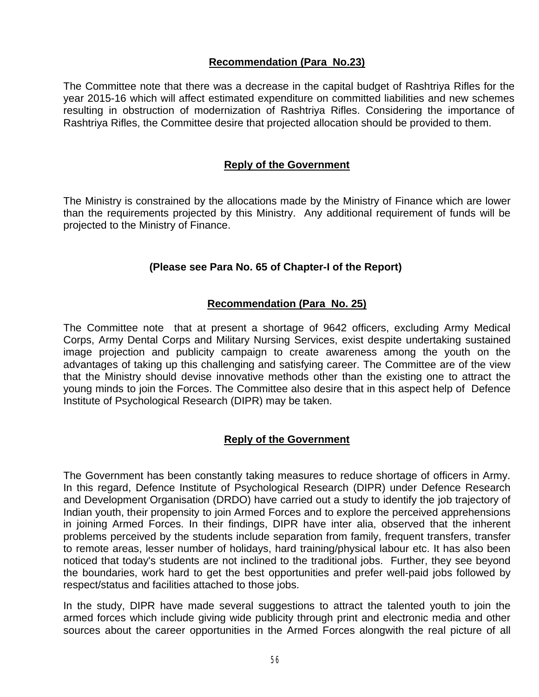# **Recommendation (Para No.23)**

The Committee note that there was a decrease in the capital budget of Rashtriya Rifles for the year 2015-16 which will affect estimated expenditure on committed liabilities and new schemes resulting in obstruction of modernization of Rashtriya Rifles. Considering the importance of Rashtriya Rifles, the Committee desire that projected allocation should be provided to them.

#### **Reply of the Government**

The Ministry is constrained by the allocations made by the Ministry of Finance which are lower than the requirements projected by this Ministry. Any additional requirement of funds will be projected to the Ministry of Finance.

#### **(Please see Para No. 65 of Chapter-I of the Report)**

#### **Recommendation (Para No. 25)**

The Committee note that at present a shortage of 9642 officers, excluding Army Medical Corps, Army Dental Corps and Military Nursing Services, exist despite undertaking sustained image projection and publicity campaign to create awareness among the youth on the advantages of taking up this challenging and satisfying career. The Committee are of the view that the Ministry should devise innovative methods other than the existing one to attract the young minds to join the Forces. The Committee also desire that in this aspect help of Defence Institute of Psychological Research (DIPR) may be taken.

### **Reply of the Government**

The Government has been constantly taking measures to reduce shortage of officers in Army. In this regard, Defence Institute of Psychological Research (DIPR) under Defence Research and Development Organisation (DRDO) have carried out a study to identify the job trajectory of Indian youth, their propensity to join Armed Forces and to explore the perceived apprehensions in joining Armed Forces. In their findings, DIPR have inter alia, observed that the inherent problems perceived by the students include separation from family, frequent transfers, transfer to remote areas, lesser number of holidays, hard training/physical labour etc. It has also been noticed that today's students are not inclined to the traditional jobs. Further, they see beyond the boundaries, work hard to get the best opportunities and prefer well-paid jobs followed by respect/status and facilities attached to those jobs.

In the study, DIPR have made several suggestions to attract the talented youth to join the armed forces which include giving wide publicity through print and electronic media and other sources about the career opportunities in the Armed Forces alongwith the real picture of all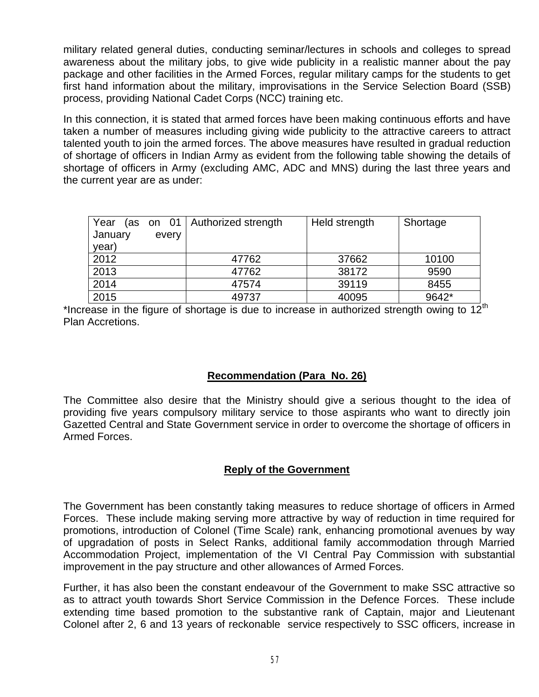military related general duties, conducting seminar/lectures in schools and colleges to spread awareness about the military jobs, to give wide publicity in a realistic manner about the pay package and other facilities in the Armed Forces, regular military camps for the students to get first hand information about the military, improvisations in the Service Selection Board (SSB) process, providing National Cadet Corps (NCC) training etc.

In this connection, it is stated that armed forces have been making continuous efforts and have taken a number of measures including giving wide publicity to the attractive careers to attract talented youth to join the armed forces. The above measures have resulted in gradual reduction of shortage of officers in Indian Army as evident from the following table showing the details of shortage of officers in Army (excluding AMC, ADC and MNS) during the last three years and the current year are as under:

| Year<br>January | every | (as on 01   Authorized strength | Held strength | Shortage |
|-----------------|-------|---------------------------------|---------------|----------|
| year)           |       |                                 |               |          |
| 2012            |       | 47762                           | 37662         | 10100    |
| 2013            |       | 47762                           | 38172         | 9590     |
| 2014            |       | 47574                           | 39119         | 8455     |
| 2015            |       | 49737                           | 40095         | 9642*    |

\*Increase in the figure of shortage is due to increase in authorized strength owing to  $12<sup>th</sup>$ Plan Accretions.

# **Recommendation (Para No. 26)**

The Committee also desire that the Ministry should give a serious thought to the idea of providing five years compulsory military service to those aspirants who want to directly join Gazetted Central and State Government service in order to overcome the shortage of officers in Armed Forces.

# **Reply of the Government**

The Government has been constantly taking measures to reduce shortage of officers in Armed Forces. These include making serving more attractive by way of reduction in time required for promotions, introduction of Colonel (Time Scale) rank, enhancing promotional avenues by way of upgradation of posts in Select Ranks, additional family accommodation through Married Accommodation Project, implementation of the VI Central Pay Commission with substantial improvement in the pay structure and other allowances of Armed Forces.

Further, it has also been the constant endeavour of the Government to make SSC attractive so as to attract youth towards Short Service Commission in the Defence Forces. These include extending time based promotion to the substantive rank of Captain, major and Lieutenant Colonel after 2, 6 and 13 years of reckonable service respectively to SSC officers, increase in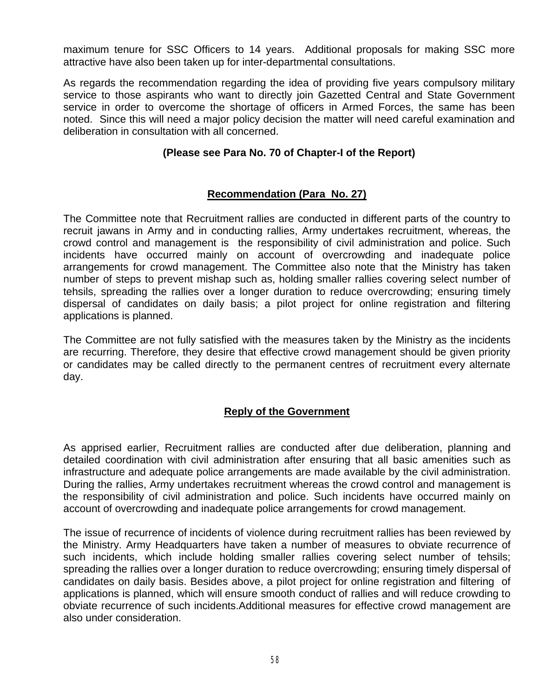maximum tenure for SSC Officers to 14 years. Additional proposals for making SSC more attractive have also been taken up for inter-departmental consultations.

As regards the recommendation regarding the idea of providing five years compulsory military service to those aspirants who want to directly join Gazetted Central and State Government service in order to overcome the shortage of officers in Armed Forces, the same has been noted. Since this will need a major policy decision the matter will need careful examination and deliberation in consultation with all concerned.

### **(Please see Para No. 70 of Chapter-I of the Report)**

### **Recommendation (Para No. 27)**

The Committee note that Recruitment rallies are conducted in different parts of the country to recruit jawans in Army and in conducting rallies, Army undertakes recruitment, whereas, the crowd control and management is the responsibility of civil administration and police. Such incidents have occurred mainly on account of overcrowding and inadequate police arrangements for crowd management. The Committee also note that the Ministry has taken number of steps to prevent mishap such as, holding smaller rallies covering select number of tehsils, spreading the rallies over a longer duration to reduce overcrowding; ensuring timely dispersal of candidates on daily basis; a pilot project for online registration and filtering applications is planned.

The Committee are not fully satisfied with the measures taken by the Ministry as the incidents are recurring. Therefore, they desire that effective crowd management should be given priority or candidates may be called directly to the permanent centres of recruitment every alternate day.

### **Reply of the Government**

As apprised earlier, Recruitment rallies are conducted after due deliberation, planning and detailed coordination with civil administration after ensuring that all basic amenities such as infrastructure and adequate police arrangements are made available by the civil administration. During the rallies, Army undertakes recruitment whereas the crowd control and management is the responsibility of civil administration and police. Such incidents have occurred mainly on account of overcrowding and inadequate police arrangements for crowd management.

The issue of recurrence of incidents of violence during recruitment rallies has been reviewed by the Ministry. Army Headquarters have taken a number of measures to obviate recurrence of such incidents, which include holding smaller rallies covering select number of tehsils; spreading the rallies over a longer duration to reduce overcrowding; ensuring timely dispersal of candidates on daily basis. Besides above, a pilot project for online registration and filtering of applications is planned, which will ensure smooth conduct of rallies and will reduce crowding to obviate recurrence of such incidents.Additional measures for effective crowd management are also under consideration.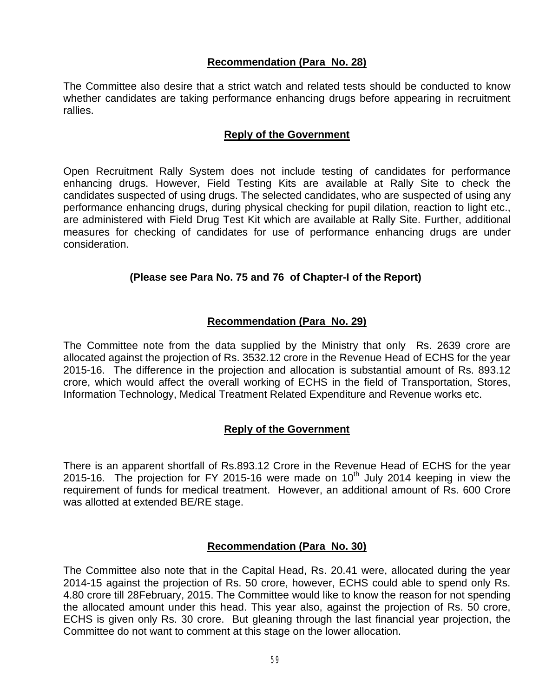## **Recommendation (Para No. 28)**

The Committee also desire that a strict watch and related tests should be conducted to know whether candidates are taking performance enhancing drugs before appearing in recruitment rallies.

### **Reply of the Government**

Open Recruitment Rally System does not include testing of candidates for performance enhancing drugs. However, Field Testing Kits are available at Rally Site to check the candidates suspected of using drugs. The selected candidates, who are suspected of using any performance enhancing drugs, during physical checking for pupil dilation, reaction to light etc., are administered with Field Drug Test Kit which are available at Rally Site. Further, additional measures for checking of candidates for use of performance enhancing drugs are under consideration.

## **(Please see Para No. 75 and 76 of Chapter-I of the Report)**

## **Recommendation (Para No. 29)**

The Committee note from the data supplied by the Ministry that only Rs. 2639 crore are allocated against the projection of Rs. 3532.12 crore in the Revenue Head of ECHS for the year 2015-16. The difference in the projection and allocation is substantial amount of Rs. 893.12 crore, which would affect the overall working of ECHS in the field of Transportation, Stores, Information Technology, Medical Treatment Related Expenditure and Revenue works etc.

### **Reply of the Government**

There is an apparent shortfall of Rs.893.12 Crore in the Revenue Head of ECHS for the year 2015-16. The projection for FY 2015-16 were made on  $10<sup>th</sup>$  July 2014 keeping in view the requirement of funds for medical treatment. However, an additional amount of Rs. 600 Crore was allotted at extended BE/RE stage.

### **Recommendation (Para No. 30)**

The Committee also note that in the Capital Head, Rs. 20.41 were, allocated during the year 2014-15 against the projection of Rs. 50 crore, however, ECHS could able to spend only Rs. 4.80 crore till 28February, 2015. The Committee would like to know the reason for not spending the allocated amount under this head. This year also, against the projection of Rs. 50 crore, ECHS is given only Rs. 30 crore. But gleaning through the last financial year projection, the Committee do not want to comment at this stage on the lower allocation.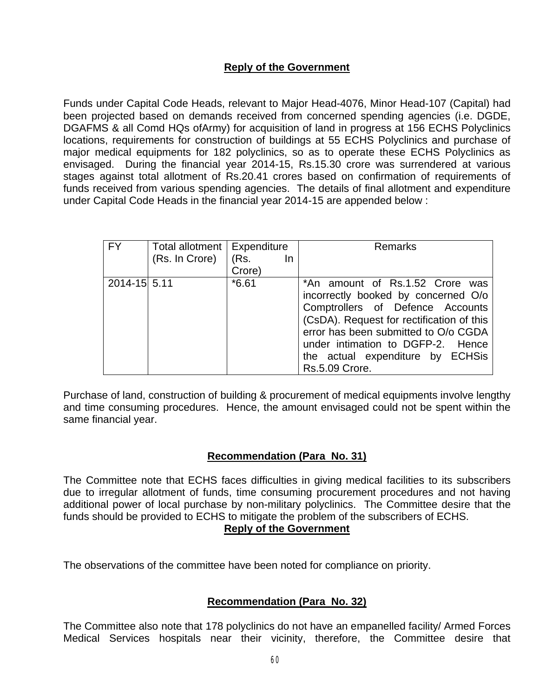# **Reply of the Government**

Funds under Capital Code Heads, relevant to Major Head-4076, Minor Head-107 (Capital) had been projected based on demands received from concerned spending agencies (i.e. DGDE, DGAFMS & all Comd HQs ofArmy) for acquisition of land in progress at 156 ECHS Polyclinics locations, requirements for construction of buildings at 55 ECHS Polyclinics and purchase of major medical equipments for 182 polyclinics, so as to operate these ECHS Polyclinics as envisaged. During the financial year 2014-15, Rs.15.30 crore was surrendered at various stages against total allotment of Rs.20.41 crores based on confirmation of requirements of funds received from various spending agencies. The details of final allotment and expenditure under Capital Code Heads in the financial year 2014-15 are appended below :

| <b>FY</b>    | Total allotment   Expenditure<br>(Rs. In Crore) | (Rs.<br><u>In</u><br>Crore) | <b>Remarks</b>                                                                                                                                                                                                                                                                             |
|--------------|-------------------------------------------------|-----------------------------|--------------------------------------------------------------------------------------------------------------------------------------------------------------------------------------------------------------------------------------------------------------------------------------------|
| 2014-15 5.11 |                                                 | $*6.61$                     | *An amount of Rs.1.52 Crore was<br>incorrectly booked by concerned O/o<br>Comptrollers of Defence Accounts<br>(CsDA). Request for rectification of this<br>error has been submitted to O/o CGDA<br>under intimation to DGFP-2. Hence<br>the actual expenditure by ECHSis<br>Rs.5.09 Crore. |

Purchase of land, construction of building & procurement of medical equipments involve lengthy and time consuming procedures. Hence, the amount envisaged could not be spent within the same financial year.

# **Recommendation (Para No. 31)**

The Committee note that ECHS faces difficulties in giving medical facilities to its subscribers due to irregular allotment of funds, time consuming procurement procedures and not having additional power of local purchase by non-military polyclinics. The Committee desire that the funds should be provided to ECHS to mitigate the problem of the subscribers of ECHS.

### **Reply of the Government**

The observations of the committee have been noted for compliance on priority.

# **Recommendation (Para No. 32)**

The Committee also note that 178 polyclinics do not have an empanelled facility/ Armed Forces Medical Services hospitals near their vicinity, therefore, the Committee desire that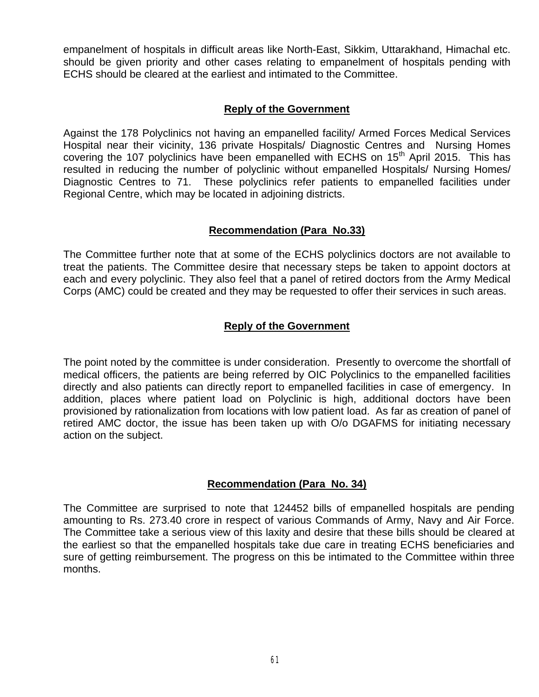empanelment of hospitals in difficult areas like North-East, Sikkim, Uttarakhand, Himachal etc. should be given priority and other cases relating to empanelment of hospitals pending with ECHS should be cleared at the earliest and intimated to the Committee.

### **Reply of the Government**

Against the 178 Polyclinics not having an empanelled facility/ Armed Forces Medical Services Hospital near their vicinity, 136 private Hospitals/ Diagnostic Centres and Nursing Homes covering the 107 polyclinics have been empanelled with ECHS on 15<sup>th</sup> April 2015. This has resulted in reducing the number of polyclinic without empanelled Hospitals/ Nursing Homes/ Diagnostic Centres to 71. These polyclinics refer patients to empanelled facilities under Regional Centre, which may be located in adjoining districts.

## **Recommendation (Para No.33)**

The Committee further note that at some of the ECHS polyclinics doctors are not available to treat the patients. The Committee desire that necessary steps be taken to appoint doctors at each and every polyclinic. They also feel that a panel of retired doctors from the Army Medical Corps (AMC) could be created and they may be requested to offer their services in such areas.

# **Reply of the Government**

The point noted by the committee is under consideration. Presently to overcome the shortfall of medical officers, the patients are being referred by OIC Polyclinics to the empanelled facilities directly and also patients can directly report to empanelled facilities in case of emergency. In addition, places where patient load on Polyclinic is high, additional doctors have been provisioned by rationalization from locations with low patient load. As far as creation of panel of retired AMC doctor, the issue has been taken up with O/o DGAFMS for initiating necessary action on the subject.

# **Recommendation (Para No. 34)**

The Committee are surprised to note that 124452 bills of empanelled hospitals are pending amounting to Rs. 273.40 crore in respect of various Commands of Army, Navy and Air Force. The Committee take a serious view of this laxity and desire that these bills should be cleared at the earliest so that the empanelled hospitals take due care in treating ECHS beneficiaries and sure of getting reimbursement. The progress on this be intimated to the Committee within three months.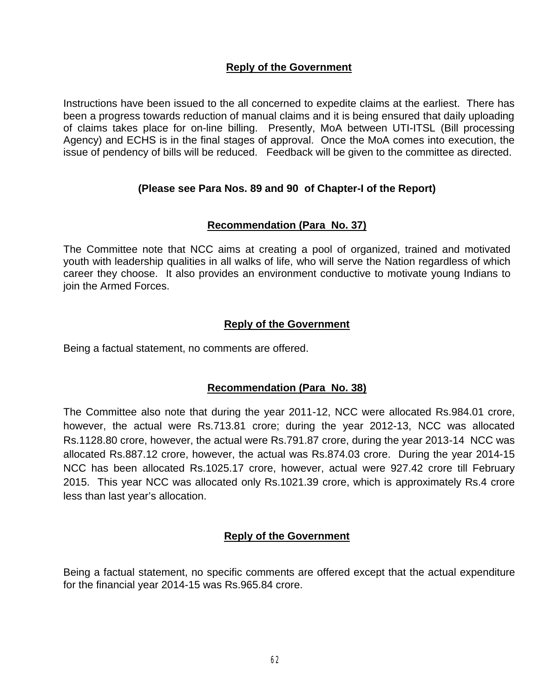## **Reply of the Government**

Instructions have been issued to the all concerned to expedite claims at the earliest. There has been a progress towards reduction of manual claims and it is being ensured that daily uploading of claims takes place for on-line billing. Presently, MoA between UTI-ITSL (Bill processing Agency) and ECHS is in the final stages of approval. Once the MoA comes into execution, the issue of pendency of bills will be reduced. Feedback will be given to the committee as directed.

## **(Please see Para Nos. 89 and 90 of Chapter-I of the Report)**

### **Recommendation (Para No. 37)**

The Committee note that NCC aims at creating a pool of organized, trained and motivated youth with leadership qualities in all walks of life, who will serve the Nation regardless of which career they choose. It also provides an environment conductive to motivate young Indians to join the Armed Forces.

### **Reply of the Government**

Being a factual statement, no comments are offered.

### **Recommendation (Para No. 38)**

The Committee also note that during the year 2011-12, NCC were allocated Rs.984.01 crore, however, the actual were Rs.713.81 crore; during the year 2012-13, NCC was allocated Rs.1128.80 crore, however, the actual were Rs.791.87 crore, during the year 2013-14 NCC was allocated Rs.887.12 crore, however, the actual was Rs.874.03 crore. During the year 2014-15 NCC has been allocated Rs.1025.17 crore, however, actual were 927.42 crore till February 2015. This year NCC was allocated only Rs.1021.39 crore, which is approximately Rs.4 crore less than last year's allocation.

### **Reply of the Government**

Being a factual statement, no specific comments are offered except that the actual expenditure for the financial year 2014-15 was Rs.965.84 crore.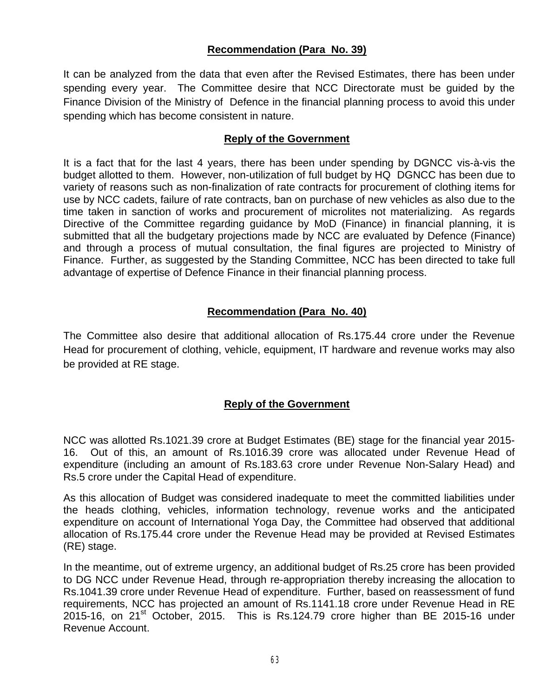# **Recommendation (Para No. 39)**

It can be analyzed from the data that even after the Revised Estimates, there has been under spending every year. The Committee desire that NCC Directorate must be guided by the Finance Division of the Ministry of Defence in the financial planning process to avoid this under spending which has become consistent in nature.

#### **Reply of the Government**

It is a fact that for the last 4 years, there has been under spending by DGNCC vis-à-vis the budget allotted to them. However, non-utilization of full budget by HQ DGNCC has been due to variety of reasons such as non-finalization of rate contracts for procurement of clothing items for use by NCC cadets, failure of rate contracts, ban on purchase of new vehicles as also due to the time taken in sanction of works and procurement of microlites not materializing. As regards Directive of the Committee regarding guidance by MoD (Finance) in financial planning, it is submitted that all the budgetary projections made by NCC are evaluated by Defence (Finance) and through a process of mutual consultation, the final figures are projected to Ministry of Finance. Further, as suggested by the Standing Committee, NCC has been directed to take full advantage of expertise of Defence Finance in their financial planning process.

## **Recommendation (Para No. 40)**

The Committee also desire that additional allocation of Rs.175.44 crore under the Revenue Head for procurement of clothing, vehicle, equipment, IT hardware and revenue works may also be provided at RE stage.

### **Reply of the Government**

NCC was allotted Rs.1021.39 crore at Budget Estimates (BE) stage for the financial year 2015- 16. Out of this, an amount of Rs.1016.39 crore was allocated under Revenue Head of expenditure (including an amount of Rs.183.63 crore under Revenue Non-Salary Head) and Rs.5 crore under the Capital Head of expenditure.

As this allocation of Budget was considered inadequate to meet the committed liabilities under the heads clothing, vehicles, information technology, revenue works and the anticipated expenditure on account of International Yoga Day, the Committee had observed that additional allocation of Rs.175.44 crore under the Revenue Head may be provided at Revised Estimates (RE) stage.

In the meantime, out of extreme urgency, an additional budget of Rs.25 crore has been provided to DG NCC under Revenue Head, through re-appropriation thereby increasing the allocation to Rs.1041.39 crore under Revenue Head of expenditure. Further, based on reassessment of fund requirements, NCC has projected an amount of Rs.1141.18 crore under Revenue Head in RE 2015-16, on 21<sup>st</sup> October, 2015. This is Rs.124.79 crore higher than BE 2015-16 under Revenue Account.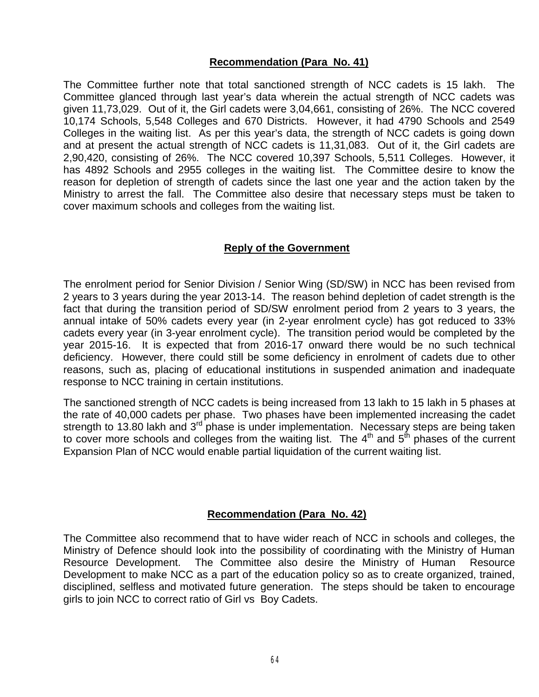### **Recommendation (Para No. 41)**

The Committee further note that total sanctioned strength of NCC cadets is 15 lakh. The Committee glanced through last year's data wherein the actual strength of NCC cadets was given 11,73,029. Out of it, the Girl cadets were 3,04,661, consisting of 26%. The NCC covered 10,174 Schools, 5,548 Colleges and 670 Districts. However, it had 4790 Schools and 2549 Colleges in the waiting list. As per this year's data, the strength of NCC cadets is going down and at present the actual strength of NCC cadets is 11,31,083. Out of it, the Girl cadets are 2,90,420, consisting of 26%. The NCC covered 10,397 Schools, 5,511 Colleges. However, it has 4892 Schools and 2955 colleges in the waiting list. The Committee desire to know the reason for depletion of strength of cadets since the last one year and the action taken by the Ministry to arrest the fall. The Committee also desire that necessary steps must be taken to cover maximum schools and colleges from the waiting list.

### **Reply of the Government**

The enrolment period for Senior Division / Senior Wing (SD/SW) in NCC has been revised from 2 years to 3 years during the year 2013-14. The reason behind depletion of cadet strength is the fact that during the transition period of SD/SW enrolment period from 2 years to 3 years, the annual intake of 50% cadets every year (in 2-year enrolment cycle) has got reduced to 33% cadets every year (in 3-year enrolment cycle). The transition period would be completed by the year 2015-16. It is expected that from 2016-17 onward there would be no such technical deficiency. However, there could still be some deficiency in enrolment of cadets due to other reasons, such as, placing of educational institutions in suspended animation and inadequate response to NCC training in certain institutions.

The sanctioned strength of NCC cadets is being increased from 13 lakh to 15 lakh in 5 phases at the rate of 40,000 cadets per phase. Two phases have been implemented increasing the cadet strength to 13.80 lakh and  $3<sup>rd</sup>$  phase is under implementation. Necessary steps are being taken to cover more schools and colleges from the waiting list. The  $4<sup>th</sup>$  and  $5<sup>th</sup>$  phases of the current Expansion Plan of NCC would enable partial liquidation of the current waiting list.

### **Recommendation (Para No. 42)**

The Committee also recommend that to have wider reach of NCC in schools and colleges, the Ministry of Defence should look into the possibility of coordinating with the Ministry of Human Resource Development. The Committee also desire the Ministry of Human Resource Development to make NCC as a part of the education policy so as to create organized, trained, disciplined, selfless and motivated future generation. The steps should be taken to encourage girls to join NCC to correct ratio of Girl vs Boy Cadets.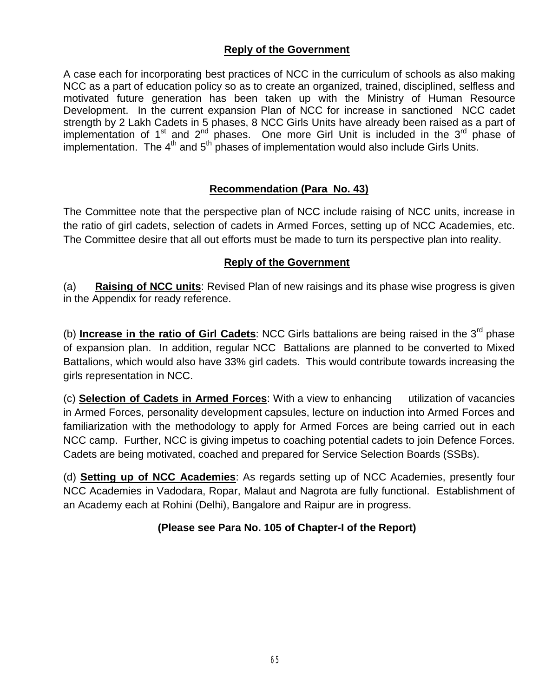# **Reply of the Government**

A case each for incorporating best practices of NCC in the curriculum of schools as also making NCC as a part of education policy so as to create an organized, trained, disciplined, selfless and motivated future generation has been taken up with the Ministry of Human Resource Development. In the current expansion Plan of NCC for increase in sanctioned NCC cadet strength by 2 Lakh Cadets in 5 phases, 8 NCC Girls Units have already been raised as a part of implementation of 1<sup>st</sup> and 2<sup>nd</sup> phases. One more Girl Unit is included in the 3<sup>rd</sup> phase of implementation. The  $4<sup>th</sup>$  and  $5<sup>th</sup>$  phases of implementation would also include Girls Units.

# **Recommendation (Para No. 43)**

The Committee note that the perspective plan of NCC include raising of NCC units, increase in the ratio of girl cadets, selection of cadets in Armed Forces, setting up of NCC Academies, etc. The Committee desire that all out efforts must be made to turn its perspective plan into reality.

### **Reply of the Government**

(a) **Raising of NCC units**: Revised Plan of new raisings and its phase wise progress is given in the Appendix for ready reference.

(b) **Increase in the ratio of Girl Cadets**: NCC Girls battalions are being raised in the 3rd phase of expansion plan. In addition, regular NCC Battalions are planned to be converted to Mixed Battalions, which would also have 33% girl cadets. This would contribute towards increasing the girls representation in NCC.

(c) **Selection of Cadets in Armed Forces**: With a view to enhancing utilization of vacancies in Armed Forces, personality development capsules, lecture on induction into Armed Forces and familiarization with the methodology to apply for Armed Forces are being carried out in each NCC camp. Further, NCC is giving impetus to coaching potential cadets to join Defence Forces. Cadets are being motivated, coached and prepared for Service Selection Boards (SSBs).

(d) **Setting up of NCC Academies**: As regards setting up of NCC Academies, presently four NCC Academies in Vadodara, Ropar, Malaut and Nagrota are fully functional. Establishment of an Academy each at Rohini (Delhi), Bangalore and Raipur are in progress.

# **(Please see Para No. 105 of Chapter-I of the Report)**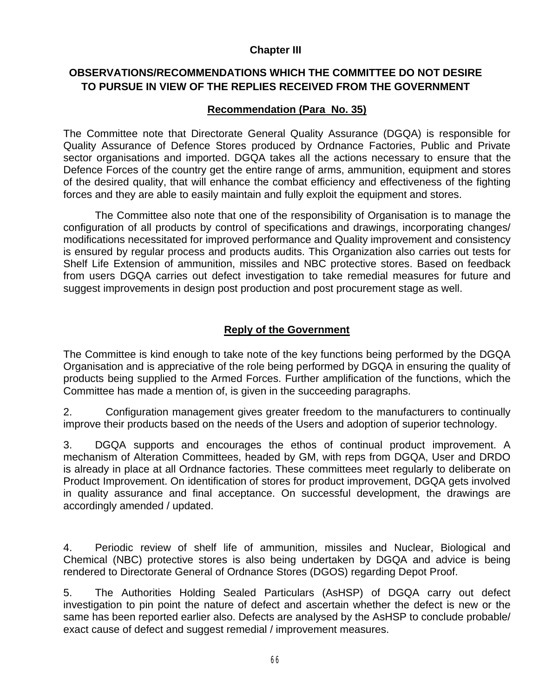### **Chapter III**

# **OBSERVATIONS/RECOMMENDATIONS WHICH THE COMMITTEE DO NOT DESIRE TO PURSUE IN VIEW OF THE REPLIES RECEIVED FROM THE GOVERNMENT**

# **Recommendation (Para No. 35)**

The Committee note that Directorate General Quality Assurance (DGQA) is responsible for Quality Assurance of Defence Stores produced by Ordnance Factories, Public and Private sector organisations and imported. DGQA takes all the actions necessary to ensure that the Defence Forces of the country get the entire range of arms, ammunition, equipment and stores of the desired quality, that will enhance the combat efficiency and effectiveness of the fighting forces and they are able to easily maintain and fully exploit the equipment and stores.

The Committee also note that one of the responsibility of Organisation is to manage the configuration of all products by control of specifications and drawings, incorporating changes/ modifications necessitated for improved performance and Quality improvement and consistency is ensured by regular process and products audits. This Organization also carries out tests for Shelf Life Extension of ammunition, missiles and NBC protective stores. Based on feedback from users DGQA carries out defect investigation to take remedial measures for future and suggest improvements in design post production and post procurement stage as well.

# **Reply of the Government**

The Committee is kind enough to take note of the key functions being performed by the DGQA Organisation and is appreciative of the role being performed by DGQA in ensuring the quality of products being supplied to the Armed Forces. Further amplification of the functions, which the Committee has made a mention of, is given in the succeeding paragraphs.

2. Configuration management gives greater freedom to the manufacturers to continually improve their products based on the needs of the Users and adoption of superior technology.

3. DGQA supports and encourages the ethos of continual product improvement. A mechanism of Alteration Committees, headed by GM, with reps from DGQA, User and DRDO is already in place at all Ordnance factories. These committees meet regularly to deliberate on Product Improvement. On identification of stores for product improvement, DGQA gets involved in quality assurance and final acceptance. On successful development, the drawings are accordingly amended / updated.

4. Periodic review of shelf life of ammunition, missiles and Nuclear, Biological and Chemical (NBC) protective stores is also being undertaken by DGQA and advice is being rendered to Directorate General of Ordnance Stores (DGOS) regarding Depot Proof.

5. The Authorities Holding Sealed Particulars (AsHSP) of DGQA carry out defect investigation to pin point the nature of defect and ascertain whether the defect is new or the same has been reported earlier also. Defects are analysed by the AsHSP to conclude probable/ exact cause of defect and suggest remedial / improvement measures.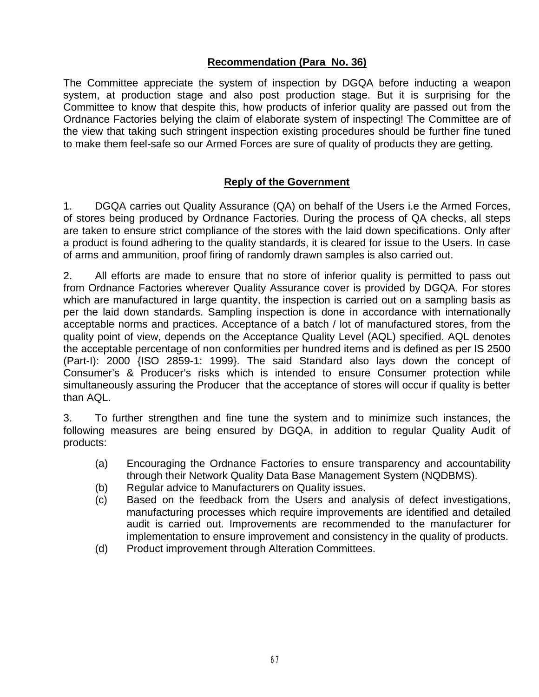# **Recommendation (Para No. 36)**

The Committee appreciate the system of inspection by DGQA before inducting a weapon system, at production stage and also post production stage. But it is surprising for the Committee to know that despite this, how products of inferior quality are passed out from the Ordnance Factories belying the claim of elaborate system of inspecting! The Committee are of the view that taking such stringent inspection existing procedures should be further fine tuned to make them feel-safe so our Armed Forces are sure of quality of products they are getting.

## **Reply of the Government**

1. DGQA carries out Quality Assurance (QA) on behalf of the Users i.e the Armed Forces, of stores being produced by Ordnance Factories. During the process of QA checks, all steps are taken to ensure strict compliance of the stores with the laid down specifications. Only after a product is found adhering to the quality standards, it is cleared for issue to the Users. In case of arms and ammunition, proof firing of randomly drawn samples is also carried out.

2. All efforts are made to ensure that no store of inferior quality is permitted to pass out from Ordnance Factories wherever Quality Assurance cover is provided by DGQA. For stores which are manufactured in large quantity, the inspection is carried out on a sampling basis as per the laid down standards. Sampling inspection is done in accordance with internationally acceptable norms and practices. Acceptance of a batch / lot of manufactured stores, from the quality point of view, depends on the Acceptance Quality Level (AQL) specified. AQL denotes the acceptable percentage of non conformities per hundred items and is defined as per IS 2500 (Part-I): 2000 {ISO 2859-1: 1999}. The said Standard also lays down the concept of Consumer's & Producer's risks which is intended to ensure Consumer protection while simultaneously assuring the Producer that the acceptance of stores will occur if quality is better than AQL.

3. To further strengthen and fine tune the system and to minimize such instances, the following measures are being ensured by DGQA, in addition to regular Quality Audit of products:

- (a) Encouraging the Ordnance Factories to ensure transparency and accountability through their Network Quality Data Base Management System (NQDBMS).
- (b) Regular advice to Manufacturers on Quality issues.
- (c) Based on the feedback from the Users and analysis of defect investigations, manufacturing processes which require improvements are identified and detailed audit is carried out. Improvements are recommended to the manufacturer for implementation to ensure improvement and consistency in the quality of products.
- (d) Product improvement through Alteration Committees.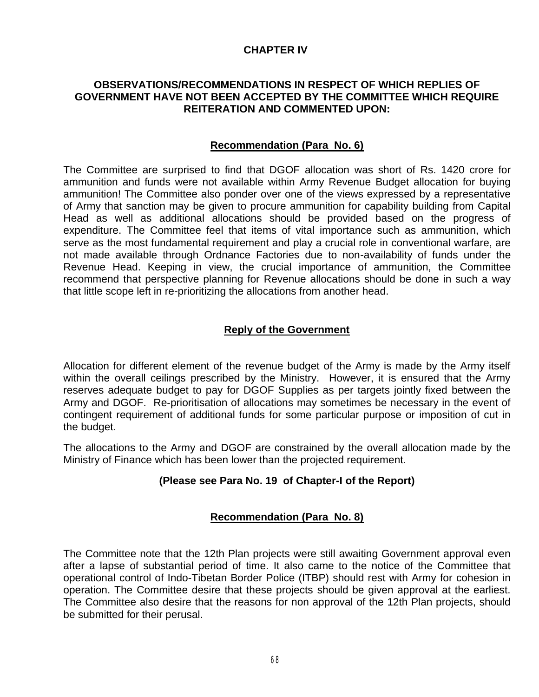## **CHAPTER IV**

## **OBSERVATIONS/RECOMMENDATIONS IN RESPECT OF WHICH REPLIES OF GOVERNMENT HAVE NOT BEEN ACCEPTED BY THE COMMITTEE WHICH REQUIRE REITERATION AND COMMENTED UPON:**

## **Recommendation (Para No. 6)**

The Committee are surprised to find that DGOF allocation was short of Rs. 1420 crore for ammunition and funds were not available within Army Revenue Budget allocation for buying ammunition! The Committee also ponder over one of the views expressed by a representative of Army that sanction may be given to procure ammunition for capability building from Capital Head as well as additional allocations should be provided based on the progress of expenditure. The Committee feel that items of vital importance such as ammunition, which serve as the most fundamental requirement and play a crucial role in conventional warfare, are not made available through Ordnance Factories due to non-availability of funds under the Revenue Head. Keeping in view, the crucial importance of ammunition, the Committee recommend that perspective planning for Revenue allocations should be done in such a way that little scope left in re-prioritizing the allocations from another head.

## **Reply of the Government**

Allocation for different element of the revenue budget of the Army is made by the Army itself within the overall ceilings prescribed by the Ministry. However, it is ensured that the Army reserves adequate budget to pay for DGOF Supplies as per targets jointly fixed between the Army and DGOF. Re-prioritisation of allocations may sometimes be necessary in the event of contingent requirement of additional funds for some particular purpose or imposition of cut in the budget.

The allocations to the Army and DGOF are constrained by the overall allocation made by the Ministry of Finance which has been lower than the projected requirement.

## **(Please see Para No. 19 of Chapter-I of the Report)**

## **Recommendation (Para No. 8)**

The Committee note that the 12th Plan projects were still awaiting Government approval even after a lapse of substantial period of time. It also came to the notice of the Committee that operational control of Indo-Tibetan Border Police (ITBP) should rest with Army for cohesion in operation. The Committee desire that these projects should be given approval at the earliest. The Committee also desire that the reasons for non approval of the 12th Plan projects, should be submitted for their perusal.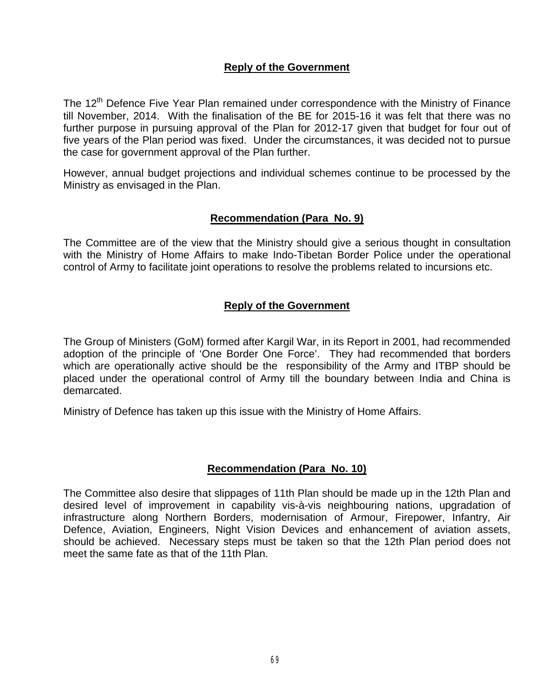## **Reply of the Government**

The 12<sup>th</sup> Defence Five Year Plan remained under correspondence with the Ministry of Finance till November, 2014. With the finalisation of the BE for 2015-16 it was felt that there was no further purpose in pursuing approval of the Plan for 2012-17 given that budget for four out of five years of the Plan period was fixed. Under the circumstances, it was decided not to pursue the case for government approval of the Plan further.

However, annual budget projections and individual schemes continue to be processed by the Ministry as envisaged in the Plan.

## **Recommendation (Para No. 9)**

The Committee are of the view that the Ministry should give a serious thought in consultation with the Ministry of Home Affairs to make Indo-Tibetan Border Police under the operational control of Army to facilitate joint operations to resolve the problems related to incursions etc.

## **Reply of the Government**

The Group of Ministers (GoM) formed after Kargil War, in its Report in 2001, had recommended adoption of the principle of 'One Border One Force'. They had recommended that borders which are operationally active should be the responsibility of the Army and ITBP should be placed under the operational control of Army till the boundary between India and China is demarcated.

Ministry of Defence has taken up this issue with the Ministry of Home Affairs.

## **Recommendation (Para No. 10)**

The Committee also desire that slippages of 11th Plan should be made up in the 12th Plan and desired level of improvement in capability vis-à-vis neighbouring nations, upgradation of infrastructure along Northern Borders, modernisation of Armour, Firepower, Infantry, Air Defence, Aviation, Engineers, Night Vision Devices and enhancement of aviation assets, should be achieved. Necessary steps must be taken so that the 12th Plan period does not meet the same fate as that of the 11th Plan.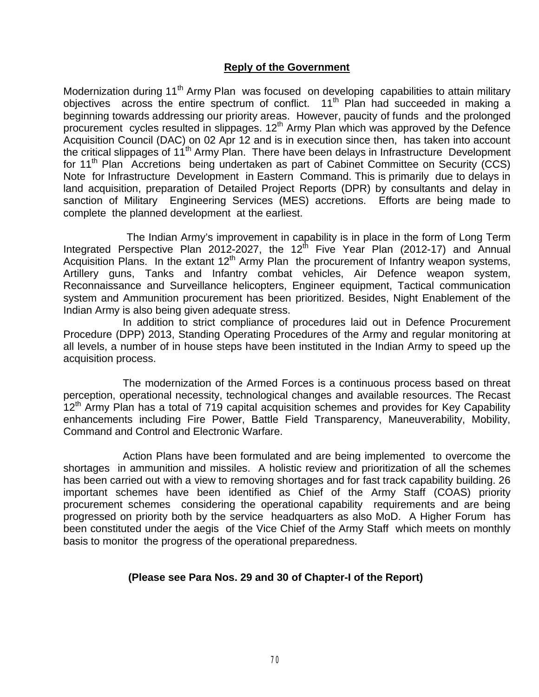## **Reply of the Government**

Modernization during 11<sup>th</sup> Army Plan was focused on developing capabilities to attain military objectives across the entire spectrum of conflict.  $11<sup>th</sup>$  Plan had succeeded in making a beginning towards addressing our priority areas. However, paucity of funds and the prolonged procurement cycles resulted in slippages. 12<sup>th</sup> Army Plan which was approved by the Defence Acquisition Council (DAC) on 02 Apr 12 and is in execution since then, has taken into account the critical slippages of 11<sup>th</sup> Army Plan. There have been delays in Infrastructure Development for 11<sup>th</sup> Plan Accretions being undertaken as part of Cabinet Committee on Security (CCS) Note for Infrastructure Development in Eastern Command. This is primarily due to delays in land acquisition, preparation of Detailed Project Reports (DPR) by consultants and delay in sanction of Military Engineering Services (MES) accretions. Efforts are being made to complete the planned development at the earliest.

The Indian Army's improvement in capability is in place in the form of Long Term Integrated Perspective Plan 2012-2027, the 12<sup>th</sup> Five Year Plan (2012-17) and Annual Acquisition Plans. In the extant  $12<sup>th</sup>$  Army Plan the procurement of Infantry weapon systems, Artillery guns, Tanks and Infantry combat vehicles, Air Defence weapon system, Reconnaissance and Surveillance helicopters, Engineer equipment, Tactical communication system and Ammunition procurement has been prioritized. Besides, Night Enablement of the Indian Army is also being given adequate stress.

In addition to strict compliance of procedures laid out in Defence Procurement Procedure (DPP) 2013, Standing Operating Procedures of the Army and regular monitoring at all levels, a number of in house steps have been instituted in the Indian Army to speed up the acquisition process.

The modernization of the Armed Forces is a continuous process based on threat perception, operational necessity, technological changes and available resources. The Recast  $12<sup>th</sup>$  Army Plan has a total of 719 capital acquisition schemes and provides for Key Capability enhancements including Fire Power, Battle Field Transparency, Maneuverability, Mobility, Command and Control and Electronic Warfare.

Action Plans have been formulated and are being implemented to overcome the shortages in ammunition and missiles. A holistic review and prioritization of all the schemes has been carried out with a view to removing shortages and for fast track capability building. 26 important schemes have been identified as Chief of the Army Staff (COAS) priority procurement schemes considering the operational capability requirements and are being progressed on priority both by the service headquarters as also MoD. A Higher Forum has been constituted under the aegis of the Vice Chief of the Army Staff which meets on monthly basis to monitor the progress of the operational preparedness.

## **(Please see Para Nos. 29 and 30 of Chapter-I of the Report)**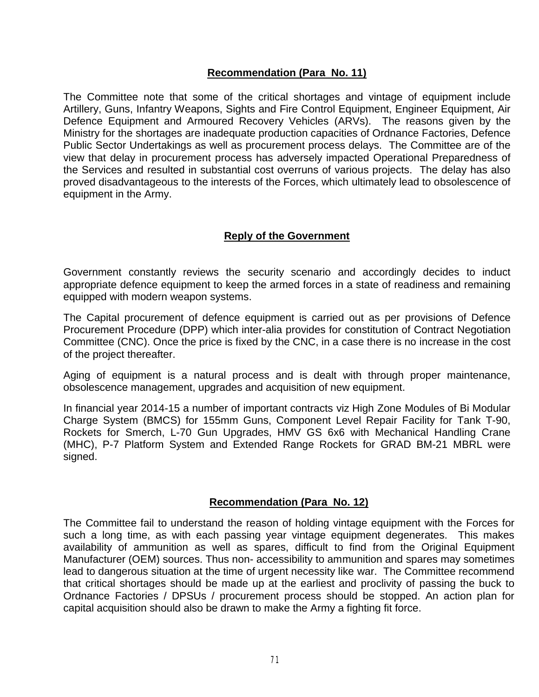## **Recommendation (Para No. 11)**

The Committee note that some of the critical shortages and vintage of equipment include Artillery, Guns, Infantry Weapons, Sights and Fire Control Equipment, Engineer Equipment, Air Defence Equipment and Armoured Recovery Vehicles (ARVs). The reasons given by the Ministry for the shortages are inadequate production capacities of Ordnance Factories, Defence Public Sector Undertakings as well as procurement process delays. The Committee are of the view that delay in procurement process has adversely impacted Operational Preparedness of the Services and resulted in substantial cost overruns of various projects. The delay has also proved disadvantageous to the interests of the Forces, which ultimately lead to obsolescence of equipment in the Army.

## **Reply of the Government**

Government constantly reviews the security scenario and accordingly decides to induct appropriate defence equipment to keep the armed forces in a state of readiness and remaining equipped with modern weapon systems.

The Capital procurement of defence equipment is carried out as per provisions of Defence Procurement Procedure (DPP) which inter-alia provides for constitution of Contract Negotiation Committee (CNC). Once the price is fixed by the CNC, in a case there is no increase in the cost of the project thereafter.

Aging of equipment is a natural process and is dealt with through proper maintenance, obsolescence management, upgrades and acquisition of new equipment.

In financial year 2014-15 a number of important contracts viz High Zone Modules of Bi Modular Charge System (BMCS) for 155mm Guns, Component Level Repair Facility for Tank T-90, Rockets for Smerch, L-70 Gun Upgrades, HMV GS 6x6 with Mechanical Handling Crane (MHC), P-7 Platform System and Extended Range Rockets for GRAD BM-21 MBRL were signed.

## **Recommendation (Para No. 12)**

The Committee fail to understand the reason of holding vintage equipment with the Forces for such a long time, as with each passing year vintage equipment degenerates. This makes availability of ammunition as well as spares, difficult to find from the Original Equipment Manufacturer (OEM) sources. Thus non- accessibility to ammunition and spares may sometimes lead to dangerous situation at the time of urgent necessity like war. The Committee recommend that critical shortages should be made up at the earliest and proclivity of passing the buck to Ordnance Factories / DPSUs / procurement process should be stopped. An action plan for capital acquisition should also be drawn to make the Army a fighting fit force.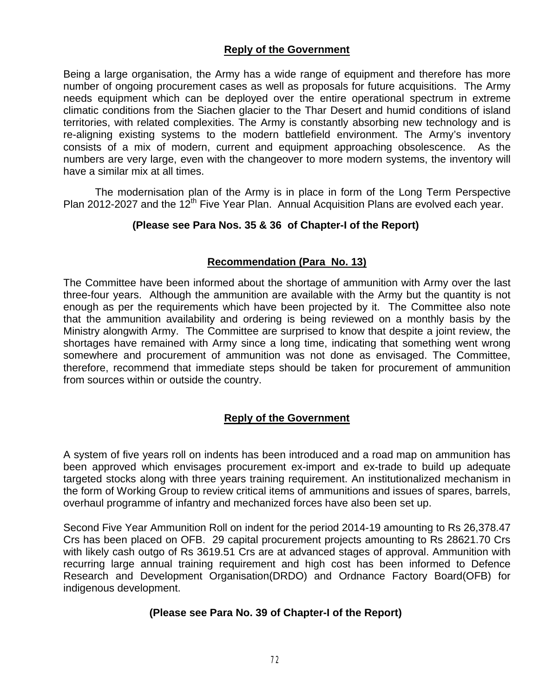## **Reply of the Government**

Being a large organisation, the Army has a wide range of equipment and therefore has more number of ongoing procurement cases as well as proposals for future acquisitions. The Army needs equipment which can be deployed over the entire operational spectrum in extreme climatic conditions from the Siachen glacier to the Thar Desert and humid conditions of island territories, with related complexities. The Army is constantly absorbing new technology and is re-aligning existing systems to the modern battlefield environment. The Army's inventory consists of a mix of modern, current and equipment approaching obsolescence. As the numbers are very large, even with the changeover to more modern systems, the inventory will have a similar mix at all times.

The modernisation plan of the Army is in place in form of the Long Term Perspective Plan 2012-2027 and the 12<sup>th</sup> Five Year Plan. Annual Acquisition Plans are evolved each year.

## **(Please see Para Nos. 35 & 36 of Chapter-I of the Report)**

## **Recommendation (Para No. 13)**

The Committee have been informed about the shortage of ammunition with Army over the last three-four years. Although the ammunition are available with the Army but the quantity is not enough as per the requirements which have been projected by it. The Committee also note that the ammunition availability and ordering is being reviewed on a monthly basis by the Ministry alongwith Army. The Committee are surprised to know that despite a joint review, the shortages have remained with Army since a long time, indicating that something went wrong somewhere and procurement of ammunition was not done as envisaged. The Committee, therefore, recommend that immediate steps should be taken for procurement of ammunition from sources within or outside the country.

## **Reply of the Government**

A system of five years roll on indents has been introduced and a road map on ammunition has been approved which envisages procurement ex-import and ex-trade to build up adequate targeted stocks along with three years training requirement. An institutionalized mechanism in the form of Working Group to review critical items of ammunitions and issues of spares, barrels, overhaul programme of infantry and mechanized forces have also been set up.

Second Five Year Ammunition Roll on indent for the period 2014-19 amounting to Rs 26,378.47 Crs has been placed on OFB. 29 capital procurement projects amounting to Rs 28621.70 Crs with likely cash outgo of Rs 3619.51 Crs are at advanced stages of approval. Ammunition with recurring large annual training requirement and high cost has been informed to Defence Research and Development Organisation(DRDO) and Ordnance Factory Board(OFB) for indigenous development.

## **(Please see Para No. 39 of Chapter-I of the Report)**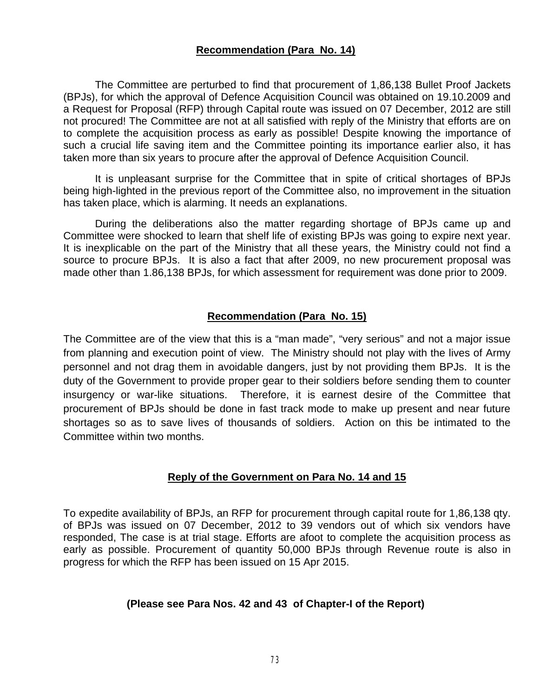## **Recommendation (Para No. 14)**

The Committee are perturbed to find that procurement of 1,86,138 Bullet Proof Jackets (BPJs), for which the approval of Defence Acquisition Council was obtained on 19.10.2009 and a Request for Proposal (RFP) through Capital route was issued on 07 December, 2012 are still not procured! The Committee are not at all satisfied with reply of the Ministry that efforts are on to complete the acquisition process as early as possible! Despite knowing the importance of such a crucial life saving item and the Committee pointing its importance earlier also, it has taken more than six years to procure after the approval of Defence Acquisition Council.

It is unpleasant surprise for the Committee that in spite of critical shortages of BPJs being high-lighted in the previous report of the Committee also, no improvement in the situation has taken place, which is alarming. It needs an explanations.

During the deliberations also the matter regarding shortage of BPJs came up and Committee were shocked to learn that shelf life of existing BPJs was going to expire next year. It is inexplicable on the part of the Ministry that all these years, the Ministry could not find a source to procure BPJs. It is also a fact that after 2009, no new procurement proposal was made other than 1.86,138 BPJs, for which assessment for requirement was done prior to 2009.

## **Recommendation (Para No. 15)**

The Committee are of the view that this is a "man made", "very serious" and not a major issue from planning and execution point of view. The Ministry should not play with the lives of Army personnel and not drag them in avoidable dangers, just by not providing them BPJs. It is the duty of the Government to provide proper gear to their soldiers before sending them to counter insurgency or war-like situations. Therefore, it is earnest desire of the Committee that procurement of BPJs should be done in fast track mode to make up present and near future shortages so as to save lives of thousands of soldiers. Action on this be intimated to the Committee within two months.

## **Reply of the Government on Para No. 14 and 15**

To expedite availability of BPJs, an RFP for procurement through capital route for 1,86,138 qty. of BPJs was issued on 07 December, 2012 to 39 vendors out of which six vendors have responded, The case is at trial stage. Efforts are afoot to complete the acquisition process as early as possible. Procurement of quantity 50,000 BPJs through Revenue route is also in progress for which the RFP has been issued on 15 Apr 2015.

## **(Please see Para Nos. 42 and 43 of Chapter-I of the Report)**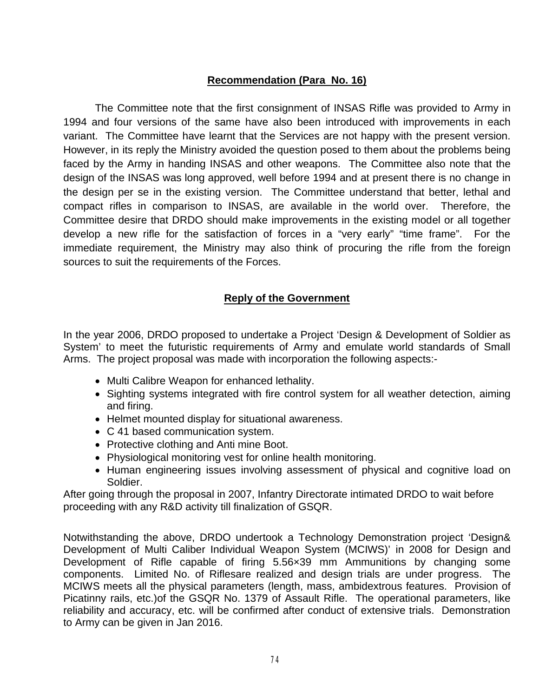## **Recommendation (Para No. 16)**

The Committee note that the first consignment of INSAS Rifle was provided to Army in 1994 and four versions of the same have also been introduced with improvements in each variant. The Committee have learnt that the Services are not happy with the present version. However, in its reply the Ministry avoided the question posed to them about the problems being faced by the Army in handing INSAS and other weapons. The Committee also note that the design of the INSAS was long approved, well before 1994 and at present there is no change in the design per se in the existing version. The Committee understand that better, lethal and compact rifles in comparison to INSAS, are available in the world over. Therefore, the Committee desire that DRDO should make improvements in the existing model or all together develop a new rifle for the satisfaction of forces in a "very early" "time frame". For the immediate requirement, the Ministry may also think of procuring the rifle from the foreign sources to suit the requirements of the Forces.

## **Reply of the Government**

In the year 2006, DRDO proposed to undertake a Project 'Design & Development of Soldier as System' to meet the futuristic requirements of Army and emulate world standards of Small Arms. The project proposal was made with incorporation the following aspects:-

- Multi Calibre Weapon for enhanced lethality.
- Sighting systems integrated with fire control system for all weather detection, aiming and firing.
- Helmet mounted display for situational awareness.
- C 41 based communication system.
- Protective clothing and Anti mine Boot.
- Physiological monitoring vest for online health monitoring.
- Human engineering issues involving assessment of physical and cognitive load on Soldier.

After going through the proposal in 2007, Infantry Directorate intimated DRDO to wait before proceeding with any R&D activity till finalization of GSQR.

Notwithstanding the above, DRDO undertook a Technology Demonstration project 'Design& Development of Multi Caliber Individual Weapon System (MCIWS)' in 2008 for Design and Development of Rifle capable of firing 5.56×39 mm Ammunitions by changing some components. Limited No. of Riflesare realized and design trials are under progress. The MCIWS meets all the physical parameters (length, mass, ambidextrous features. Provision of Picatinny rails, etc.)of the GSQR No. 1379 of Assault Rifle. The operational parameters, like reliability and accuracy, etc. will be confirmed after conduct of extensive trials. Demonstration to Army can be given in Jan 2016.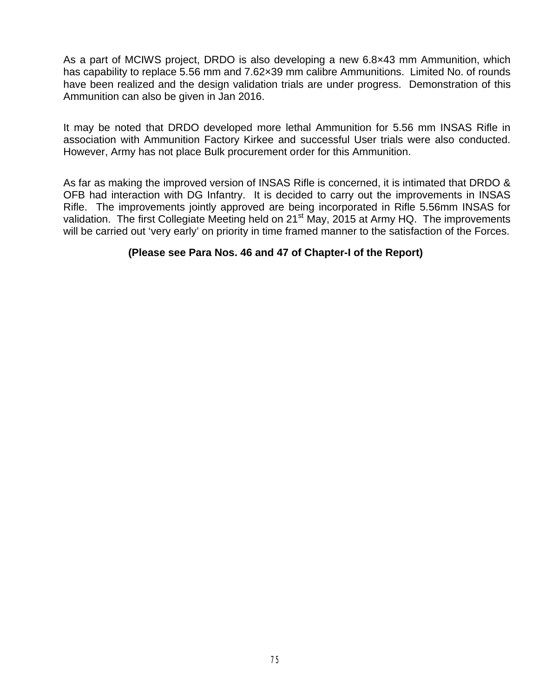As a part of MCIWS project, DRDO is also developing a new 6.8×43 mm Ammunition, which has capability to replace 5.56 mm and 7.62×39 mm calibre Ammunitions. Limited No. of rounds have been realized and the design validation trials are under progress. Demonstration of this Ammunition can also be given in Jan 2016.

It may be noted that DRDO developed more lethal Ammunition for 5.56 mm INSAS Rifle in association with Ammunition Factory Kirkee and successful User trials were also conducted. However, Army has not place Bulk procurement order for this Ammunition.

As far as making the improved version of INSAS Rifle is concerned, it is intimated that DRDO & OFB had interaction with DG Infantry. It is decided to carry out the improvements in INSAS Rifle. The improvements jointly approved are being incorporated in Rifle 5.56mm INSAS for validation. The first Collegiate Meeting held on 21<sup>st</sup> May, 2015 at Army HQ. The improvements will be carried out 'very early' on priority in time framed manner to the satisfaction of the Forces.

## **(Please see Para Nos. 46 and 47 of Chapter-I of the Report)**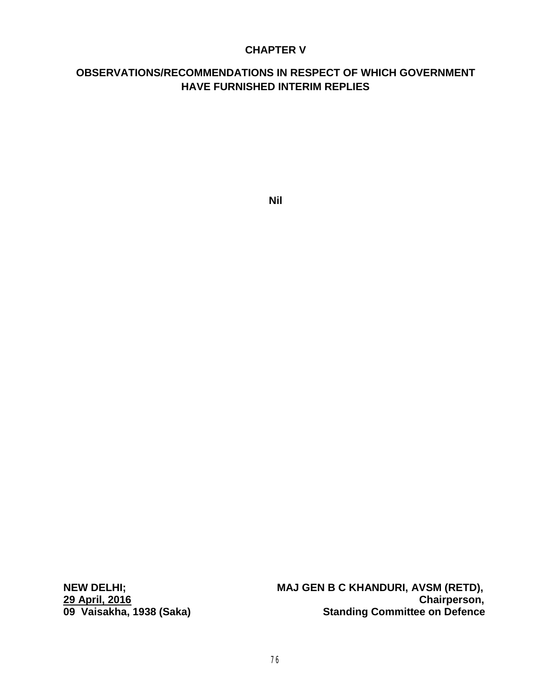## **CHAPTER V**

# **OBSERVATIONS/RECOMMENDATIONS IN RESPECT OF WHICH GOVERNMENT HAVE FURNISHED INTERIM REPLIES**

**Nil**

**29 April, 2016 Chairperson,**

**NEW DELHI; MAJ GEN B C KHANDURI, AVSM (RETD), Standing Committee on Defence**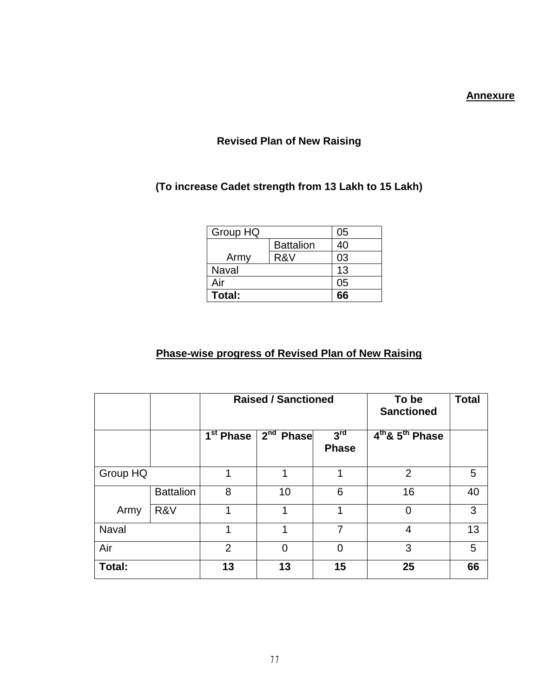## **Annexure**

## **Revised Plan of New Raising**

# **(To increase Cadet strength from 13 Lakh to 15 Lakh)**

| Group HQ     |                  | 05 |
|--------------|------------------|----|
|              | <b>Battalion</b> | 40 |
| Army         | R&V              | 03 |
| <b>Naval</b> | 13               |    |
| Air          |                  | 05 |
| Total:       |                  |    |

# **Phase-wise progress of Revised Plan of New Raising**

|              |                  | <b>Raised / Sanctioned</b>       |             |                                 | To be<br><b>Sanctioned</b> | <b>Total</b> |
|--------------|------------------|----------------------------------|-------------|---------------------------------|----------------------------|--------------|
|              |                  | $\overline{1}^{\text{st}}$ Phase | $2nd$ Phase | $3^{\text{rd}}$<br><b>Phase</b> | $4th$ & $5th$ Phase        |              |
| Group HQ     |                  | 1                                | 1           | 1                               | 2                          | 5            |
|              | <b>Battalion</b> | 8                                | 10          | 6                               | 16                         | 40           |
| Army         | R&V              |                                  |             | 1                               | 0                          | 3            |
| <b>Naval</b> |                  | 1                                | 1           | 7                               | 4                          | 13           |
| Air          |                  | $\overline{2}$                   | 0           | 0                               | 3                          | 5            |
| Total:       |                  | 13                               | 13          | 15                              | 25                         | 66           |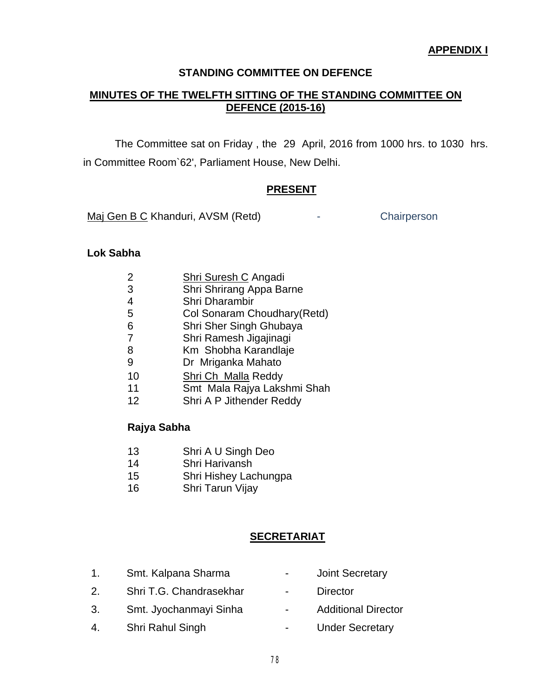## **STANDING COMMITTEE ON DEFENCE**

## **MINUTES OF THE TWELFTH SITTING OF THE STANDING COMMITTEE ON DEFENCE (2015-16)**

The Committee sat on Friday , the 29 April, 2016 from 1000 hrs. to 1030 hrs. in Committee Room`62', Parliament House, New Delhi.

#### **PRESENT**

[Maj Gen B C](http://164.100.47.132/LssNew/Members/Biography.aspx?mpsno=196) Khanduri, AVSM (Retd) Fig. 2. Chairperson

## **Lok Sabha**

| $\mathcal{P}$ | <b>Shri Suresh C Angadi</b>  |
|---------------|------------------------------|
| 3             | Shri Shrirang Appa Barne     |
| 4             | Shri Dharambir               |
| 5             | Col Sonaram Choudhary (Retd) |
| 6             | Shri Sher Singh Ghubaya      |
| 7             | Shri Ramesh Jigajinagi       |
| 8             | Km Shobha Karandlaje         |
| 9             | Dr Mriganka Mahato           |
| 10            | Shri Ch Malla Reddy          |
| 11            | Smt Mala Rajya Lakshmi Shah  |
| 12            | Shri A P Jithender Reddy     |

#### **Rajya Sabha**

- 13 Shri A U Singh Deo
- 14 Shri Harivansh
- 15 Shri Hishey Lachungpa
- 16 Shri Tarun Vijay

## **SECRETARIAT**

- 1. Smt. Kalpana Sharma  **Joint Secretary** 2. Shri T.G. Chandrasekhar - Director
- 
- 
- 
- 
- 3. Smt. Jyochanmayi Sinha Additional Director
- 4. Shri Rahul Singh  **Under Secretary**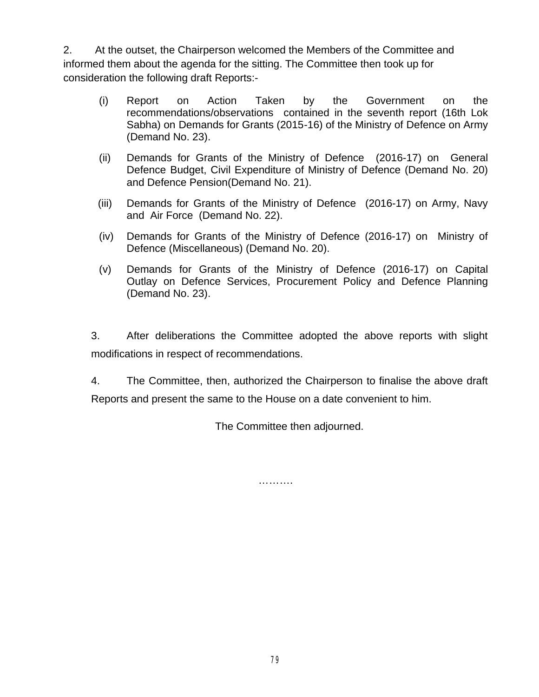2. At the outset, the Chairperson welcomed the Members of the Committee and informed them about the agenda for the sitting. The Committee then took up for consideration the following draft Reports:-

- (i) Report on Action Taken by the Government on the recommendations/observations contained in the seventh report (16th Lok Sabha) on Demands for Grants (2015-16) of the Ministry of Defence on Army (Demand No. 23).
- (ii) Demands for Grants of the Ministry of Defence (2016-17) on General Defence Budget, Civil Expenditure of Ministry of Defence (Demand No. 20) and Defence Pension(Demand No. 21).
- (iii) Demands for Grants of the Ministry of Defence (2016-17) on Army, Navy and Air Force (Demand No. 22).
- (iv) Demands for Grants of the Ministry of Defence (2016-17) on Ministry of Defence (Miscellaneous) (Demand No. 20).
- (v) Demands for Grants of the Ministry of Defence (2016-17) on Capital Outlay on Defence Services, Procurement Policy and Defence Planning (Demand No. 23).

3. After deliberations the Committee adopted the above reports with slight modifications in respect of recommendations.

4. The Committee, then, authorized the Chairperson to finalise the above draft Reports and present the same to the House on a date convenient to him.

The Committee then adjourned.

…………